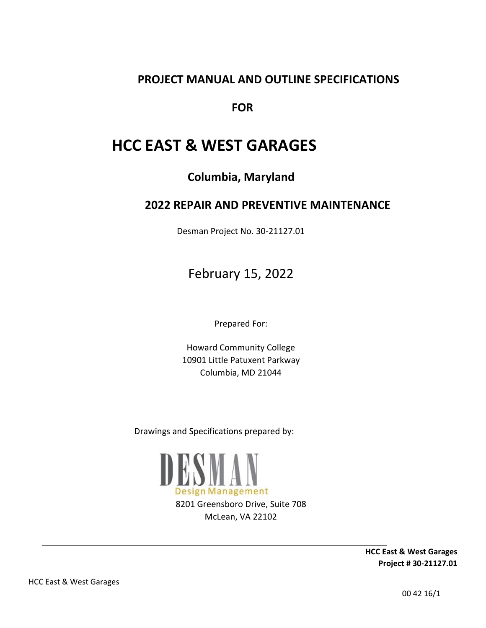### **PROJECT MANUAL AND OUTLINE SPECIFICATIONS**

 **FOR** 

# **HCC EAST & WEST GARAGES**

**Columbia, Maryland** 

### **2022 REPAIR AND PREVENTIVE MAINTENANCE**

Desman Project No. 30-21127.01

February 15, 2022

Prepared For:

Howard Community College 10901 Little Patuxent Parkway Columbia, MD 21044

Drawings and Specifications prepared by:



8201 Greensboro Drive, Suite 708 McLean, VA 22102

> **HCC East & West Garages Project # 30-21127.01**

HCC East & West Garages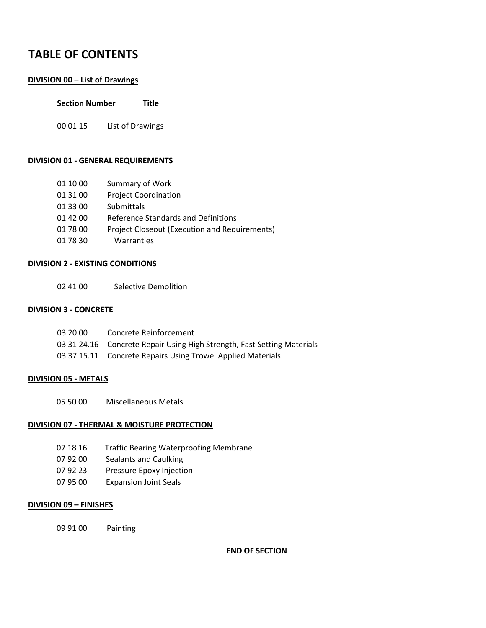### **TABLE OF CONTENTS**

#### **DIVISION 00 – List of Drawings**

| <b>Section Number</b> |  | Title |
|-----------------------|--|-------|
|-----------------------|--|-------|

00 01 15 List of Drawings

#### **DIVISION 01 - GENERAL REQUIREMENTS**

- 01 10 00 Summary of Work
- 01 31 00 Project Coordination
- 01 33 00 Submittals
- 01 42 00 Reference Standards and Definitions
- 01 78 00 Project Closeout (Execution and Requirements)
- 01 78 30 Warranties

#### **DIVISION 2 - EXISTING CONDITIONS**

02 41 00 Selective Demolition

#### **DIVISION 3 - CONCRETE**

| 03 20 00 | Concrete Reinforcement                                                  |
|----------|-------------------------------------------------------------------------|
|          | 03 31 24.16 Concrete Repair Using High Strength, Fast Setting Materials |
|          | 03 37 15.11 Concrete Repairs Using Trowel Applied Materials             |

#### **DIVISION 05 - METALS**

05 50 00 Miscellaneous Metals

#### **DIVISION 07 - THERMAL & MOISTURE PROTECTION**

- 07 18 16 Traffic Bearing Waterproofing Membrane
- 07 92 00 Sealants and Caulking
- 07 92 23 Pressure Epoxy Injection
- 07 95 00 Expansion Joint Seals

#### **DIVISION 09 – FINISHES**

09 91 00 Painting

**END OF SECTION**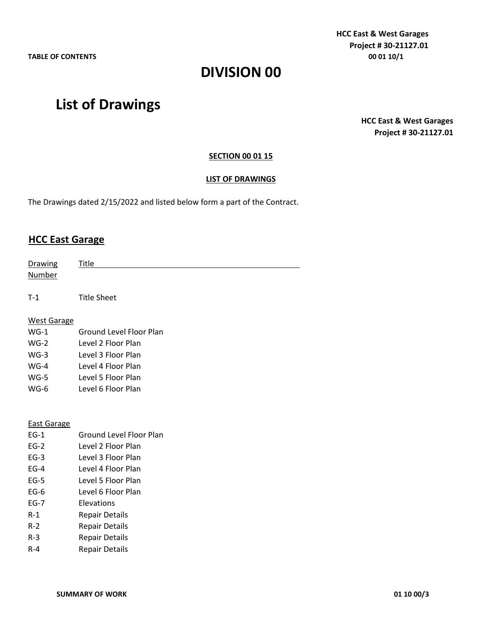**HCC East & West Garages Project # 30-21127.01 TABLE OF CONTENTS 00 01 10/1** 

# **DIVISION 00**

# **List of Drawings**

**HCC East & West Garages Project # 30-21127.01** 

#### **SECTION 00 01 15**

#### **LIST OF DRAWINGS**

The Drawings dated 2/15/2022 and listed below form a part of the Contract.

### **HCC East Garage**

| Drawing            | Title                          |
|--------------------|--------------------------------|
| <b>Number</b>      |                                |
|                    |                                |
| $T-1$              | <b>Title Sheet</b>             |
|                    |                                |
| <b>West Garage</b> |                                |
| $WG-1$             | Ground Level Floor Plan        |
| $WG-2$             | Level 2 Floor Plan             |
| $WG-3$             | Level 3 Floor Plan             |
| $WG-4$             | Level 4 Floor Plan             |
| $WG-5$             | Level 5 Floor Plan             |
| $WG-6$             | Level 6 Floor Plan             |
|                    |                                |
|                    |                                |
| <b>East Garage</b> |                                |
| $EG-1$             | <b>Ground Level Floor Plan</b> |
| $EG-2$             | Level 2 Floor Plan             |
| $EG-3$             | Level 3 Floor Plan             |
| $EG-4$             | Level 4 Floor Plan             |
| $EG-5$             | Level 5 Floor Plan             |
| $EG-6$             | Level 6 Floor Plan             |
| $EG-7$             | Elevations                     |
| $R-1$              | <b>Repair Details</b>          |
| $R-2$              | <b>Repair Details</b>          |
| $R - 3$            | <b>Repair Details</b>          |
| $R - 4$            | <b>Repair Details</b>          |
|                    |                                |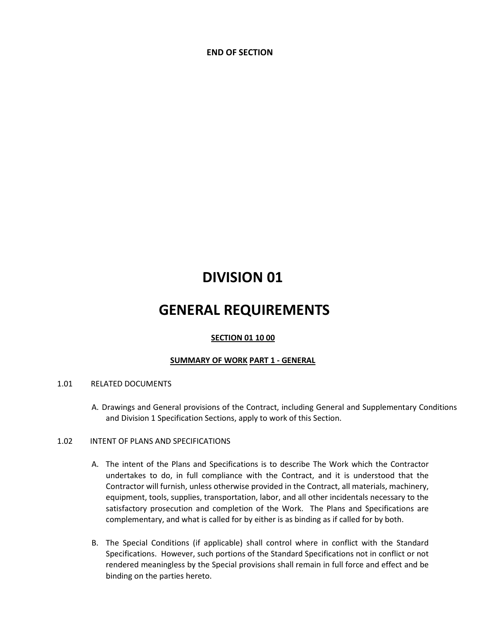**END OF SECTION** 

# **DIVISION 01**

# **GENERAL REQUIREMENTS**

#### **SECTION 01 10 00**

#### **SUMMARY OF WORK PART 1 - GENERAL**

#### 1.01 RELATED DOCUMENTS

A. Drawings and General provisions of the Contract, including General and Supplementary Conditions and Division 1 Specification Sections, apply to work of this Section.

#### 1.02 INTENT OF PLANS AND SPECIFICATIONS

- A. The intent of the Plans and Specifications is to describe The Work which the Contractor undertakes to do, in full compliance with the Contract, and it is understood that the Contractor will furnish, unless otherwise provided in the Contract, all materials, machinery, equipment, tools, supplies, transportation, labor, and all other incidentals necessary to the satisfactory prosecution and completion of the Work. The Plans and Specifications are complementary, and what is called for by either is as binding as if called for by both.
- B. The Special Conditions (if applicable) shall control where in conflict with the Standard Specifications. However, such portions of the Standard Specifications not in conflict or not rendered meaningless by the Special provisions shall remain in full force and effect and be binding on the parties hereto.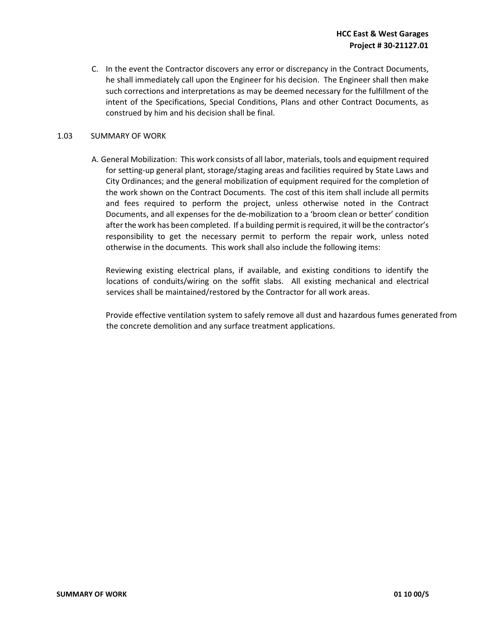C. In the event the Contractor discovers any error or discrepancy in the Contract Documents, he shall immediately call upon the Engineer for his decision. The Engineer shall then make such corrections and interpretations as may be deemed necessary for the fulfillment of the intent of the Specifications, Special Conditions, Plans and other Contract Documents, as construed by him and his decision shall be final.

#### 1.03 SUMMARY OF WORK

A. General Mobilization: This work consists of all labor, materials, tools and equipment required for setting-up general plant, storage/staging areas and facilities required by State Laws and City Ordinances; and the general mobilization of equipment required for the completion of the work shown on the Contract Documents. The cost of this item shall include all permits and fees required to perform the project, unless otherwise noted in the Contract Documents, and all expenses for the de-mobilization to a 'broom clean or better' condition after the work has been completed. If a building permit is required, it will be the contractor's responsibility to get the necessary permit to perform the repair work, unless noted otherwise in the documents. This work shall also include the following items:

Reviewing existing electrical plans, if available, and existing conditions to identify the locations of conduits/wiring on the soffit slabs. All existing mechanical and electrical services shall be maintained/restored by the Contractor for all work areas.

Provide effective ventilation system to safely remove all dust and hazardous fumes generated from the concrete demolition and any surface treatment applications.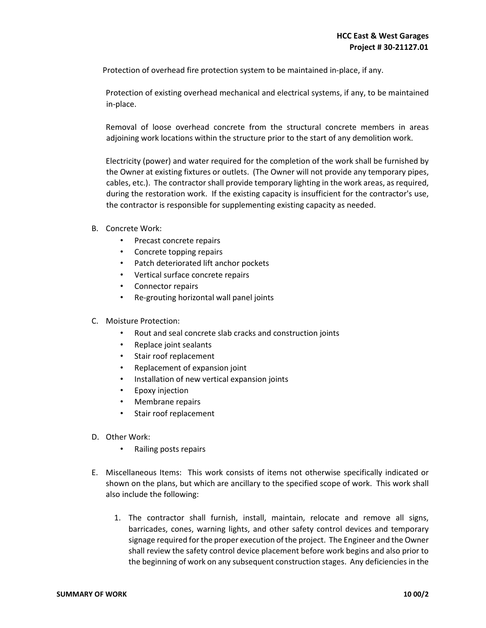Protection of overhead fire protection system to be maintained in-place, if any.

Protection of existing overhead mechanical and electrical systems, if any, to be maintained in-place.

Removal of loose overhead concrete from the structural concrete members in areas adjoining work locations within the structure prior to the start of any demolition work.

Electricity (power) and water required for the completion of the work shall be furnished by the Owner at existing fixtures or outlets. (The Owner will not provide any temporary pipes, cables, etc.). The contractor shall provide temporary lighting in the work areas, as required, during the restoration work. If the existing capacity is insufficient for the contractor's use, the contractor is responsible for supplementing existing capacity as needed.

- B. Concrete Work:
	- Precast concrete repairs
	- Concrete topping repairs
	- Patch deteriorated lift anchor pockets
	- Vertical surface concrete repairs
	- Connector repairs
	- Re-grouting horizontal wall panel joints
- C. Moisture Protection:
	- Rout and seal concrete slab cracks and construction joints
	- Replace joint sealants
	- Stair roof replacement
	- Replacement of expansion joint
	- Installation of new vertical expansion joints
	- Epoxy injection
	- Membrane repairs
	- Stair roof replacement
- D. Other Work:
	- Railing posts repairs
- E. Miscellaneous Items: This work consists of items not otherwise specifically indicated or shown on the plans, but which are ancillary to the specified scope of work. This work shall also include the following:
	- 1. The contractor shall furnish, install, maintain, relocate and remove all signs, barricades, cones, warning lights, and other safety control devices and temporary signage required for the proper execution of the project. The Engineer and the Owner shall review the safety control device placement before work begins and also prior to the beginning of work on any subsequent construction stages. Any deficiencies in the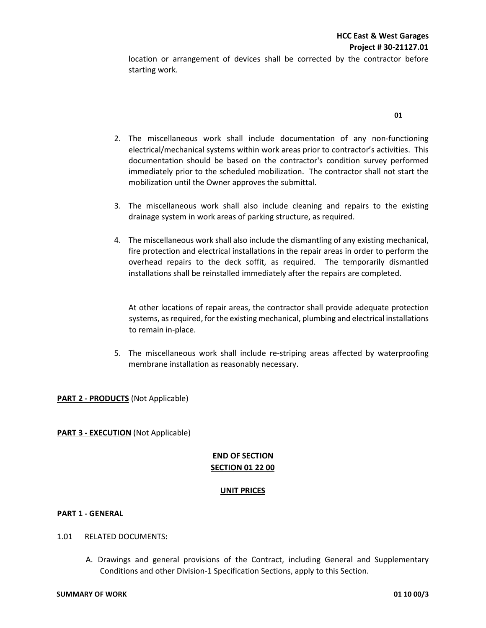location or arrangement of devices shall be corrected by the contractor before starting work.

- 2. The miscellaneous work shall include documentation of any non-functioning electrical/mechanical systems within work areas prior to contractor's activities. This documentation should be based on the contractor's condition survey performed immediately prior to the scheduled mobilization. The contractor shall not start the mobilization until the Owner approves the submittal.
- 3. The miscellaneous work shall also include cleaning and repairs to the existing drainage system in work areas of parking structure, as required.
- 4. The miscellaneous work shall also include the dismantling of any existing mechanical, fire protection and electrical installations in the repair areas in order to perform the overhead repairs to the deck soffit, as required. The temporarily dismantled installations shall be reinstalled immediately after the repairs are completed.

At other locations of repair areas, the contractor shall provide adequate protection systems, as required, for the existing mechanical, plumbing and electrical installations to remain in-place.

5. The miscellaneous work shall include re-striping areas affected by waterproofing membrane installation as reasonably necessary.

#### **PART 2 - PRODUCTS** (Not Applicable)

**PART 3 - EXECUTION** (Not Applicable)

#### **END OF SECTION SECTION 01 22 00**

#### **UNIT PRICES**

#### **PART 1 - GENERAL**

- 1.01 RELATED DOCUMENTS**:** 
	- A. Drawings and general provisions of the Contract, including General and Supplementary Conditions and other Division-1 Specification Sections, apply to this Section.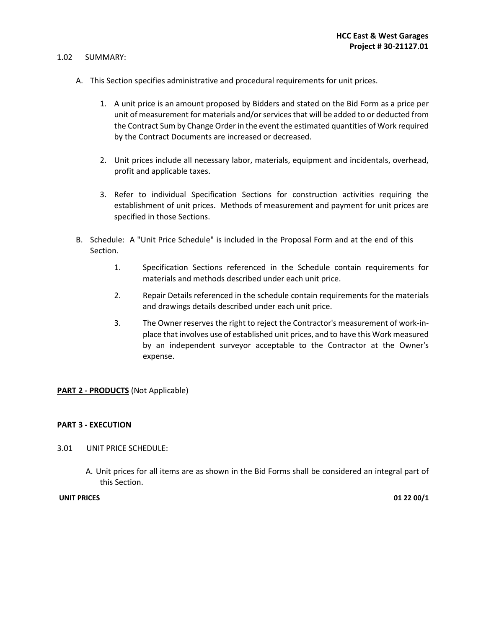#### 1.02 SUMMARY:

- A. This Section specifies administrative and procedural requirements for unit prices.
	- 1. A unit price is an amount proposed by Bidders and stated on the Bid Form as a price per unit of measurement for materials and/or services that will be added to or deducted from the Contract Sum by Change Order in the event the estimated quantities of Work required by the Contract Documents are increased or decreased.
	- 2. Unit prices include all necessary labor, materials, equipment and incidentals, overhead, profit and applicable taxes.
	- 3. Refer to individual Specification Sections for construction activities requiring the establishment of unit prices. Methods of measurement and payment for unit prices are specified in those Sections.
- B. Schedule: A "Unit Price Schedule" is included in the Proposal Form and at the end of this Section.
	- 1. Specification Sections referenced in the Schedule contain requirements for materials and methods described under each unit price.
	- 2. Repair Details referenced in the schedule contain requirements for the materials and drawings details described under each unit price.
	- 3. The Owner reserves the right to reject the Contractor's measurement of work-inplace that involves use of established unit prices, and to have this Work measured by an independent surveyor acceptable to the Contractor at the Owner's expense.

#### **PART 2 - PRODUCTS** (Not Applicable)

#### **PART 3 - EXECUTION**

- 3.01 UNIT PRICE SCHEDULE:
	- A. Unit prices for all items are as shown in the Bid Forms shall be considered an integral part of this Section.

#### **UNIT PRICES 01 22 00/1**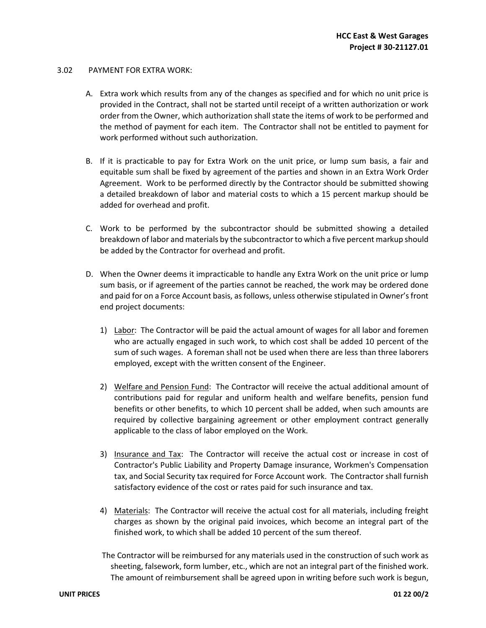#### 3.02 PAYMENT FOR EXTRA WORK:

- A. Extra work which results from any of the changes as specified and for which no unit price is provided in the Contract, shall not be started until receipt of a written authorization or work order from the Owner, which authorization shall state the items of work to be performed and the method of payment for each item. The Contractor shall not be entitled to payment for work performed without such authorization.
- B. If it is practicable to pay for Extra Work on the unit price, or lump sum basis, a fair and equitable sum shall be fixed by agreement of the parties and shown in an Extra Work Order Agreement. Work to be performed directly by the Contractor should be submitted showing a detailed breakdown of labor and material costs to which a 15 percent markup should be added for overhead and profit.
- C. Work to be performed by the subcontractor should be submitted showing a detailed breakdown of labor and materials by the subcontractor to which a five percent markup should be added by the Contractor for overhead and profit.
- D. When the Owner deems it impracticable to handle any Extra Work on the unit price or lump sum basis, or if agreement of the parties cannot be reached, the work may be ordered done and paid for on a Force Account basis, as follows, unless otherwise stipulated in Owner's front end project documents:
	- 1) Labor: The Contractor will be paid the actual amount of wages for all labor and foremen who are actually engaged in such work, to which cost shall be added 10 percent of the sum of such wages. A foreman shall not be used when there are less than three laborers employed, except with the written consent of the Engineer.
	- 2) Welfare and Pension Fund: The Contractor will receive the actual additional amount of contributions paid for regular and uniform health and welfare benefits, pension fund benefits or other benefits, to which 10 percent shall be added, when such amounts are required by collective bargaining agreement or other employment contract generally applicable to the class of labor employed on the Work.
	- 3) Insurance and Tax: The Contractor will receive the actual cost or increase in cost of Contractor's Public Liability and Property Damage insurance, Workmen's Compensation tax, and Social Security tax required for Force Account work. The Contractor shall furnish satisfactory evidence of the cost or rates paid for such insurance and tax.
	- 4) Materials: The Contractor will receive the actual cost for all materials, including freight charges as shown by the original paid invoices, which become an integral part of the finished work, to which shall be added 10 percent of the sum thereof.
	- The Contractor will be reimbursed for any materials used in the construction of such work as sheeting, falsework, form lumber, etc., which are not an integral part of the finished work. The amount of reimbursement shall be agreed upon in writing before such work is begun,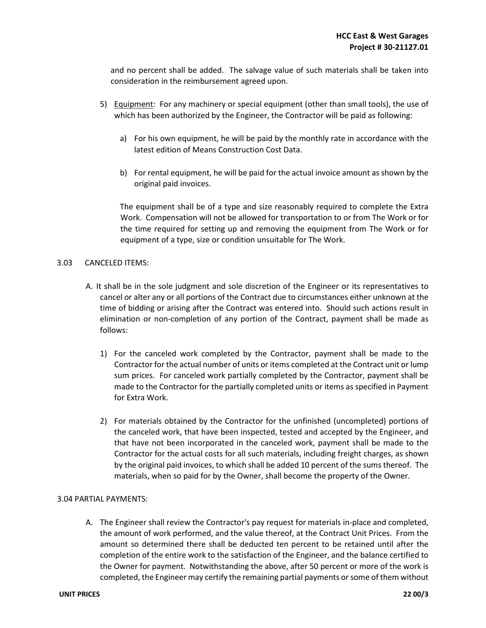and no percent shall be added. The salvage value of such materials shall be taken into consideration in the reimbursement agreed upon.

- 5) Equipment: For any machinery or special equipment (other than small tools), the use of which has been authorized by the Engineer, the Contractor will be paid as following:
	- a) For his own equipment, he will be paid by the monthly rate in accordance with the latest edition of Means Construction Cost Data.
	- b) For rental equipment, he will be paid for the actual invoice amount as shown by the original paid invoices.

The equipment shall be of a type and size reasonably required to complete the Extra Work. Compensation will not be allowed for transportation to or from The Work or for the time required for setting up and removing the equipment from The Work or for equipment of a type, size or condition unsuitable for The Work.

#### 3.03 CANCELED ITEMS:

- A. It shall be in the sole judgment and sole discretion of the Engineer or its representatives to cancel or alter any or all portions of the Contract due to circumstances either unknown at the time of bidding or arising after the Contract was entered into. Should such actions result in elimination or non-completion of any portion of the Contract, payment shall be made as follows:
	- 1) For the canceled work completed by the Contractor, payment shall be made to the Contractor for the actual number of units or items completed at the Contract unit or lump sum prices. For canceled work partially completed by the Contractor, payment shall be made to the Contractor for the partially completed units or items as specified in Payment for Extra Work.
	- 2) For materials obtained by the Contractor for the unfinished (uncompleted) portions of the canceled work, that have been inspected, tested and accepted by the Engineer, and that have not been incorporated in the canceled work, payment shall be made to the Contractor for the actual costs for all such materials, including freight charges, as shown by the original paid invoices, to which shall be added 10 percent of the sums thereof. The materials, when so paid for by the Owner, shall become the property of the Owner.

#### 3.04 PARTIAL PAYMENTS:

A. The Engineer shall review the Contractor's pay request for materials in-place and completed, the amount of work performed, and the value thereof, at the Contract Unit Prices. From the amount so determined there shall be deducted ten percent to be retained until after the completion of the entire work to the satisfaction of the Engineer, and the balance certified to the Owner for payment. Notwithstanding the above, after 50 percent or more of the work is completed, the Engineer may certify the remaining partial payments or some of them without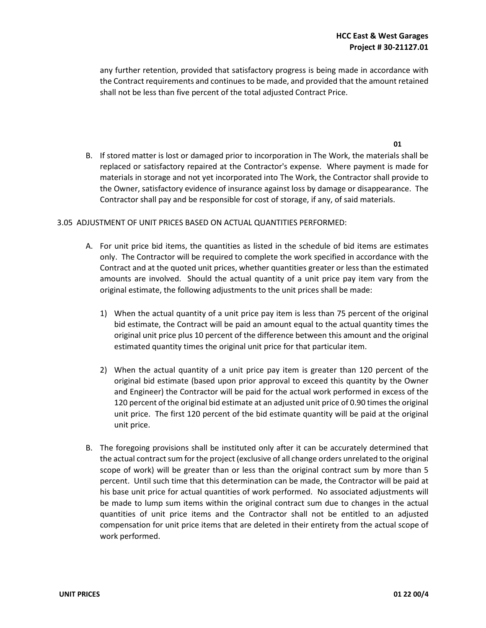**01** 

any further retention, provided that satisfactory progress is being made in accordance with the Contract requirements and continues to be made, and provided that the amount retained shall not be less than five percent of the total adjusted Contract Price.

B. If stored matter is lost or damaged prior to incorporation in The Work, the materials shall be replaced or satisfactory repaired at the Contractor's expense. Where payment is made for materials in storage and not yet incorporated into The Work, the Contractor shall provide to the Owner, satisfactory evidence of insurance against loss by damage or disappearance. The Contractor shall pay and be responsible for cost of storage, if any, of said materials.

#### 3.05ADJUSTMENT OF UNIT PRICES BASED ON ACTUAL QUANTITIES PERFORMED:

- A. For unit price bid items, the quantities as listed in the schedule of bid items are estimates only. The Contractor will be required to complete the work specified in accordance with the Contract and at the quoted unit prices, whether quantities greater or less than the estimated amounts are involved. Should the actual quantity of a unit price pay item vary from the original estimate, the following adjustments to the unit prices shall be made:
	- 1) When the actual quantity of a unit price pay item is less than 75 percent of the original bid estimate, the Contract will be paid an amount equal to the actual quantity times the original unit price plus 10 percent of the difference between this amount and the original estimated quantity times the original unit price for that particular item.
	- 2) When the actual quantity of a unit price pay item is greater than 120 percent of the original bid estimate (based upon prior approval to exceed this quantity by the Owner and Engineer) the Contractor will be paid for the actual work performed in excess of the 120 percent of the original bid estimate at an adjusted unit price of 0.90 times the original unit price. The first 120 percent of the bid estimate quantity will be paid at the original unit price.
- B. The foregoing provisions shall be instituted only after it can be accurately determined that the actual contract sum for the project (exclusive of all change orders unrelated to the original scope of work) will be greater than or less than the original contract sum by more than 5 percent. Until such time that this determination can be made, the Contractor will be paid at his base unit price for actual quantities of work performed. No associated adjustments will be made to lump sum items within the original contract sum due to changes in the actual quantities of unit price items and the Contractor shall not be entitled to an adjusted compensation for unit price items that are deleted in their entirety from the actual scope of work performed.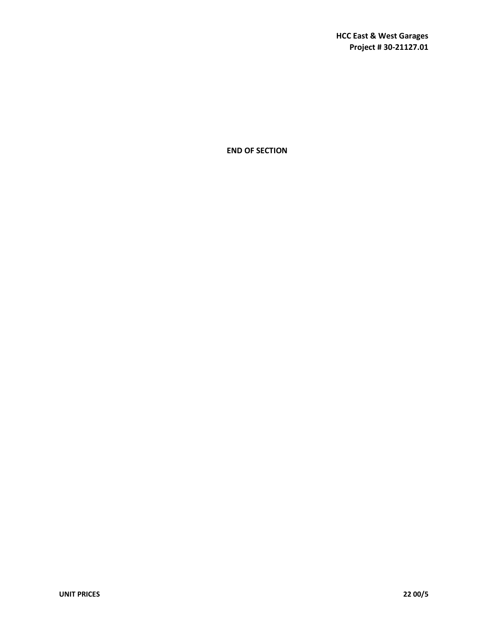**END OF SECTION**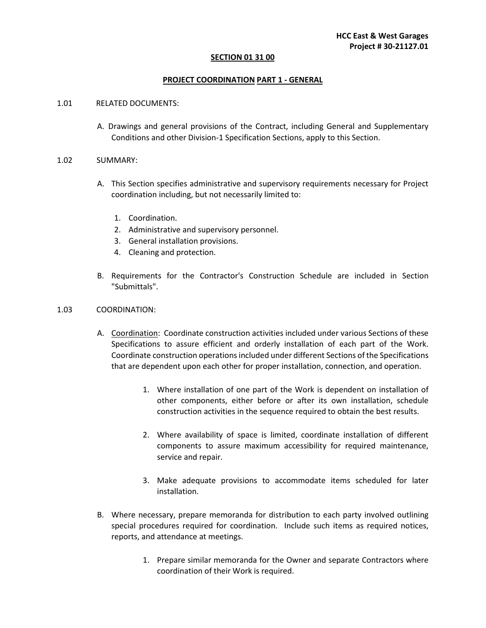#### **SECTION 01 31 00**

#### **PROJECT COORDINATION PART 1 - GENERAL**

#### 1.01RELATED DOCUMENTS:

A. Drawings and general provisions of the Contract, including General and Supplementary Conditions and other Division-1 Specification Sections, apply to this Section.

#### 1.02SUMMARY:

- A. This Section specifies administrative and supervisory requirements necessary for Project coordination including, but not necessarily limited to:
	- 1. Coordination.
	- 2. Administrative and supervisory personnel.
	- 3. General installation provisions.
	- 4. Cleaning and protection.
- B. Requirements for the Contractor's Construction Schedule are included in Section "Submittals".

#### 1.03COORDINATION:

- A. Coordination: Coordinate construction activities included under various Sections of these Specifications to assure efficient and orderly installation of each part of the Work. Coordinate construction operations included under different Sections of the Specifications that are dependent upon each other for proper installation, connection, and operation.
	- 1. Where installation of one part of the Work is dependent on installation of other components, either before or after its own installation, schedule construction activities in the sequence required to obtain the best results.
	- 2. Where availability of space is limited, coordinate installation of different components to assure maximum accessibility for required maintenance, service and repair.
	- 3. Make adequate provisions to accommodate items scheduled for later installation.
- B. Where necessary, prepare memoranda for distribution to each party involved outlining special procedures required for coordination. Include such items as required notices, reports, and attendance at meetings.
	- 1. Prepare similar memoranda for the Owner and separate Contractors where coordination of their Work is required.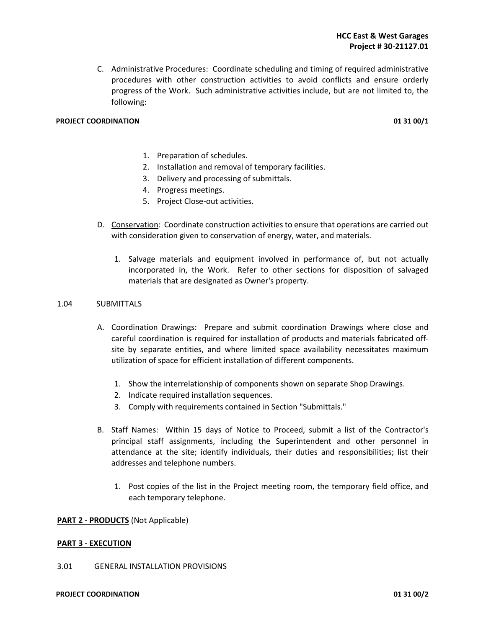C. Administrative Procedures: Coordinate scheduling and timing of required administrative procedures with other construction activities to avoid conflicts and ensure orderly progress of the Work. Such administrative activities include, but are not limited to, the following:

#### **PROJECT COORDINATION 01 31 00/1**

- 1. Preparation of schedules.
- 2. Installation and removal of temporary facilities.
- 3. Delivery and processing of submittals.
- 4. Progress meetings.
- 5. Project Close-out activities.
- D. Conservation: Coordinate construction activities to ensure that operations are carried out with consideration given to conservation of energy, water, and materials.
	- 1. Salvage materials and equipment involved in performance of, but not actually incorporated in, the Work. Refer to other sections for disposition of salvaged materials that are designated as Owner's property.

#### 1.04 SUBMITTALS

- A. Coordination Drawings: Prepare and submit coordination Drawings where close and careful coordination is required for installation of products and materials fabricated offsite by separate entities, and where limited space availability necessitates maximum utilization of space for efficient installation of different components.
	- 1. Show the interrelationship of components shown on separate Shop Drawings.
	- 2. Indicate required installation sequences.
	- 3. Comply with requirements contained in Section "Submittals."
- B. Staff Names: Within 15 days of Notice to Proceed, submit a list of the Contractor's principal staff assignments, including the Superintendent and other personnel in attendance at the site; identify individuals, their duties and responsibilities; list their addresses and telephone numbers.
	- 1. Post copies of the list in the Project meeting room, the temporary field office, and each temporary telephone.

#### **PART 2 - PRODUCTS** (Not Applicable)

#### **PART 3 - EXECUTION**

#### 3.01 GENERAL INSTALLATION PROVISIONS

#### **PROJECT COORDINATION 01 31 00/2**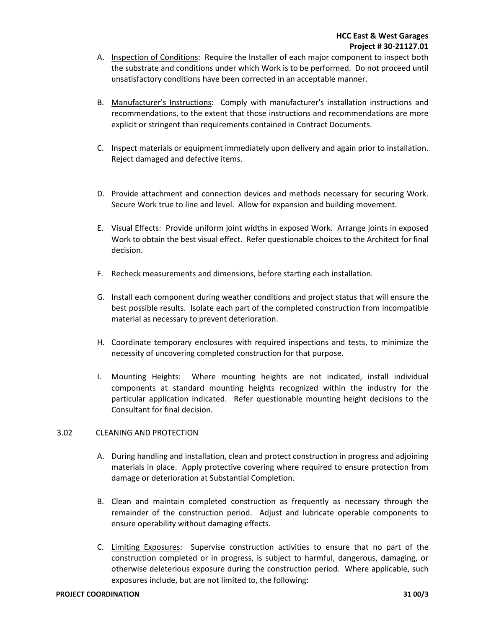- A. Inspection of Conditions: Require the Installer of each major component to inspect both the substrate and conditions under which Work is to be performed. Do not proceed until unsatisfactory conditions have been corrected in an acceptable manner.
- B. Manufacturer's Instructions: Comply with manufacturer's installation instructions and recommendations, to the extent that those instructions and recommendations are more explicit or stringent than requirements contained in Contract Documents.
- C. Inspect materials or equipment immediately upon delivery and again prior to installation. Reject damaged and defective items.
- D. Provide attachment and connection devices and methods necessary for securing Work. Secure Work true to line and level. Allow for expansion and building movement.
- E. Visual Effects: Provide uniform joint widths in exposed Work. Arrange joints in exposed Work to obtain the best visual effect. Refer questionable choices to the Architect for final decision.
- F. Recheck measurements and dimensions, before starting each installation.
- G. Install each component during weather conditions and project status that will ensure the best possible results. Isolate each part of the completed construction from incompatible material as necessary to prevent deterioration.
- H. Coordinate temporary enclosures with required inspections and tests, to minimize the necessity of uncovering completed construction for that purpose.
- I. Mounting Heights: Where mounting heights are not indicated, install individual components at standard mounting heights recognized within the industry for the particular application indicated. Refer questionable mounting height decisions to the Consultant for final decision.

#### 3.02CLEANING AND PROTECTION

- A. During handling and installation, clean and protect construction in progress and adjoining materials in place. Apply protective covering where required to ensure protection from damage or deterioration at Substantial Completion.
- B. Clean and maintain completed construction as frequently as necessary through the remainder of the construction period. Adjust and lubricate operable components to ensure operability without damaging effects.
- C. Limiting Exposures: Supervise construction activities to ensure that no part of the construction completed or in progress, is subject to harmful, dangerous, damaging, or otherwise deleterious exposure during the construction period. Where applicable, such exposures include, but are not limited to, the following: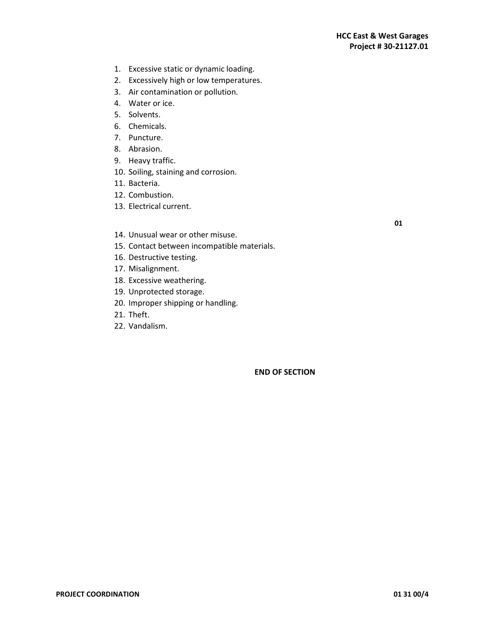- 1. Excessive static or dynamic loading.
- 2. Excessively high or low temperatures.
- 3. Air contamination or pollution.
- 4. Water or ice.
- 5. Solvents.
- 6. Chemicals.
- 7. Puncture.
- 8. Abrasion.
- 9. Heavy traffic.
- 10. Soiling, staining and corrosion.
- 11. Bacteria.
- 12. Combustion.
- 13. Electrical current.
- 14. Unusual wear or other misuse.
- 15. Contact between incompatible materials.
- 16. Destructive testing.
- 17. Misalignment.
- 18. Excessive weathering.
- 19. Unprotected storage.
- 20. Improper shipping or handling.
- 21. Theft.
- 22. Vandalism.

**END OF SECTION** 

**01**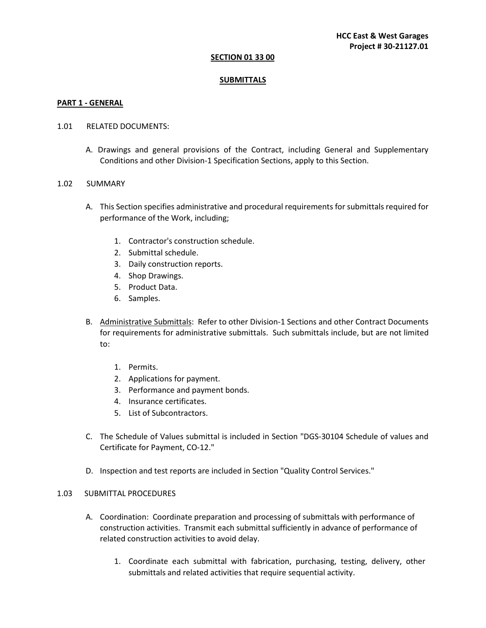#### **SECTION 01 33 00**

#### **SUBMITTALS**

#### **PART 1 - GENERAL**

#### 1.01 RELATED DOCUMENTS:

A. Drawings and general provisions of the Contract, including General and Supplementary Conditions and other Division-1 Specification Sections, apply to this Section.

#### 1.02 SUMMARY

- A. This Section specifies administrative and procedural requirements for submittals required for performance of the Work, including;
	- 1. Contractor's construction schedule.
	- 2. Submittal schedule.
	- 3. Daily construction reports.
	- 4. Shop Drawings.
	- 5. Product Data.
	- 6. Samples.
- B. Administrative Submittals: Refer to other Division-1 Sections and other Contract Documents for requirements for administrative submittals. Such submittals include, but are not limited to:
	- 1. Permits.
	- 2. Applications for payment.
	- 3. Performance and payment bonds.
	- 4. Insurance certificates.
	- 5. List of Subcontractors.
- C. The Schedule of Values submittal is included in Section "DGS-30104 Schedule of values and Certificate for Payment, CO-12."
- D. Inspection and test reports are included in Section "Quality Control Services."

#### 1.03SUBMITTAL PROCEDURES

- A. Coordination: Coordinate preparation and processing of submittals with performance of construction activities. Transmit each submittal sufficiently in advance of performance of related construction activities to avoid delay.
	- 1. Coordinate each submittal with fabrication, purchasing, testing, delivery, other submittals and related activities that require sequential activity.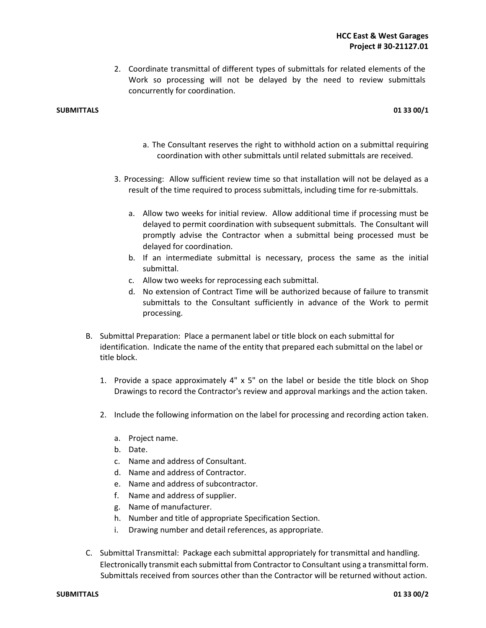2. Coordinate transmittal of different types of submittals for related elements of the Work so processing will not be delayed by the need to review submittals concurrently for coordination.

#### **SUBMITTALS 01 33 00/1**

- a. The Consultant reserves the right to withhold action on a submittal requiring coordination with other submittals until related submittals are received.
- 3. Processing: Allow sufficient review time so that installation will not be delayed as a result of the time required to process submittals, including time for re-submittals.
	- a. Allow two weeks for initial review. Allow additional time if processing must be delayed to permit coordination with subsequent submittals. The Consultant will promptly advise the Contractor when a submittal being processed must be delayed for coordination.
	- b. If an intermediate submittal is necessary, process the same as the initial submittal.
	- c. Allow two weeks for reprocessing each submittal.
	- d. No extension of Contract Time will be authorized because of failure to transmit submittals to the Consultant sufficiently in advance of the Work to permit processing.
- B. Submittal Preparation: Place a permanent label or title block on each submittal for identification. Indicate the name of the entity that prepared each submittal on the label or title block.
	- 1. Provide a space approximately  $4'' \times 5''$  on the label or beside the title block on Shop Drawings to record the Contractor's review and approval markings and the action taken.
	- 2. Include the following information on the label for processing and recording action taken.
		- a. Project name.
		- b. Date.
		- c. Name and address of Consultant.
		- d. Name and address of Contractor.
		- e. Name and address of subcontractor.
		- f. Name and address of supplier.
		- g. Name of manufacturer.
		- h. Number and title of appropriate Specification Section.
		- i. Drawing number and detail references, as appropriate.
- C. Submittal Transmittal: Package each submittal appropriately for transmittal and handling. Electronically transmit each submittal from Contractor to Consultant using a transmittal form. Submittals received from sources other than the Contractor will be returned without action.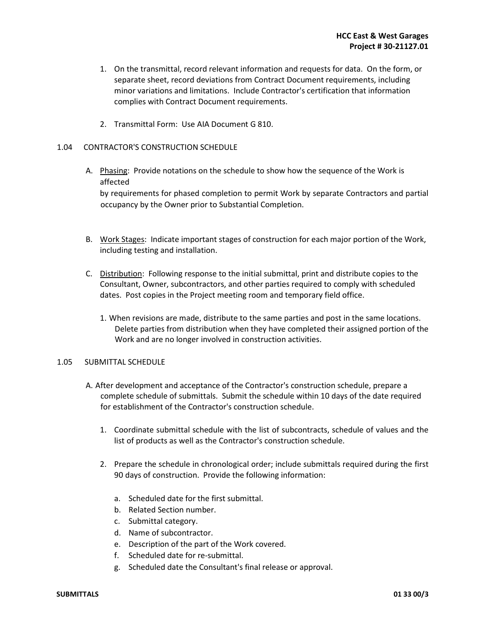- 1. On the transmittal, record relevant information and requests for data. On the form, or separate sheet, record deviations from Contract Document requirements, including minor variations and limitations. Include Contractor's certification that information complies with Contract Document requirements.
- 2. Transmittal Form: Use AIA Document G 810.

#### 1.04 CONTRACTOR'S CONSTRUCTION SCHEDULE

- A. Phasing: Provide notations on the schedule to show how the sequence of the Work is affected by requirements for phased completion to permit Work by separate Contractors and partial occupancy by the Owner prior to Substantial Completion.
- B. Work Stages: Indicate important stages of construction for each major portion of the Work, including testing and installation.
- C. Distribution: Following response to the initial submittal, print and distribute copies to the Consultant, Owner, subcontractors, and other parties required to comply with scheduled dates. Post copies in the Project meeting room and temporary field office.
	- 1. When revisions are made, distribute to the same parties and post in the same locations. Delete parties from distribution when they have completed their assigned portion of the Work and are no longer involved in construction activities.

#### 1.05 SUBMITTAL SCHEDULE

- A. After development and acceptance of the Contractor's construction schedule, prepare a complete schedule of submittals. Submit the schedule within 10 days of the date required for establishment of the Contractor's construction schedule.
	- 1. Coordinate submittal schedule with the list of subcontracts, schedule of values and the list of products as well as the Contractor's construction schedule.
	- 2. Prepare the schedule in chronological order; include submittals required during the first 90 days of construction. Provide the following information:
		- a. Scheduled date for the first submittal.
		- b. Related Section number.
		- c. Submittal category.
		- d. Name of subcontractor.
		- e. Description of the part of the Work covered.
		- f. Scheduled date for re-submittal.
		- g. Scheduled date the Consultant's final release or approval.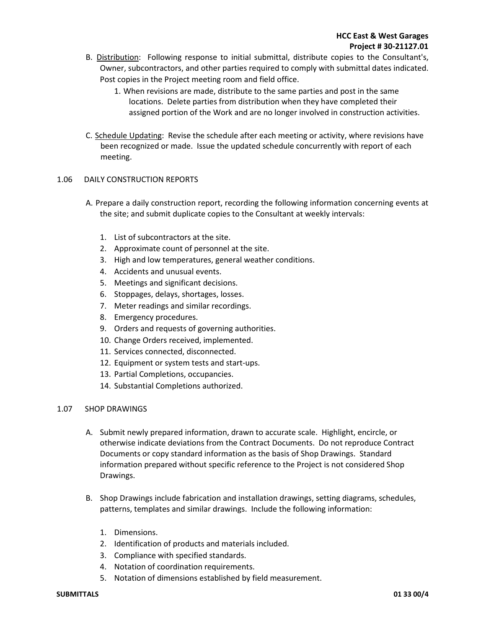- B. Distribution: Following response to initial submittal, distribute copies to the Consultant's, Owner, subcontractors, and other parties required to comply with submittal dates indicated. Post copies in the Project meeting room and field office.
	- 1. When revisions are made, distribute to the same parties and post in the same locations. Delete parties from distribution when they have completed their assigned portion of the Work and are no longer involved in construction activities.
- C. Schedule Updating: Revise the schedule after each meeting or activity, where revisions have been recognized or made. Issue the updated schedule concurrently with report of each meeting.

#### 1.06 DAILY CONSTRUCTION REPORTS

- A. Prepare a daily construction report, recording the following information concerning events at the site; and submit duplicate copies to the Consultant at weekly intervals:
	- 1. List of subcontractors at the site.
	- 2. Approximate count of personnel at the site.
	- 3. High and low temperatures, general weather conditions.
	- 4. Accidents and unusual events.
	- 5. Meetings and significant decisions.
	- 6. Stoppages, delays, shortages, losses.
	- 7. Meter readings and similar recordings.
	- 8. Emergency procedures.
	- 9. Orders and requests of governing authorities.
	- 10. Change Orders received, implemented.
	- 11. Services connected, disconnected.
	- 12. Equipment or system tests and start-ups.
	- 13. Partial Completions, occupancies.
	- 14. Substantial Completions authorized.

#### 1.07 SHOP DRAWINGS

- A. Submit newly prepared information, drawn to accurate scale. Highlight, encircle, or otherwise indicate deviations from the Contract Documents. Do not reproduce Contract Documents or copy standard information as the basis of Shop Drawings. Standard information prepared without specific reference to the Project is not considered Shop Drawings.
- B. Shop Drawings include fabrication and installation drawings, setting diagrams, schedules, patterns, templates and similar drawings. Include the following information:
	- 1. Dimensions.
	- 2. Identification of products and materials included.
	- 3. Compliance with specified standards.
	- 4. Notation of coordination requirements.
	- 5. Notation of dimensions established by field measurement.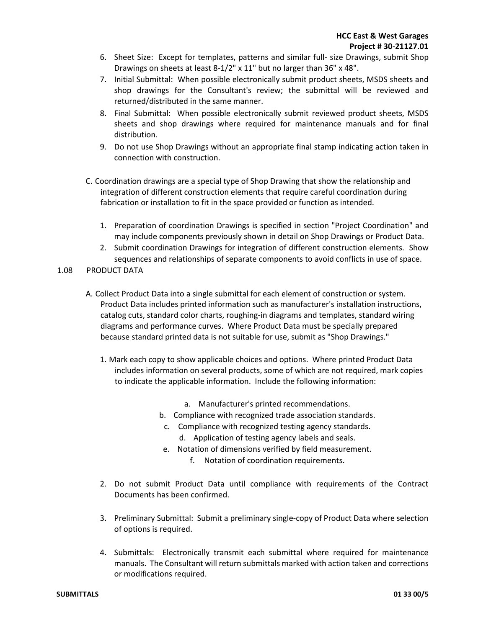- 6. Sheet Size: Except for templates, patterns and similar full- size Drawings, submit Shop Drawings on sheets at least 8-1/2" x 11" but no larger than 36" x 48".
- 7. Initial Submittal: When possible electronically submit product sheets, MSDS sheets and shop drawings for the Consultant's review; the submittal will be reviewed and returned/distributed in the same manner.
- 8. Final Submittal: When possible electronically submit reviewed product sheets, MSDS sheets and shop drawings where required for maintenance manuals and for final distribution.
- 9. Do not use Shop Drawings without an appropriate final stamp indicating action taken in connection with construction.
- C. Coordination drawings are a special type of Shop Drawing that show the relationship and integration of different construction elements that require careful coordination during fabrication or installation to fit in the space provided or function as intended.
	- 1. Preparation of coordination Drawings is specified in section "Project Coordination" and may include components previously shown in detail on Shop Drawings or Product Data.
	- 2. Submit coordination Drawings for integration of different construction elements. Show sequences and relationships of separate components to avoid conflicts in use of space.
- 1.08 PRODUCT DATA
	- A. Collect Product Data into a single submittal for each element of construction or system. Product Data includes printed information such as manufacturer's installation instructions, catalog cuts, standard color charts, roughing-in diagrams and templates, standard wiring diagrams and performance curves. Where Product Data must be specially prepared because standard printed data is not suitable for use, submit as "Shop Drawings."
		- 1. Mark each copy to show applicable choices and options. Where printed Product Data includes information on several products, some of which are not required, mark copies to indicate the applicable information. Include the following information:
			- a. Manufacturer's printed recommendations.
			- b. Compliance with recognized trade association standards.
			- c. Compliance with recognized testing agency standards.
				- d. Application of testing agency labels and seals.
			- e. Notation of dimensions verified by field measurement.
				- f. Notation of coordination requirements.
		- 2. Do not submit Product Data until compliance with requirements of the Contract Documents has been confirmed.
		- 3. Preliminary Submittal: Submit a preliminary single-copy of Product Data where selection of options is required.
		- 4. Submittals: Electronically transmit each submittal where required for maintenance manuals. The Consultant will return submittals marked with action taken and corrections or modifications required.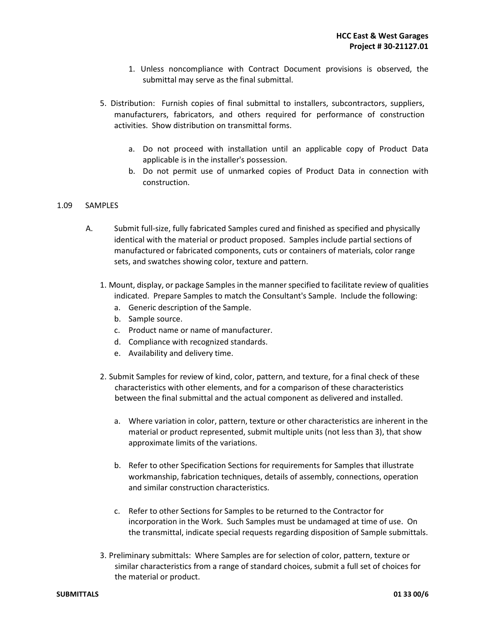- 1. Unless noncompliance with Contract Document provisions is observed, the submittal may serve as the final submittal.
- 5. Distribution: Furnish copies of final submittal to installers, subcontractors, suppliers, manufacturers, fabricators, and others required for performance of construction activities. Show distribution on transmittal forms.
	- a. Do not proceed with installation until an applicable copy of Product Data applicable is in the installer's possession.
	- b. Do not permit use of unmarked copies of Product Data in connection with construction.

#### 1.09 SAMPLES

- A. Submit full-size, fully fabricated Samples cured and finished as specified and physically identical with the material or product proposed. Samples include partial sections of manufactured or fabricated components, cuts or containers of materials, color range sets, and swatches showing color, texture and pattern.
	- 1. Mount, display, or package Samples in the manner specified to facilitate review of qualities indicated. Prepare Samples to match the Consultant's Sample. Include the following:
		- a. Generic description of the Sample.
		- b. Sample source.
		- c. Product name or name of manufacturer.
		- d. Compliance with recognized standards.
		- e. Availability and delivery time.
	- 2. Submit Samples for review of kind, color, pattern, and texture, for a final check of these characteristics with other elements, and for a comparison of these characteristics between the final submittal and the actual component as delivered and installed.
		- a. Where variation in color, pattern, texture or other characteristics are inherent in the material or product represented, submit multiple units (not less than 3), that show approximate limits of the variations.
		- b. Refer to other Specification Sections for requirements for Samples that illustrate workmanship, fabrication techniques, details of assembly, connections, operation and similar construction characteristics.
		- c. Refer to other Sections for Samples to be returned to the Contractor for incorporation in the Work. Such Samples must be undamaged at time of use. On the transmittal, indicate special requests regarding disposition of Sample submittals.
	- 3. Preliminary submittals: Where Samples are for selection of color, pattern, texture or similar characteristics from a range of standard choices, submit a full set of choices for the material or product.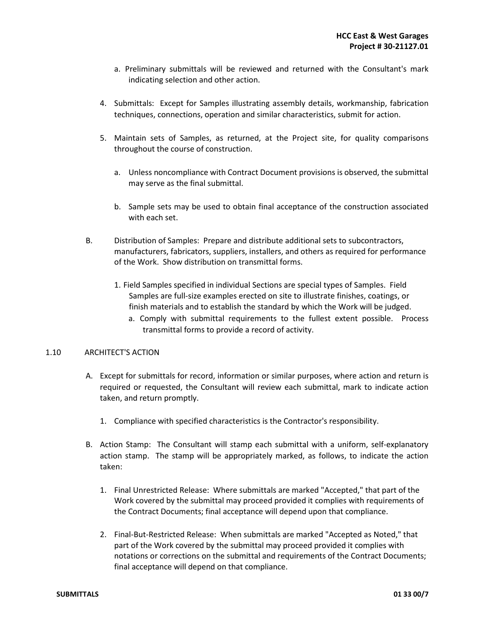- a. Preliminary submittals will be reviewed and returned with the Consultant's mark indicating selection and other action.
- 4. Submittals: Except for Samples illustrating assembly details, workmanship, fabrication techniques, connections, operation and similar characteristics, submit for action.
- 5. Maintain sets of Samples, as returned, at the Project site, for quality comparisons throughout the course of construction.
	- a. Unless noncompliance with Contract Document provisions is observed, the submittal may serve as the final submittal.
	- b. Sample sets may be used to obtain final acceptance of the construction associated with each set.
- B. Distribution of Samples: Prepare and distribute additional sets to subcontractors, manufacturers, fabricators, suppliers, installers, and others as required for performance of the Work. Show distribution on transmittal forms.
	- 1. Field Samples specified in individual Sections are special types of Samples. Field Samples are full-size examples erected on site to illustrate finishes, coatings, or finish materials and to establish the standard by which the Work will be judged.
		- a. Comply with submittal requirements to the fullest extent possible. Process transmittal forms to provide a record of activity.

#### 1.10 ARCHITECT'S ACTION

- A. Except for submittals for record, information or similar purposes, where action and return is required or requested, the Consultant will review each submittal, mark to indicate action taken, and return promptly.
	- 1. Compliance with specified characteristics is the Contractor's responsibility.
- B. Action Stamp: The Consultant will stamp each submittal with a uniform, self-explanatory action stamp. The stamp will be appropriately marked, as follows, to indicate the action taken:
	- 1. Final Unrestricted Release: Where submittals are marked "Accepted," that part of the Work covered by the submittal may proceed provided it complies with requirements of the Contract Documents; final acceptance will depend upon that compliance.
	- 2. Final-But-Restricted Release: When submittals are marked "Accepted as Noted," that part of the Work covered by the submittal may proceed provided it complies with notations or corrections on the submittal and requirements of the Contract Documents; final acceptance will depend on that compliance.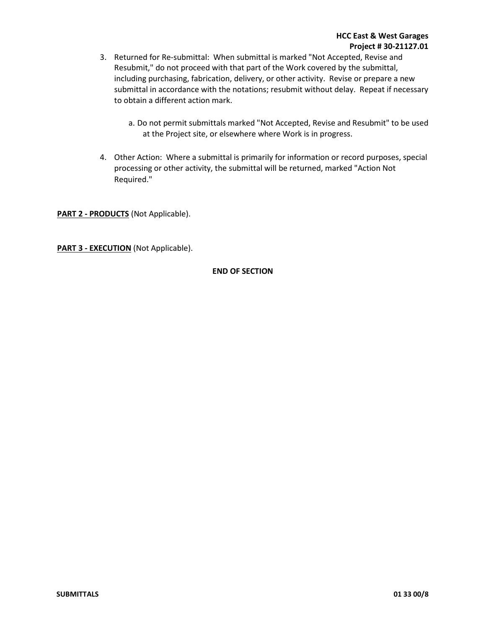- 3. Returned for Re-submittal: When submittal is marked "Not Accepted, Revise and Resubmit," do not proceed with that part of the Work covered by the submittal, including purchasing, fabrication, delivery, or other activity. Revise or prepare a new submittal in accordance with the notations; resubmit without delay. Repeat if necessary to obtain a different action mark.
	- a. Do not permit submittals marked "Not Accepted, Revise and Resubmit" to be used at the Project site, or elsewhere where Work is in progress.
- 4. Other Action: Where a submittal is primarily for information or record purposes, special processing or other activity, the submittal will be returned, marked "Action Not Required."

**PART 2 - PRODUCTS** (Not Applicable).

**PART 3 - EXECUTION** (Not Applicable).

#### **END OF SECTION**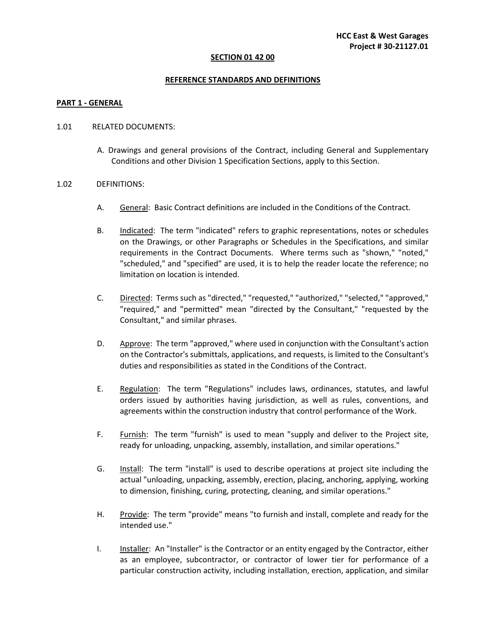#### **SECTION 01 42 00**

#### **REFERENCE STANDARDS AND DEFINITIONS**

#### **PART 1 - GENERAL**

#### 1.01RELATED DOCUMENTS:

A. Drawings and general provisions of the Contract, including General and Supplementary Conditions and other Division 1 Specification Sections, apply to this Section.

#### 1.02DEFINITIONS:

- A. General: Basic Contract definitions are included in the Conditions of the Contract.
- B. Indicated: The term "indicated" refers to graphic representations, notes or schedules on the Drawings, or other Paragraphs or Schedules in the Specifications, and similar requirements in the Contract Documents. Where terms such as "shown," "noted," "scheduled," and "specified" are used, it is to help the reader locate the reference; no limitation on location is intended.
- C. Directed: Terms such as "directed," "requested," "authorized," "selected," "approved," "required," and "permitted" mean "directed by the Consultant," "requested by the Consultant," and similar phrases.
- D. Approve: The term "approved," where used in conjunction with the Consultant's action on the Contractor's submittals, applications, and requests, is limited to the Consultant's duties and responsibilities as stated in the Conditions of the Contract.
- E. Regulation: The term "Regulations" includes laws, ordinances, statutes, and lawful orders issued by authorities having jurisdiction, as well as rules, conventions, and agreements within the construction industry that control performance of the Work.
- F. Furnish: The term "furnish" is used to mean "supply and deliver to the Project site, ready for unloading, unpacking, assembly, installation, and similar operations."
- G. Install: The term "install" is used to describe operations at project site including the actual "unloading, unpacking, assembly, erection, placing, anchoring, applying, working to dimension, finishing, curing, protecting, cleaning, and similar operations."
- H. Provide: The term "provide" means "to furnish and install, complete and ready for the intended use."
- I. Installer: An "Installer" is the Contractor or an entity engaged by the Contractor, either as an employee, subcontractor, or contractor of lower tier for performance of a particular construction activity, including installation, erection, application, and similar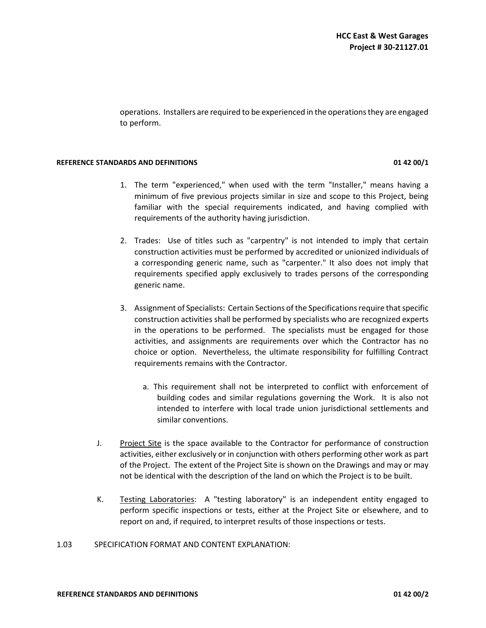operations. Installers are required to be experienced in the operations they are engaged to perform.

#### **REFERENCE STANDARDS AND DEFINITIONS 01 42 00/1**

### 1. The term "experienced," when used with the term "Installer," means having a minimum of five previous projects similar in size and scope to this Project, being familiar with the special requirements indicated, and having complied with requirements of the authority having jurisdiction.

- 2. Trades: Use of titles such as "carpentry" is not intended to imply that certain construction activities must be performed by accredited or unionized individuals of a corresponding generic name, such as "carpenter." It also does not imply that requirements specified apply exclusively to trades persons of the corresponding generic name.
- 3. Assignment of Specialists: Certain Sections of the Specifications require that specific construction activities shall be performed by specialists who are recognized experts in the operations to be performed. The specialists must be engaged for those activities, and assignments are requirements over which the Contractor has no choice or option. Nevertheless, the ultimate responsibility for fulfilling Contract requirements remains with the Contractor.
	- a. This requirement shall not be interpreted to conflict with enforcement of building codes and similar regulations governing the Work. It is also not intended to interfere with local trade union jurisdictional settlements and similar conventions.
- J. Project Site is the space available to the Contractor for performance of construction activities, either exclusively or in conjunction with others performing other work as part of the Project. The extent of the Project Site is shown on the Drawings and may or may not be identical with the description of the land on which the Project is to be built.
- K. Testing Laboratories: A "testing laboratory" is an independent entity engaged to perform specific inspections or tests, either at the Project Site or elsewhere, and to report on and, if required, to interpret results of those inspections or tests.

#### 1.03SPECIFICATION FORMAT AND CONTENT EXPLANATION: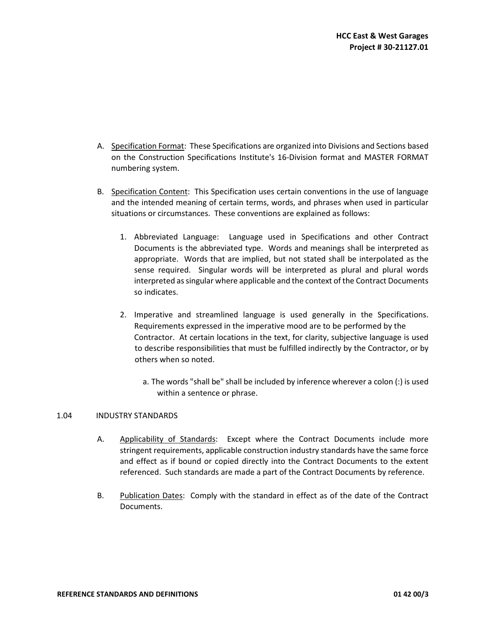- A. Specification Format: These Specifications are organized into Divisions and Sections based on the Construction Specifications Institute's 16-Division format and MASTER FORMAT numbering system.
- B. Specification Content: This Specification uses certain conventions in the use of language and the intended meaning of certain terms, words, and phrases when used in particular situations or circumstances. These conventions are explained as follows:
	- 1. Abbreviated Language: Language used in Specifications and other Contract Documents is the abbreviated type. Words and meanings shall be interpreted as appropriate. Words that are implied, but not stated shall be interpolated as the sense required. Singular words will be interpreted as plural and plural words interpreted as singular where applicable and the context of the Contract Documents so indicates.
	- 2. Imperative and streamlined language is used generally in the Specifications. Requirements expressed in the imperative mood are to be performed by the Contractor. At certain locations in the text, for clarity, subjective language is used to describe responsibilities that must be fulfilled indirectly by the Contractor, or by others when so noted.
		- a. The words "shall be" shall be included by inference wherever a colon (:) is used within a sentence or phrase.

#### 1.04INDUSTRY STANDARDS

- A. Applicability of Standards: Except where the Contract Documents include more stringent requirements, applicable construction industry standards have the same force and effect as if bound or copied directly into the Contract Documents to the extent referenced. Such standards are made a part of the Contract Documents by reference.
- B. Publication Dates: Comply with the standard in effect as of the date of the Contract Documents.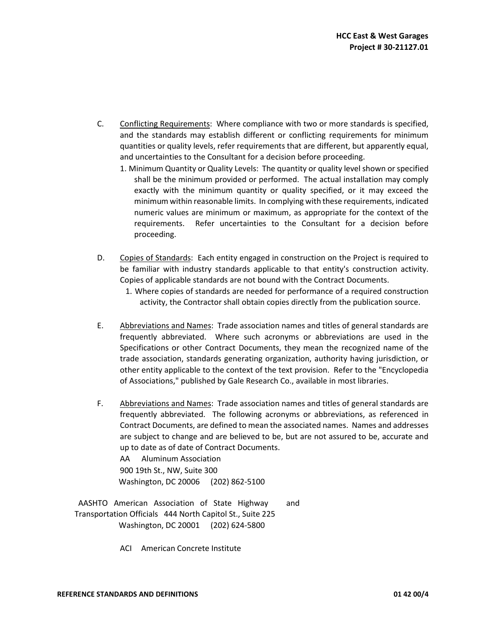- C. Conflicting Requirements: Where compliance with two or more standards is specified, and the standards may establish different or conflicting requirements for minimum quantities or quality levels, refer requirements that are different, but apparently equal, and uncertainties to the Consultant for a decision before proceeding.
	- 1. Minimum Quantity or Quality Levels: The quantity or quality level shown or specified shall be the minimum provided or performed. The actual installation may comply exactly with the minimum quantity or quality specified, or it may exceed the minimum within reasonable limits. In complying with these requirements, indicated numeric values are minimum or maximum, as appropriate for the context of the requirements. Refer uncertainties to the Consultant for a decision before proceeding.
- D. Copies of Standards: Each entity engaged in construction on the Project is required to be familiar with industry standards applicable to that entity's construction activity. Copies of applicable standards are not bound with the Contract Documents.
	- 1. Where copies of standards are needed for performance of a required construction activity, the Contractor shall obtain copies directly from the publication source.
- E. Abbreviations and Names: Trade association names and titles of general standards are frequently abbreviated. Where such acronyms or abbreviations are used in the Specifications or other Contract Documents, they mean the recognized name of the trade association, standards generating organization, authority having jurisdiction, or other entity applicable to the context of the text provision. Refer to the "Encyclopedia of Associations," published by Gale Research Co., available in most libraries.
- F. Abbreviations and Names: Trade association names and titles of general standards are frequently abbreviated. The following acronyms or abbreviations, as referenced in Contract Documents, are defined to mean the associated names. Names and addresses are subject to change and are believed to be, but are not assured to be, accurate and up to date as of date of Contract Documents.

 AA Aluminum Association 900 19th St., NW, Suite 300 Washington, DC 20006 (202) 862-5100

 AASHTO American Association of State Highway and Transportation Officials 444 North Capitol St., Suite 225 Washington, DC 20001 (202) 624-5800

ACI American Concrete Institute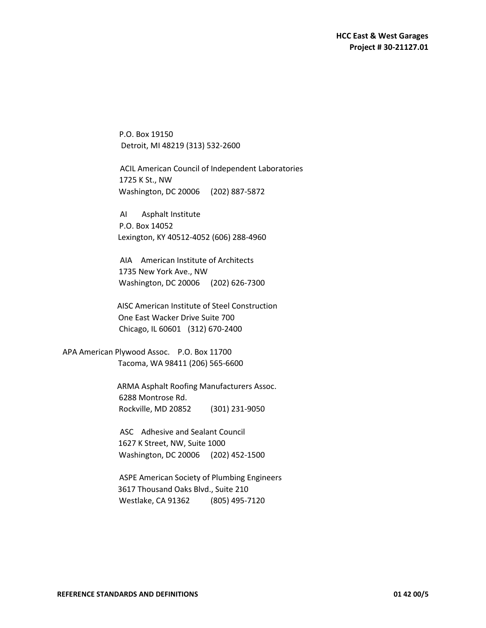P.O. Box 19150 Detroit, MI 48219 (313) 532-2600

 ACIL American Council of Independent Laboratories 1725 K St., NW Washington, DC 20006 (202) 887-5872

 AI Asphalt Institute P.O. Box 14052 Lexington, KY 40512-4052 (606) 288-4960

 AIA American Institute of Architects 1735 New York Ave., NW Washington, DC 20006 (202) 626-7300

 AISC American Institute of Steel Construction One East Wacker Drive Suite 700 Chicago, IL 60601 (312) 670-2400

 APA American Plywood Assoc. P.O. Box 11700 Tacoma, WA 98411 (206) 565-6600

> ARMA Asphalt Roofing Manufacturers Assoc. 6288 Montrose Rd. Rockville, MD 20852 (301) 231-9050

 ASC Adhesive and Sealant Council 1627 K Street, NW, Suite 1000 Washington, DC 20006 (202) 452-1500

 ASPE American Society of Plumbing Engineers 3617 Thousand Oaks Blvd., Suite 210 Westlake, CA 91362 (805) 495-7120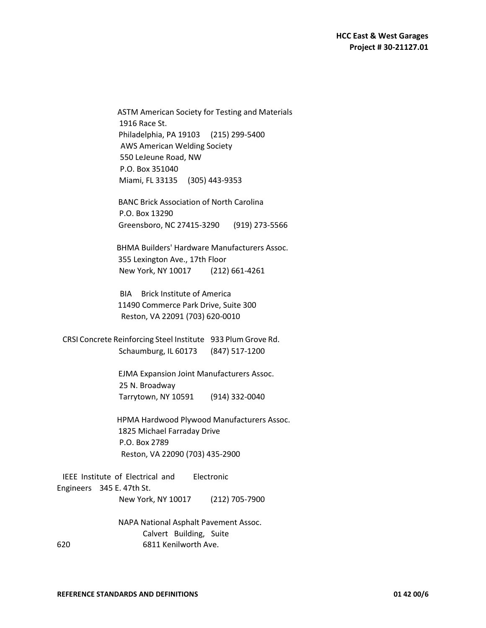ASTM American Society for Testing and Materials 1916 Race St. Philadelphia, PA 19103 (215) 299-5400 AWS American Welding Society 550 LeJeune Road, NW P.O. Box 351040 Miami, FL 33135 (305) 443-9353

 BANC Brick Association of North Carolina P.O. Box 13290 Greensboro, NC 27415-3290 (919) 273-5566

 BHMA Builders' Hardware Manufacturers Assoc. 355 Lexington Ave., 17th Floor New York, NY 10017 (212) 661-4261

 BIA Brick Institute of America 11490 Commerce Park Drive, Suite 300 Reston, VA 22091 (703) 620-0010

 CRSI Concrete Reinforcing Steel Institute 933 Plum Grove Rd. Schaumburg, IL 60173 (847) 517-1200

> EJMA Expansion Joint Manufacturers Assoc. 25 N. Broadway Tarrytown, NY 10591 (914) 332-0040

 HPMA Hardwood Plywood Manufacturers Assoc. 1825 Michael Farraday Drive P.O. Box 2789 Reston, VA 22090 (703) 435-2900

 IEEE Institute of Electrical and Electronic Engineers 345 E. 47th St.

New York, NY 10017 (212) 705-7900

 NAPA National Asphalt Pavement Assoc. Calvert Building, Suite 620 6811 Kenilworth Ave.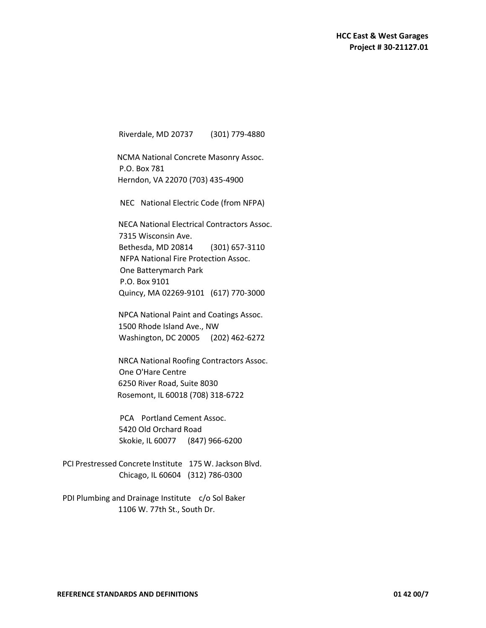Riverdale, MD 20737 (301) 779-4880

 NCMA National Concrete Masonry Assoc. P.O. Box 781 Herndon, VA 22070 (703) 435-4900

NEC National Electric Code (from NFPA)

 NECA National Electrical Contractors Assoc. 7315 Wisconsin Ave. Bethesda, MD 20814 (301) 657-3110 NFPA National Fire Protection Assoc. One Batterymarch Park P.O. Box 9101 Quincy, MA 02269-9101 (617) 770-3000

 NPCA National Paint and Coatings Assoc. 1500 Rhode Island Ave., NW Washington, DC 20005 (202) 462-6272

 NRCA National Roofing Contractors Assoc. One O'Hare Centre 6250 River Road, Suite 8030 Rosemont, IL 60018 (708) 318-6722

 PCA Portland Cement Assoc. 5420 Old Orchard Road Skokie, IL 60077 (847) 966-6200

 PCI Prestressed Concrete Institute 175 W. Jackson Blvd. Chicago, IL 60604 (312) 786-0300

PDI Plumbing and Drainage Institute c/o Sol Baker 1106 W. 77th St., South Dr.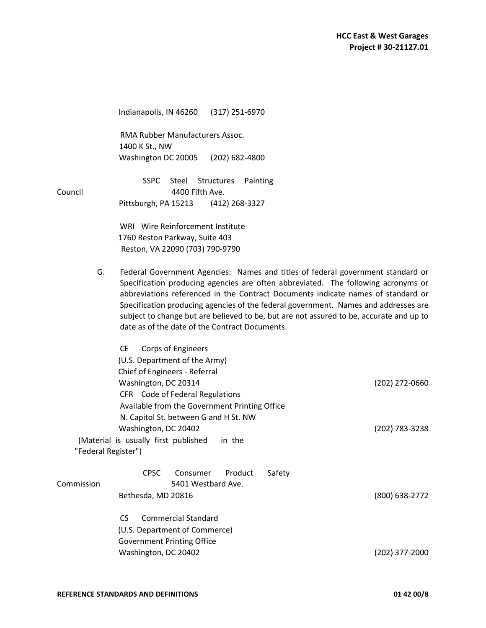Indianapolis, IN 46260 (317) 251-6970

 RMA Rubber Manufacturers Assoc. 1400 K St., NW Washington DC 20005 (202) 682-4800

 SSPC Steel Structures Painting Council 4400 Fifth Ave. Pittsburgh, PA 15213 (412) 268-3327

> WRI Wire Reinforcement Institute 1760 Reston Parkway, Suite 403 Reston, VA 22090 (703) 790-9790

G. Federal Government Agencies: Names and titles of federal government standard or Specification producing agencies are often abbreviated. The following acronyms or abbreviations referenced in the Contract Documents indicate names of standard or Specification producing agencies of the federal government. Names and addresses are subject to change but are believed to be, but are not assured to be, accurate and up to date as of the date of the Contract Documents.

|                                                         | CE.<br>Corps of Engineers                      |                |
|---------------------------------------------------------|------------------------------------------------|----------------|
|                                                         | (U.S. Department of the Army)                  |                |
|                                                         | Chief of Engineers - Referral                  |                |
| Washington, DC 20314<br>CFR Code of Federal Regulations |                                                | (202) 272-0660 |
|                                                         |                                                |                |
|                                                         | Available from the Government Printing Office  |                |
|                                                         | N. Capitol St. between G and H St. NW          |                |
| Washington, DC 20402                                    |                                                | (202) 783-3238 |
|                                                         | (Material is usually first published<br>in the |                |
| "Federal Register")                                     |                                                |                |
|                                                         | <b>CPSC</b><br>Product<br>Consumer<br>Safety   |                |
| Commission                                              | 5401 Westbard Ave.                             |                |
|                                                         | Bethesda, MD 20816                             | (800) 638-2772 |
|                                                         | <b>Commercial Standard</b><br>CS.              |                |
|                                                         | (U.S. Department of Commerce)                  |                |
|                                                         | Government Printing Office                     |                |
|                                                         | Washington, DC 20402                           | (202) 377-2000 |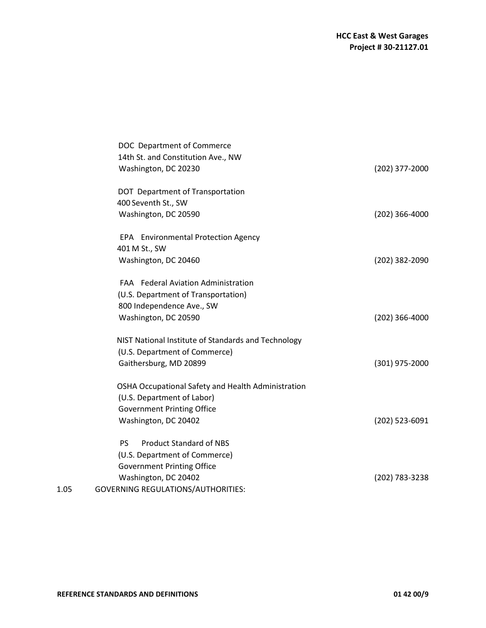|      | DOC Department of Commerce                          |                  |
|------|-----------------------------------------------------|------------------|
|      | 14th St. and Constitution Ave., NW                  |                  |
|      | Washington, DC 20230                                | (202) 377-2000   |
|      | DOT Department of Transportation                    |                  |
|      | 400 Seventh St., SW                                 |                  |
|      | Washington, DC 20590                                | $(202)$ 366-4000 |
|      | EPA Environmental Protection Agency                 |                  |
|      | 401 M St., SW                                       |                  |
|      | Washington, DC 20460                                | (202) 382-2090   |
|      | FAA Federal Aviation Administration                 |                  |
|      | (U.S. Department of Transportation)                 |                  |
|      | 800 Independence Ave., SW                           |                  |
|      | Washington, DC 20590                                | $(202)$ 366-4000 |
|      | NIST National Institute of Standards and Technology |                  |
|      | (U.S. Department of Commerce)                       |                  |
|      | Gaithersburg, MD 20899                              | $(301)$ 975-2000 |
|      | OSHA Occupational Safety and Health Administration  |                  |
|      | (U.S. Department of Labor)                          |                  |
|      | <b>Government Printing Office</b>                   |                  |
|      | Washington, DC 20402                                | (202) 523-6091   |
|      | <b>Product Standard of NBS</b><br><b>PS</b>         |                  |
|      | (U.S. Department of Commerce)                       |                  |
|      | <b>Government Printing Office</b>                   |                  |
|      | Washington, DC 20402                                | (202) 783-3238   |
| 1.05 | <b>GOVERNING REGULATIONS/AUTHORITIES:</b>           |                  |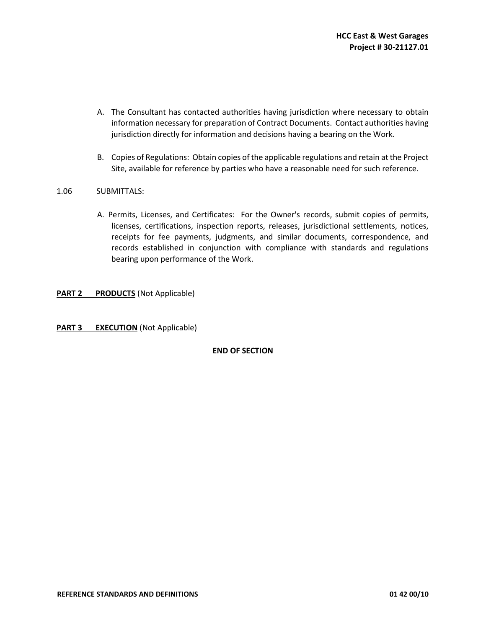- A. The Consultant has contacted authorities having jurisdiction where necessary to obtain information necessary for preparation of Contract Documents. Contact authorities having jurisdiction directly for information and decisions having a bearing on the Work.
- B. Copies of Regulations: Obtain copies of the applicable regulations and retain at the Project Site, available for reference by parties who have a reasonable need for such reference.

#### 1.06SUBMITTALS:

A. Permits, Licenses, and Certificates: For the Owner's records, submit copies of permits, licenses, certifications, inspection reports, releases, jurisdictional settlements, notices, receipts for fee payments, judgments, and similar documents, correspondence, and records established in conjunction with compliance with standards and regulations bearing upon performance of the Work.

#### **PART 2 PRODUCTS** (Not Applicable)

**PART 3 EXECUTION** (Not Applicable)

#### **END OF SECTION**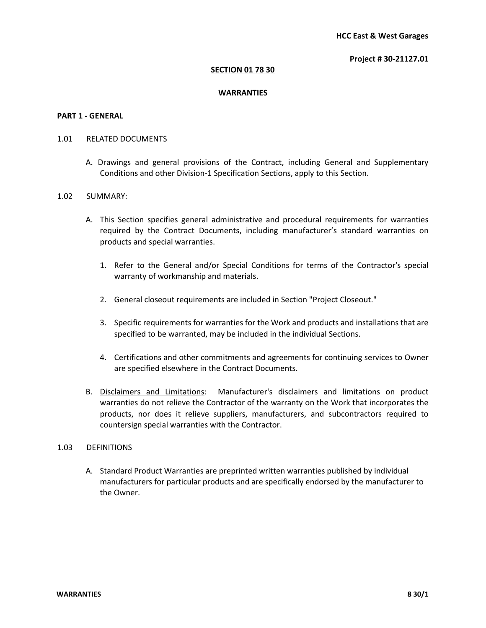#### **Project # 30-21127.01**

#### **SECTION 01 78 30**

#### **WARRANTIES**

#### **PART 1 - GENERAL**

#### 1.01 RELATED DOCUMENTS

A. Drawings and general provisions of the Contract, including General and Supplementary Conditions and other Division-1 Specification Sections, apply to this Section.

#### 1.02 SUMMARY:

- A. This Section specifies general administrative and procedural requirements for warranties required by the Contract Documents, including manufacturer's standard warranties on products and special warranties.
	- 1. Refer to the General and/or Special Conditions for terms of the Contractor's special warranty of workmanship and materials.
	- 2. General closeout requirements are included in Section "Project Closeout."
	- 3. Specific requirements for warranties for the Work and products and installations that are specified to be warranted, may be included in the individual Sections.
	- 4. Certifications and other commitments and agreements for continuing services to Owner are specified elsewhere in the Contract Documents.
- B. Disclaimers and Limitations: Manufacturer's disclaimers and limitations on product warranties do not relieve the Contractor of the warranty on the Work that incorporates the products, nor does it relieve suppliers, manufacturers, and subcontractors required to countersign special warranties with the Contractor.

## 1.03 DEFINITIONS

A. Standard Product Warranties are preprinted written warranties published by individual manufacturers for particular products and are specifically endorsed by the manufacturer to the Owner.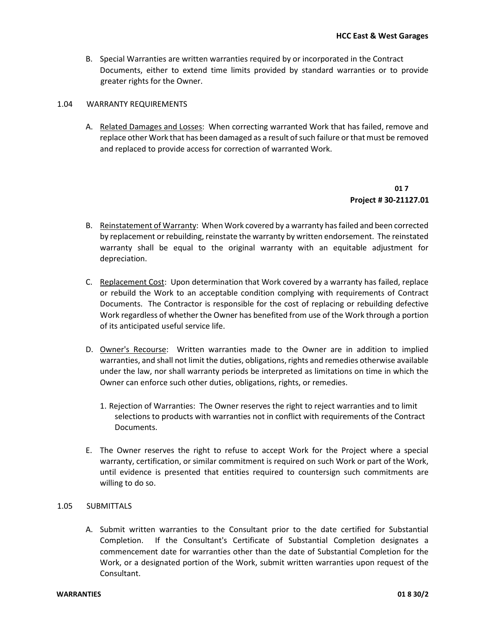- B. Special Warranties are written warranties required by or incorporated in the Contract Documents, either to extend time limits provided by standard warranties or to provide greater rights for the Owner.
- 1.04 WARRANTY REQUIREMENTS
	- A. Related Damages and Losses: When correcting warranted Work that has failed, remove and replace other Work that has been damaged as a result of such failure or that must be removed and replaced to provide access for correction of warranted Work.

## **01 7 Project # 30-21127.01**

- B. Reinstatement of Warranty: When Work covered by a warranty has failed and been corrected by replacement or rebuilding, reinstate the warranty by written endorsement. The reinstated warranty shall be equal to the original warranty with an equitable adjustment for depreciation.
- C. Replacement Cost: Upon determination that Work covered by a warranty has failed, replace or rebuild the Work to an acceptable condition complying with requirements of Contract Documents. The Contractor is responsible for the cost of replacing or rebuilding defective Work regardless of whether the Owner has benefited from use of the Work through a portion of its anticipated useful service life.
- D. Owner's Recourse: Written warranties made to the Owner are in addition to implied warranties, and shall not limit the duties, obligations, rights and remedies otherwise available under the law, nor shall warranty periods be interpreted as limitations on time in which the Owner can enforce such other duties, obligations, rights, or remedies.
	- 1. Rejection of Warranties: The Owner reserves the right to reject warranties and to limit selections to products with warranties not in conflict with requirements of the Contract Documents.
- E. The Owner reserves the right to refuse to accept Work for the Project where a special warranty, certification, or similar commitment is required on such Work or part of the Work, until evidence is presented that entities required to countersign such commitments are willing to do so.

## 1.05 SUBMITTALS

A. Submit written warranties to the Consultant prior to the date certified for Substantial Completion. If the Consultant's Certificate of Substantial Completion designates a commencement date for warranties other than the date of Substantial Completion for the Work, or a designated portion of the Work, submit written warranties upon request of the Consultant.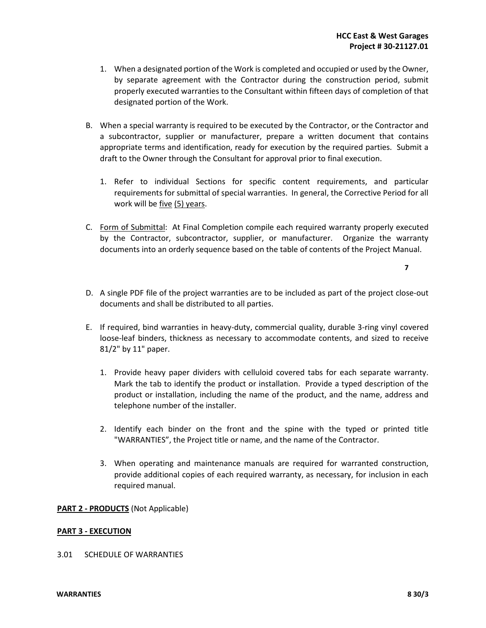- 1. When a designated portion of the Work is completed and occupied or used by the Owner, by separate agreement with the Contractor during the construction period, submit properly executed warranties to the Consultant within fifteen days of completion of that designated portion of the Work.
- B. When a special warranty is required to be executed by the Contractor, or the Contractor and a subcontractor, supplier or manufacturer, prepare a written document that contains appropriate terms and identification, ready for execution by the required parties. Submit a draft to the Owner through the Consultant for approval prior to final execution.
	- 1. Refer to individual Sections for specific content requirements, and particular requirements for submittal of special warranties. In general, the Corrective Period for all work will be five (5) years.
- C. Form of Submittal: At Final Completion compile each required warranty properly executed by the Contractor, subcontractor, supplier, or manufacturer. Organize the warranty documents into an orderly sequence based on the table of contents of the Project Manual.

**7**

- D. A single PDF file of the project warranties are to be included as part of the project close-out documents and shall be distributed to all parties.
- E. If required, bind warranties in heavy-duty, commercial quality, durable 3-ring vinyl covered loose-leaf binders, thickness as necessary to accommodate contents, and sized to receive 81/2" by 11" paper.
	- 1. Provide heavy paper dividers with celluloid covered tabs for each separate warranty. Mark the tab to identify the product or installation. Provide a typed description of the product or installation, including the name of the product, and the name, address and telephone number of the installer.
	- 2. Identify each binder on the front and the spine with the typed or printed title "WARRANTIES", the Project title or name, and the name of the Contractor.
	- 3. When operating and maintenance manuals are required for warranted construction, provide additional copies of each required warranty, as necessary, for inclusion in each required manual.

## **PART 2 - PRODUCTS** (Not Applicable)

## **PART 3 - EXECUTION**

#### 3.01 SCHEDULE OF WARRANTIES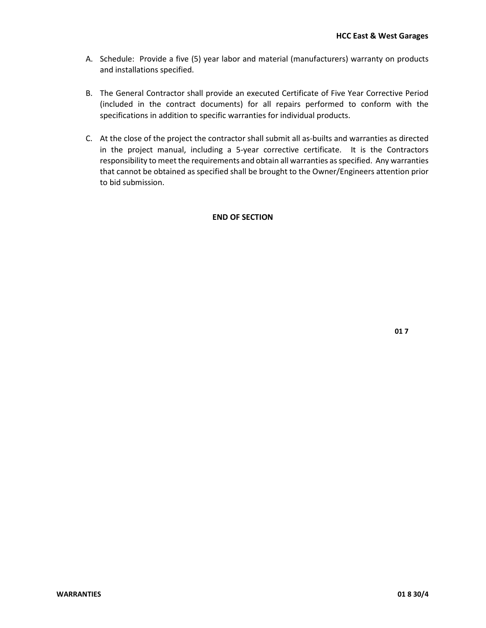- A. Schedule: Provide a five (5) year labor and material (manufacturers) warranty on products and installations specified.
- B. The General Contractor shall provide an executed Certificate of Five Year Corrective Period (included in the contract documents) for all repairs performed to conform with the specifications in addition to specific warranties for individual products.
- C. At the close of the project the contractor shall submit all as-builts and warranties as directed in the project manual, including a 5-year corrective certificate. It is the Contractors responsibility to meet the requirements and obtain all warranties as specified. Any warranties that cannot be obtained as specified shall be brought to the Owner/Engineers attention prior to bid submission.

## **END OF SECTION**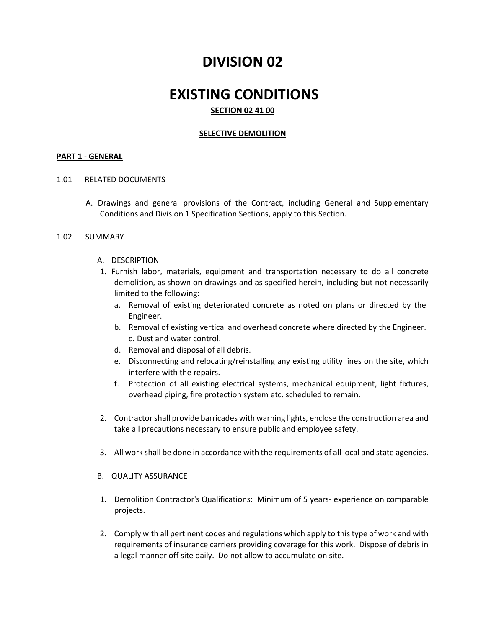# **DIVISION 02**

## **EXISTING CONDITIONS SECTION 02 41 00**

## **SELECTIVE DEMOLITION**

#### **PART 1 - GENERAL**

#### 1.01 RELATED DOCUMENTS

A. Drawings and general provisions of the Contract, including General and Supplementary Conditions and Division 1 Specification Sections, apply to this Section.

#### 1.02 SUMMARY

- A. DESCRIPTION
- 1. Furnish labor, materials, equipment and transportation necessary to do all concrete demolition, as shown on drawings and as specified herein, including but not necessarily limited to the following:
	- a. Removal of existing deteriorated concrete as noted on plans or directed by the Engineer.
	- b. Removal of existing vertical and overhead concrete where directed by the Engineer. c. Dust and water control.
	- d. Removal and disposal of all debris.
	- e. Disconnecting and relocating/reinstalling any existing utility lines on the site, which interfere with the repairs.
	- f. Protection of all existing electrical systems, mechanical equipment, light fixtures, overhead piping, fire protection system etc. scheduled to remain.
- 2. Contractor shall provide barricades with warning lights, enclose the construction area and take all precautions necessary to ensure public and employee safety.
- 3. All work shall be done in accordance with the requirements of all local and state agencies.
- B. QUALITY ASSURANCE
- 1. Demolition Contractor's Qualifications: Minimum of 5 years- experience on comparable projects.
- 2. Comply with all pertinent codes and regulations which apply to this type of work and with requirements of insurance carriers providing coverage for this work. Dispose of debris in a legal manner off site daily. Do not allow to accumulate on site.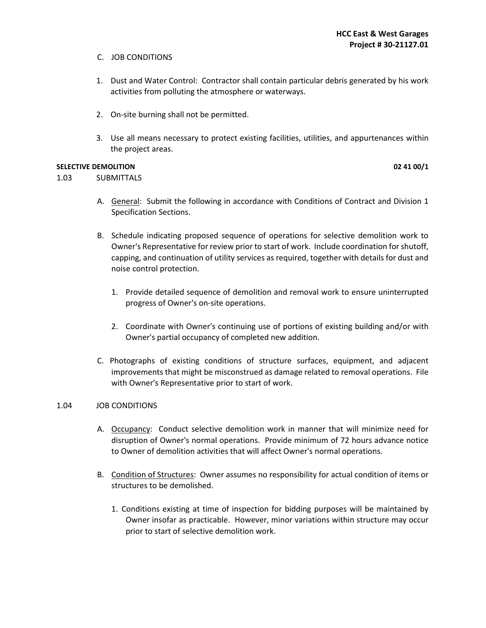- C. JOB CONDITIONS
- 1. Dust and Water Control: Contractor shall contain particular debris generated by his work activities from polluting the atmosphere or waterways.
- 2. On-site burning shall not be permitted.
- 3. Use all means necessary to protect existing facilities, utilities, and appurtenances within the project areas.

## **SELECTIVE DEMOLITION** 02 41 00/1

1.03SUBMITTALS

- A. General: Submit the following in accordance with Conditions of Contract and Division 1 Specification Sections.
- B. Schedule indicating proposed sequence of operations for selective demolition work to Owner's Representative for review prior to start of work. Include coordination for shutoff, capping, and continuation of utility services as required, together with details for dust and noise control protection.
	- 1. Provide detailed sequence of demolition and removal work to ensure uninterrupted progress of Owner's on-site operations.
	- 2. Coordinate with Owner's continuing use of portions of existing building and/or with Owner's partial occupancy of completed new addition.
- C. Photographs of existing conditions of structure surfaces, equipment, and adjacent improvements that might be misconstrued as damage related to removal operations. File with Owner's Representative prior to start of work.

#### 1.04 JOB CONDITIONS

- A. Occupancy: Conduct selective demolition work in manner that will minimize need for disruption of Owner's normal operations. Provide minimum of 72 hours advance notice to Owner of demolition activities that will affect Owner's normal operations.
- B. Condition of Structures: Owner assumes no responsibility for actual condition of items or structures to be demolished.
	- 1. Conditions existing at time of inspection for bidding purposes will be maintained by Owner insofar as practicable. However, minor variations within structure may occur prior to start of selective demolition work.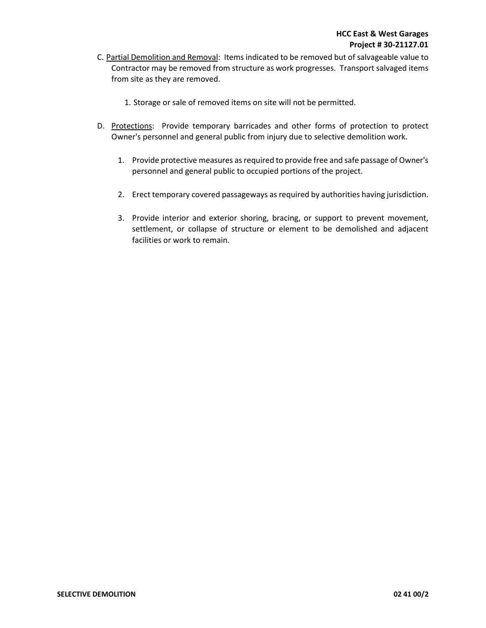- C. Partial Demolition and Removal: Items indicated to be removed but of salvageable value to Contractor may be removed from structure as work progresses. Transport salvaged items from site as they are removed.
	- 1. Storage or sale of removed items on site will not be permitted.
- D. Protections: Provide temporary barricades and other forms of protection to protect Owner's personnel and general public from injury due to selective demolition work.
	- 1. Provide protective measures as required to provide free and safe passage of Owner's personnel and general public to occupied portions of the project.
	- 2. Erect temporary covered passageways as required by authorities having jurisdiction.
	- 3. Provide interior and exterior shoring, bracing, or support to prevent movement, settlement, or collapse of structure or element to be demolished and adjacent facilities or work to remain.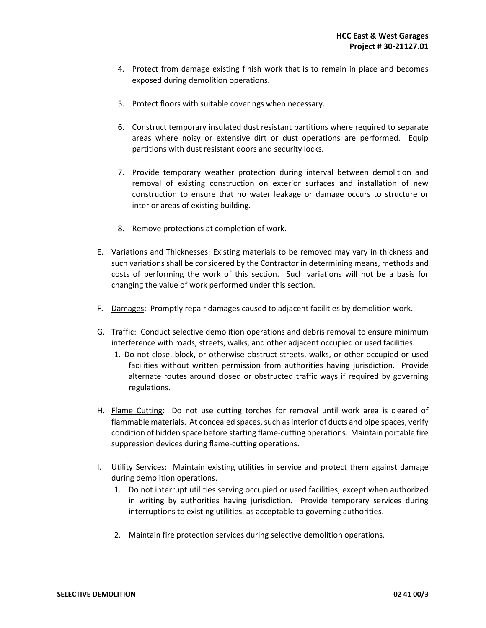- 4. Protect from damage existing finish work that is to remain in place and becomes exposed during demolition operations.
- 5. Protect floors with suitable coverings when necessary.
- 6. Construct temporary insulated dust resistant partitions where required to separate areas where noisy or extensive dirt or dust operations are performed. Equip partitions with dust resistant doors and security locks.
- 7. Provide temporary weather protection during interval between demolition and removal of existing construction on exterior surfaces and installation of new construction to ensure that no water leakage or damage occurs to structure or interior areas of existing building.
- 8. Remove protections at completion of work.
- E. Variations and Thicknesses: Existing materials to be removed may vary in thickness and such variations shall be considered by the Contractor in determining means, methods and costs of performing the work of this section. Such variations will not be a basis for changing the value of work performed under this section.
- F. Damages: Promptly repair damages caused to adjacent facilities by demolition work.
- G. Traffic: Conduct selective demolition operations and debris removal to ensure minimum interference with roads, streets, walks, and other adjacent occupied or used facilities.
	- 1. Do not close, block, or otherwise obstruct streets, walks, or other occupied or used facilities without written permission from authorities having jurisdiction. Provide alternate routes around closed or obstructed traffic ways if required by governing regulations.
- H. Flame Cutting: Do not use cutting torches for removal until work area is cleared of flammable materials. At concealed spaces, such as interior of ducts and pipe spaces, verify condition of hidden space before starting flame-cutting operations. Maintain portable fire suppression devices during flame-cutting operations.
- I. Utility Services: Maintain existing utilities in service and protect them against damage during demolition operations.
	- 1. Do not interrupt utilities serving occupied or used facilities, except when authorized in writing by authorities having jurisdiction. Provide temporary services during interruptions to existing utilities, as acceptable to governing authorities.
	- 2. Maintain fire protection services during selective demolition operations.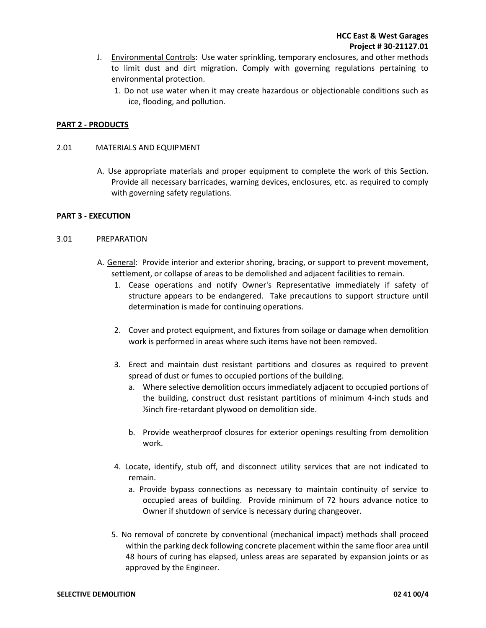- J. Environmental Controls: Use water sprinkling, temporary enclosures, and other methods to limit dust and dirt migration. Comply with governing regulations pertaining to environmental protection.
	- 1. Do not use water when it may create hazardous or objectionable conditions such as ice, flooding, and pollution.

## **PART 2 - PRODUCTS**

#### 2.01 MATERIALS AND EQUIPMENT

A. Use appropriate materials and proper equipment to complete the work of this Section. Provide all necessary barricades, warning devices, enclosures, etc. as required to comply with governing safety regulations.

#### **PART 3 - EXECUTION**

#### 3.01PREPARATION

- A. General: Provide interior and exterior shoring, bracing, or support to prevent movement, settlement, or collapse of areas to be demolished and adjacent facilities to remain.
	- 1. Cease operations and notify Owner's Representative immediately if safety of structure appears to be endangered. Take precautions to support structure until determination is made for continuing operations.
	- 2. Cover and protect equipment, and fixtures from soilage or damage when demolition work is performed in areas where such items have not been removed.
	- 3. Erect and maintain dust resistant partitions and closures as required to prevent spread of dust or fumes to occupied portions of the building.
		- a. Where selective demolition occurs immediately adjacent to occupied portions of the building, construct dust resistant partitions of minimum 4-inch studs and ½inch fire-retardant plywood on demolition side.
		- b. Provide weatherproof closures for exterior openings resulting from demolition work.
	- 4. Locate, identify, stub off, and disconnect utility services that are not indicated to remain.
		- a. Provide bypass connections as necessary to maintain continuity of service to occupied areas of building. Provide minimum of 72 hours advance notice to Owner if shutdown of service is necessary during changeover.
	- 5. No removal of concrete by conventional (mechanical impact) methods shall proceed within the parking deck following concrete placement within the same floor area until 48 hours of curing has elapsed, unless areas are separated by expansion joints or as approved by the Engineer.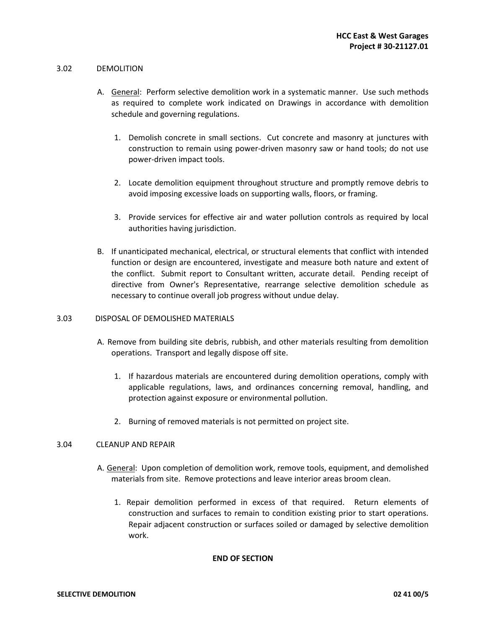#### 3.02DEMOLITION

- A. General: Perform selective demolition work in a systematic manner. Use such methods as required to complete work indicated on Drawings in accordance with demolition schedule and governing regulations.
	- 1. Demolish concrete in small sections. Cut concrete and masonry at junctures with construction to remain using power-driven masonry saw or hand tools; do not use power-driven impact tools.
	- 2. Locate demolition equipment throughout structure and promptly remove debris to avoid imposing excessive loads on supporting walls, floors, or framing.
	- 3. Provide services for effective air and water pollution controls as required by local authorities having jurisdiction.
- B. If unanticipated mechanical, electrical, or structural elements that conflict with intended function or design are encountered, investigate and measure both nature and extent of the conflict. Submit report to Consultant written, accurate detail. Pending receipt of directive from Owner's Representative, rearrange selective demolition schedule as necessary to continue overall job progress without undue delay.

#### 3.03DISPOSAL OF DEMOLISHED MATERIALS

- A. Remove from building site debris, rubbish, and other materials resulting from demolition operations. Transport and legally dispose off site.
	- 1. If hazardous materials are encountered during demolition operations, comply with applicable regulations, laws, and ordinances concerning removal, handling, and protection against exposure or environmental pollution.
	- 2. Burning of removed materials is not permitted on project site.

#### 3.04 CLEANUP AND REPAIR

- A. General: Upon completion of demolition work, remove tools, equipment, and demolished materials from site. Remove protections and leave interior areas broom clean.
	- 1. Repair demolition performed in excess of that required. Return elements of construction and surfaces to remain to condition existing prior to start operations. Repair adjacent construction or surfaces soiled or damaged by selective demolition work.

#### **END OF SECTION**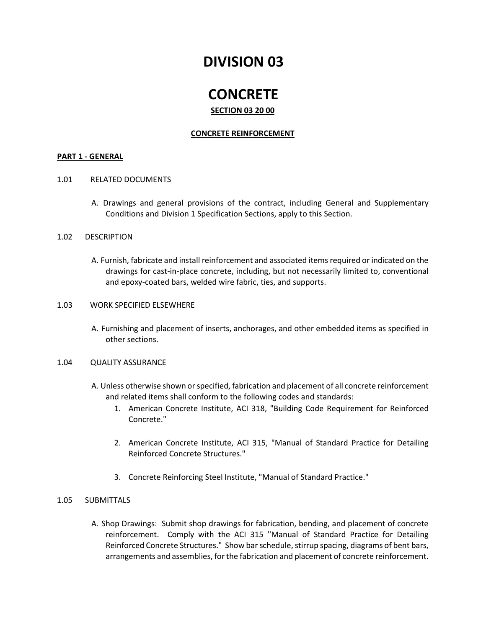# **DIVISION 03**

# **CONCRETE**

## **SECTION 03 20 00**

## **CONCRETE REINFORCEMENT**

#### **PART 1 - GENERAL**

## 1.01RELATED DOCUMENTS

A. Drawings and general provisions of the contract, including General and Supplementary Conditions and Division 1 Specification Sections, apply to this Section.

## 1.02DESCRIPTION

A. Furnish, fabricate and install reinforcement and associated items required or indicated on the drawings for cast-in-place concrete, including, but not necessarily limited to, conventional and epoxy-coated bars, welded wire fabric, ties, and supports.

## 1.03WORK SPECIFIED ELSEWHERE

A. Furnishing and placement of inserts, anchorages, and other embedded items as specified in other sections.

#### 1.04QUALITY ASSURANCE

- A. Unless otherwise shown or specified, fabrication and placement of all concrete reinforcement and related items shall conform to the following codes and standards:
	- 1. American Concrete Institute, ACI 318, "Building Code Requirement for Reinforced Concrete."
	- 2. American Concrete Institute, ACI 315, "Manual of Standard Practice for Detailing Reinforced Concrete Structures."
	- 3. Concrete Reinforcing Steel Institute, "Manual of Standard Practice."

## 1.05SUBMITTALS

A. Shop Drawings: Submit shop drawings for fabrication, bending, and placement of concrete reinforcement. Comply with the ACI 315 "Manual of Standard Practice for Detailing Reinforced Concrete Structures." Show bar schedule, stirrup spacing, diagrams of bent bars, arrangements and assemblies, for the fabrication and placement of concrete reinforcement.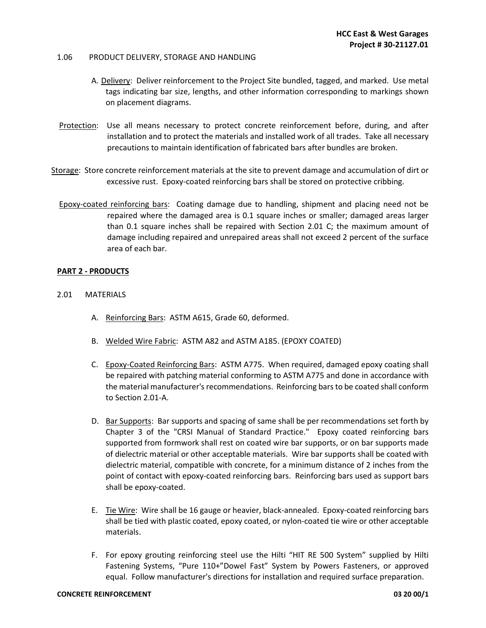#### 1.06PRODUCT DELIVERY, STORAGE AND HANDLING

- A. Delivery: Deliver reinforcement to the Project Site bundled, tagged, and marked. Use metal tags indicating bar size, lengths, and other information corresponding to markings shown on placement diagrams.
- Protection: Use all means necessary to protect concrete reinforcement before, during, and after installation and to protect the materials and installed work of all trades. Take all necessary precautions to maintain identification of fabricated bars after bundles are broken.
- Storage: Store concrete reinforcement materials at the site to prevent damage and accumulation of dirt or excessive rust. Epoxy-coated reinforcing bars shall be stored on protective cribbing.
	- Epoxy-coated reinforcing bars: Coating damage due to handling, shipment and placing need not be repaired where the damaged area is 0.1 square inches or smaller; damaged areas larger than 0.1 square inches shall be repaired with Section 2.01 C; the maximum amount of damage including repaired and unrepaired areas shall not exceed 2 percent of the surface area of each bar.

#### **PART 2 - PRODUCTS**

- 2.01MATERIALS
	- A. Reinforcing Bars: ASTM A615, Grade 60, deformed.
	- B. Welded Wire Fabric: ASTM A82 and ASTM A185. (EPOXY COATED)
	- C. Epoxy-Coated Reinforcing Bars: ASTM A775. When required, damaged epoxy coating shall be repaired with patching material conforming to ASTM A775 and done in accordance with the material manufacturer's recommendations. Reinforcing bars to be coated shall conform to Section 2.01-A.
	- D. Bar Supports: Bar supports and spacing of same shall be per recommendations set forth by Chapter 3 of the "CRSI Manual of Standard Practice." Epoxy coated reinforcing bars supported from formwork shall rest on coated wire bar supports, or on bar supports made of dielectric material or other acceptable materials. Wire bar supports shall be coated with dielectric material, compatible with concrete, for a minimum distance of 2 inches from the point of contact with epoxy-coated reinforcing bars. Reinforcing bars used as support bars shall be epoxy-coated.
	- E. Tie Wire: Wire shall be 16 gauge or heavier, black-annealed. Epoxy-coated reinforcing bars shall be tied with plastic coated, epoxy coated, or nylon-coated tie wire or other acceptable materials.
	- F. For epoxy grouting reinforcing steel use the Hilti "HIT RE 500 System" supplied by Hilti Fastening Systems, "Pure 110+"Dowel Fast" System by Powers Fasteners, or approved equal. Follow manufacturer's directions for installation and required surface preparation.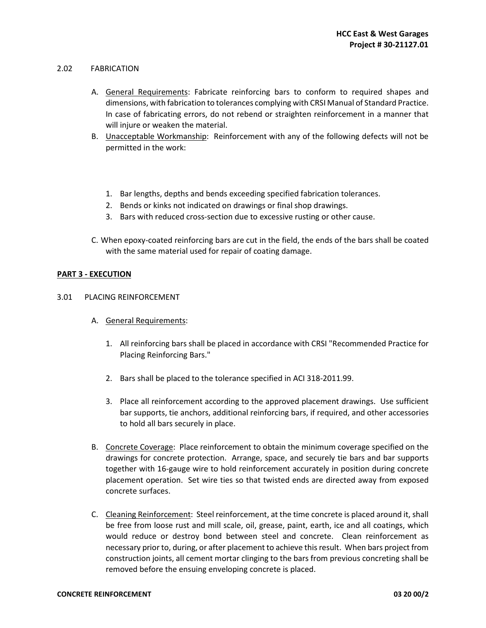#### 2.02FABRICATION

- A. General Requirements: Fabricate reinforcing bars to conform to required shapes and dimensions, with fabrication to tolerances complying with CRSI Manual of Standard Practice. In case of fabricating errors, do not rebend or straighten reinforcement in a manner that will injure or weaken the material.
- B. Unacceptable Workmanship: Reinforcement with any of the following defects will not be permitted in the work:
	- 1. Bar lengths, depths and bends exceeding specified fabrication tolerances.
	- 2. Bends or kinks not indicated on drawings or final shop drawings.
	- 3. Bars with reduced cross-section due to excessive rusting or other cause.
- C. When epoxy-coated reinforcing bars are cut in the field, the ends of the bars shall be coated with the same material used for repair of coating damage.

#### **PART 3 - EXECUTION**

#### 3.01PLACING REINFORCEMENT

- A. General Requirements:
	- 1. All reinforcing bars shall be placed in accordance with CRSI "Recommended Practice for Placing Reinforcing Bars."
	- 2. Bars shall be placed to the tolerance specified in ACI 318-2011.99.
	- 3. Place all reinforcement according to the approved placement drawings. Use sufficient bar supports, tie anchors, additional reinforcing bars, if required, and other accessories to hold all bars securely in place.
- B. Concrete Coverage: Place reinforcement to obtain the minimum coverage specified on the drawings for concrete protection. Arrange, space, and securely tie bars and bar supports together with 16-gauge wire to hold reinforcement accurately in position during concrete placement operation. Set wire ties so that twisted ends are directed away from exposed concrete surfaces.
- C. Cleaning Reinforcement: Steel reinforcement, at the time concrete is placed around it, shall be free from loose rust and mill scale, oil, grease, paint, earth, ice and all coatings, which would reduce or destroy bond between steel and concrete. Clean reinforcement as necessary prior to, during, or after placement to achieve this result. When bars project from construction joints, all cement mortar clinging to the bars from previous concreting shall be removed before the ensuing enveloping concrete is placed.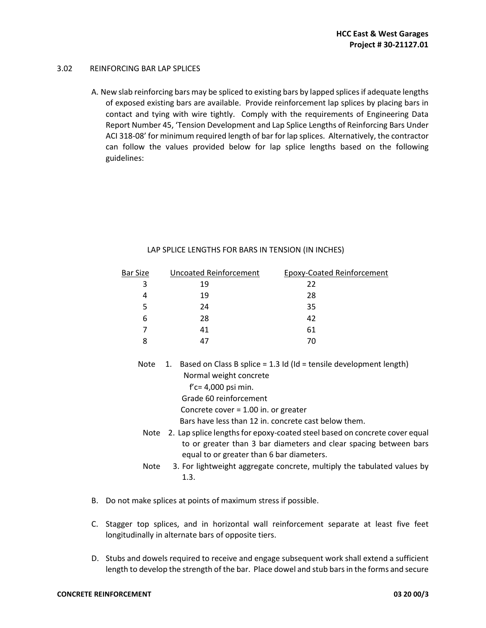#### 3.02REINFORCING BAR LAP SPLICES

A. New slab reinforcing bars may be spliced to existing bars by lapped splices if adequate lengths of exposed existing bars are available. Provide reinforcement lap splices by placing bars in contact and tying with wire tightly. Comply with the requirements of Engineering Data Report Number 45, 'Tension Development and Lap Splice Lengths of Reinforcing Bars Under ACI 318-08' for minimum required length of bar for lap splices. Alternatively, the contractor can follow the values provided below for lap splice lengths based on the following guidelines:

| <b>Bar Size</b> | <b>Uncoated Reinforcement</b>                                                                                                                                                                | <b>Epoxy-Coated Reinforcement</b>                                                                                             |
|-----------------|----------------------------------------------------------------------------------------------------------------------------------------------------------------------------------------------|-------------------------------------------------------------------------------------------------------------------------------|
| 3               | 19                                                                                                                                                                                           | 22                                                                                                                            |
| 4               | 19                                                                                                                                                                                           | 28                                                                                                                            |
| 5               | 24                                                                                                                                                                                           | 35                                                                                                                            |
| 6               | 28                                                                                                                                                                                           | 42                                                                                                                            |
| 7               | 41                                                                                                                                                                                           | 61                                                                                                                            |
| 8               | 47                                                                                                                                                                                           | 70                                                                                                                            |
| Note            | Normal weight concrete<br>$f'c = 4,000$ psi min.<br>Grade 60 reinforcement<br>Concrete cover = $1.00$ in. or greater                                                                         | 1. Based on Class B splice = 1.3 Id (Id = tensile development length)<br>Bars have less than 12 in. concrete cast below them. |
| Note            | 2. Lap splice lengths for epoxy-coated steel based on concrete cover equal<br>to or greater than 3 bar diameters and clear spacing between bars<br>equal to or greater than 6 bar diameters. |                                                                                                                               |
| Note            | 3. For lightweight aggregate concrete, multiply the tabulated values by<br>1.3.                                                                                                              |                                                                                                                               |

#### LAP SPLICE LENGTHS FOR BARS IN TENSION (IN INCHES)

- B. Do not make splices at points of maximum stress if possible.
- C. Stagger top splices, and in horizontal wall reinforcement separate at least five feet longitudinally in alternate bars of opposite tiers.
- D. Stubs and dowels required to receive and engage subsequent work shall extend a sufficient length to develop the strength of the bar. Place dowel and stub bars in the forms and secure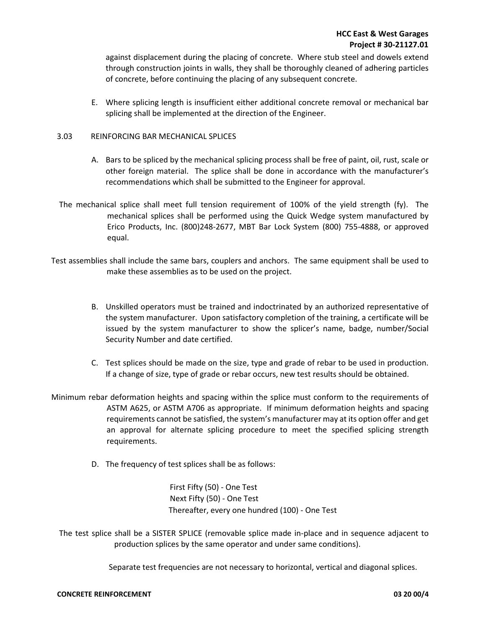against displacement during the placing of concrete. Where stub steel and dowels extend through construction joints in walls, they shall be thoroughly cleaned of adhering particles of concrete, before continuing the placing of any subsequent concrete.

E. Where splicing length is insufficient either additional concrete removal or mechanical bar splicing shall be implemented at the direction of the Engineer.

## 3.03 REINFORCING BAR MECHANICAL SPLICES

- A. Bars to be spliced by the mechanical splicing process shall be free of paint, oil, rust, scale or other foreign material. The splice shall be done in accordance with the manufacturer's recommendations which shall be submitted to the Engineer for approval.
- The mechanical splice shall meet full tension requirement of 100% of the yield strength (fy). The mechanical splices shall be performed using the Quick Wedge system manufactured by Erico Products, Inc. (800)248-2677, MBT Bar Lock System (800) 755-4888, or approved equal.
- Test assemblies shall include the same bars, couplers and anchors. The same equipment shall be used to make these assemblies as to be used on the project.
	- B. Unskilled operators must be trained and indoctrinated by an authorized representative of the system manufacturer. Upon satisfactory completion of the training, a certificate will be issued by the system manufacturer to show the splicer's name, badge, number/Social Security Number and date certified.
	- C. Test splices should be made on the size, type and grade of rebar to be used in production. If a change of size, type of grade or rebar occurs, new test results should be obtained.
- Minimum rebar deformation heights and spacing within the splice must conform to the requirements of ASTM A625, or ASTM A706 as appropriate. If minimum deformation heights and spacing requirements cannot be satisfied, the system's manufacturer may at its option offer and get an approval for alternate splicing procedure to meet the specified splicing strength requirements.
	- D. The frequency of test splices shall be as follows:

 First Fifty (50) - One Test Next Fifty (50) - One Test Thereafter, every one hundred (100) - One Test

 The test splice shall be a SISTER SPLICE (removable splice made in-place and in sequence adjacent to production splices by the same operator and under same conditions).

Separate test frequencies are not necessary to horizontal, vertical and diagonal splices.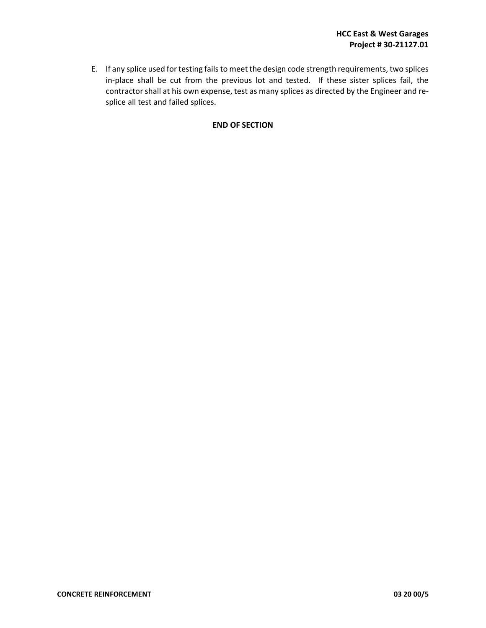E. If any splice used for testing fails to meet the design code strength requirements, two splices in-place shall be cut from the previous lot and tested. If these sister splices fail, the contractor shall at his own expense, test as many splices as directed by the Engineer and resplice all test and failed splices.

#### **END OF SECTION**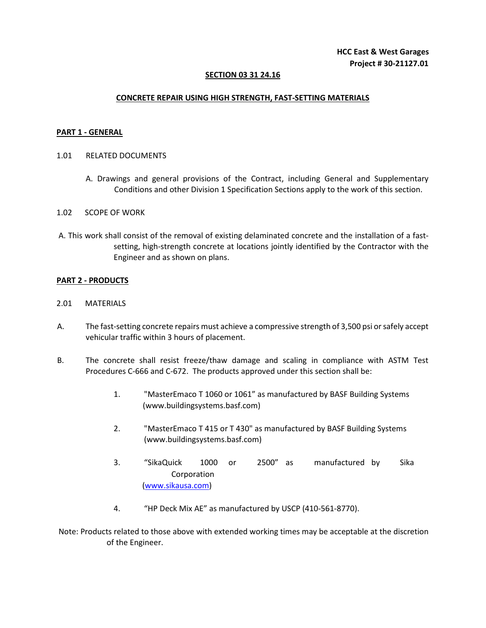## **SECTION 03 31 24.16**

## **CONCRETE REPAIR USING HIGH STRENGTH, FAST-SETTING MATERIALS**

#### **PART 1 - GENERAL**

- 1.01 RELATED DOCUMENTS
	- A. Drawings and general provisions of the Contract, including General and Supplementary Conditions and other Division 1 Specification Sections apply to the work of this section.

#### 1.02SCOPE OF WORK

 A. This work shall consist of the removal of existing delaminated concrete and the installation of a fastsetting, high-strength concrete at locations jointly identified by the Contractor with the Engineer and as shown on plans.

## **PART 2 - PRODUCTS**

- 2.01MATERIALS
- A. The fast-setting concrete repairs must achieve a compressive strength of 3,500 psi or safely accept vehicular traffic within 3 hours of placement.
- B. The concrete shall resist freeze/thaw damage and scaling in compliance with ASTM Test Procedures C-666 and C-672. The products approved under this section shall be:
	- 1. "MasterEmaco T 1060 or 1061" as manufactured by BASF Building Systems (www.buildingsystems.basf.com)
	- 2. "MasterEmaco T 415 or T 430" as manufactured by BASF Building Systems (www.buildingsystems.basf.com)
	- 3. "SikaQuick 1000 or 2500" as manufactured by Sika Corporation (www.sikausa.com)
	- 4. "HP Deck Mix AE" as manufactured by USCP (410-561-8770).

 Note: Products related to those above with extended working times may be acceptable at the discretion of the Engineer.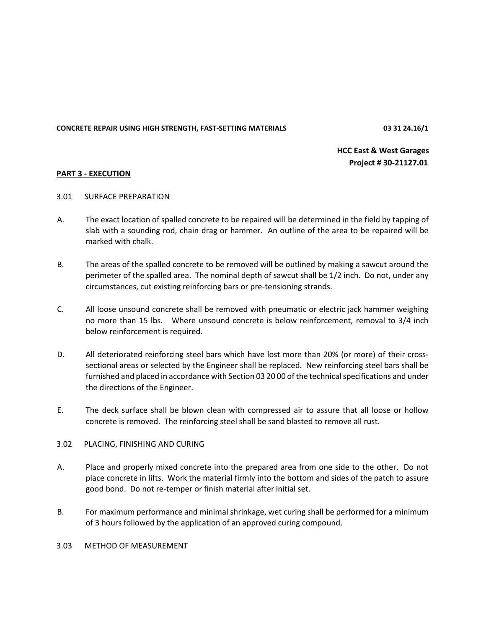**CONCRETE REPAIR USING HIGH STRENGTH, FAST-SETTING MATERIALS 03 31 24.16/1** 

**HCC East & West Garages Project # 30-21127.01** 

## **PART 3 - EXECUTION**

- 3.01 SURFACE PREPARATION
- A. The exact location of spalled concrete to be repaired will be determined in the field by tapping of slab with a sounding rod, chain drag or hammer. An outline of the area to be repaired will be marked with chalk.
- B. The areas of the spalled concrete to be removed will be outlined by making a sawcut around the perimeter of the spalled area. The nominal depth of sawcut shall be 1/2 inch. Do not, under any circumstances, cut existing reinforcing bars or pre-tensioning strands.
- C. All loose unsound concrete shall be removed with pneumatic or electric jack hammer weighing no more than 15 lbs. Where unsound concrete is below reinforcement, removal to 3/4 inch below reinforcement is required.
- D. All deteriorated reinforcing steel bars which have lost more than 20% (or more) of their crosssectional areas or selected by the Engineer shall be replaced. New reinforcing steel bars shall be furnished and placed in accordance with Section 03 20 00 of the technical specifications and under the directions of the Engineer.
- E. The deck surface shall be blown clean with compressed air to assure that all loose or hollow concrete is removed. The reinforcing steel shall be sand blasted to remove all rust.

#### 3.02PLACING, FINISHING AND CURING

- A. Place and properly mixed concrete into the prepared area from one side to the other. Do not place concrete in lifts. Work the material firmly into the bottom and sides of the patch to assure good bond. Do not re-temper or finish material after initial set.
- B. For maximum performance and minimal shrinkage, wet curing shall be performed for a minimum of 3 hours followed by the application of an approved curing compound.

#### 3.03 METHOD OF MEASUREMENT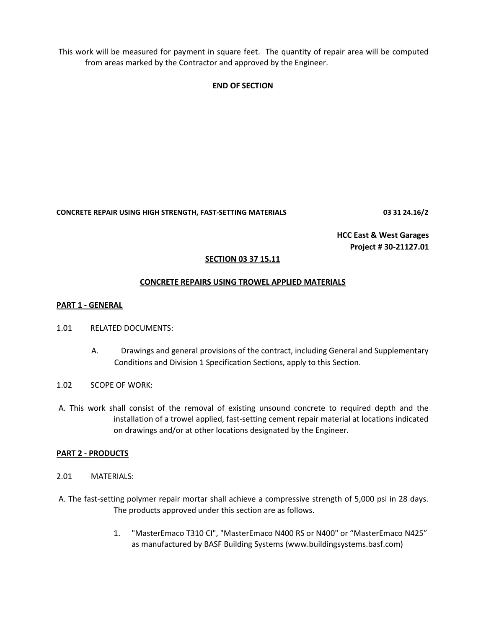This work will be measured for payment in square feet. The quantity of repair area will be computed from areas marked by the Contractor and approved by the Engineer.

## **END OF SECTION**

**CONCRETE REPAIR USING HIGH STRENGTH, FAST-SETTING MATERIALS 03 31 24.16/2**

**HCC East & West Garages Project # 30-21127.01**

## **SECTION 03 37 15.11**

## **CONCRETE REPAIRS USING TROWEL APPLIED MATERIALS**

#### **PART 1 - GENERAL**

- 1.01RELATED DOCUMENTS:
	- A. Drawings and general provisions of the contract, including General and Supplementary Conditions and Division 1 Specification Sections, apply to this Section.
- 1.02SCOPE OF WORK:
- A. This work shall consist of the removal of existing unsound concrete to required depth and the installation of a trowel applied, fast-setting cement repair material at locations indicated on drawings and/or at other locations designated by the Engineer.

#### **PART 2 - PRODUCTS**

- 2.01MATERIALS:
- A. The fast-setting polymer repair mortar shall achieve a compressive strength of 5,000 psi in 28 days. The products approved under this section are as follows.
	- 1. "MasterEmaco T310 CI", "MasterEmaco N400 RS or N400" or "MasterEmaco N425" as manufactured by BASF Building Systems (www.buildingsystems.basf.com)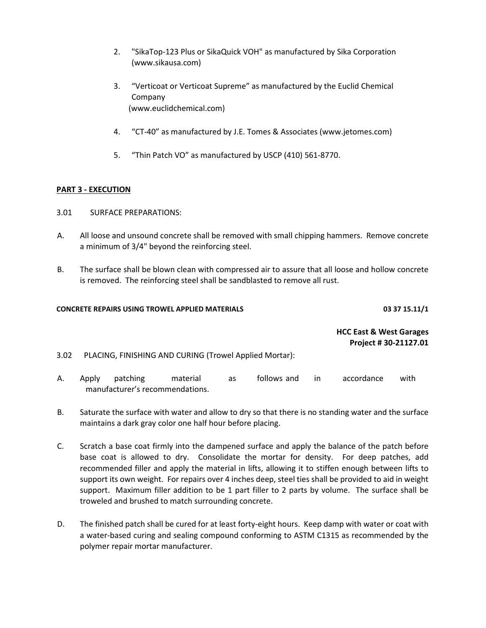- 2. "SikaTop-123 Plus or SikaQuick VOH" as manufactured by Sika Corporation (www.sikausa.com)
- 3. "Verticoat or Verticoat Supreme" as manufactured by the Euclid Chemical Company (www.euclidchemical.com)
- 4. "CT-40" as manufactured by J.E. Tomes & Associates (www.jetomes.com)
- 5. "Thin Patch VO" as manufactured by USCP (410) 561-8770.

## **PART 3 - EXECUTION**

- 3.01SURFACE PREPARATIONS:
- A. All loose and unsound concrete shall be removed with small chipping hammers. Remove concrete a minimum of 3/4" beyond the reinforcing steel.
- B. The surface shall be blown clean with compressed air to assure that all loose and hollow concrete is removed. The reinforcing steel shall be sandblasted to remove all rust.

## **CONCRETE REPAIRS USING TROWEL APPLIED MATERIALS 03 37 15.11/1**

**HCC East & West Garages Project # 30-21127.01**

3.02PLACING, FINISHING AND CURING (Trowel Applied Mortar):

- A. Apply patching material as follows and in accordance with manufacturer's recommendations.
- B. Saturate the surface with water and allow to dry so that there is no standing water and the surface maintains a dark gray color one half hour before placing.
- C. Scratch a base coat firmly into the dampened surface and apply the balance of the patch before base coat is allowed to dry. Consolidate the mortar for density. For deep patches, add recommended filler and apply the material in lifts, allowing it to stiffen enough between lifts to support its own weight. For repairs over 4 inches deep, steel ties shall be provided to aid in weight support. Maximum filler addition to be 1 part filler to 2 parts by volume. The surface shall be troweled and brushed to match surrounding concrete.
- D. The finished patch shall be cured for at least forty-eight hours. Keep damp with water or coat with a water-based curing and sealing compound conforming to ASTM C1315 as recommended by the polymer repair mortar manufacturer.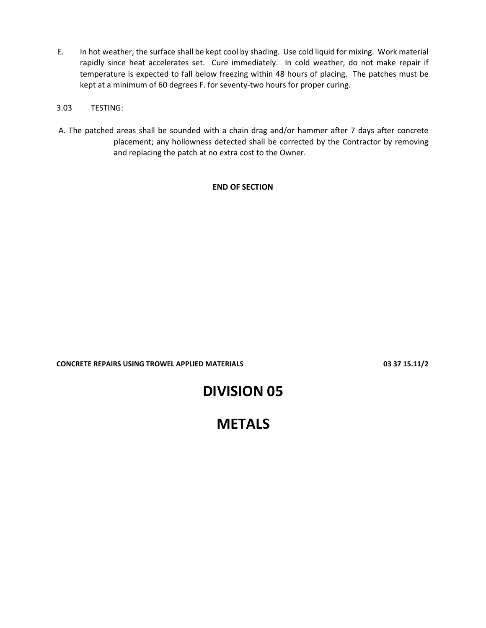- E. In hot weather, the surface shall be kept cool by shading. Use cold liquid for mixing. Work material rapidly since heat accelerates set. Cure immediately. In cold weather, do not make repair if temperature is expected to fall below freezing within 48 hours of placing. The patches must be kept at a minimum of 60 degrees F. for seventy-two hours for proper curing.
- 3.03TESTING:
- A. The patched areas shall be sounded with a chain drag and/or hammer after 7 days after concrete placement; any hollowness detected shall be corrected by the Contractor by removing and replacing the patch at no extra cost to the Owner.

## **END OF SECTION**

**CONCRETE REPAIRS USING TROWEL APPLIED MATERIALS 03 37 15.11/2**

# **DIVISION 05**

# **METALS**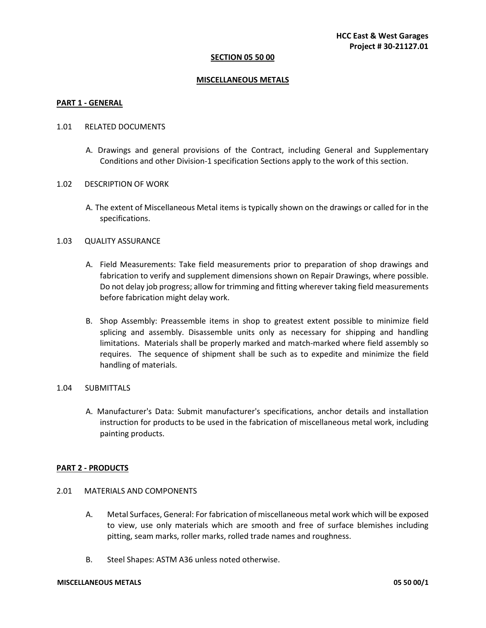#### **SECTION 05 50 00**

#### **MISCELLANEOUS METALS**

#### **PART 1 - GENERAL**

#### 1.01 RELATED DOCUMENTS

- A. Drawings and general provisions of the Contract, including General and Supplementary Conditions and other Division-1 specification Sections apply to the work of this section.
- 1.02 DESCRIPTION OF WORK
	- A. The extent of Miscellaneous Metal items is typically shown on the drawings or called for in the specifications.

#### 1.03 QUALITY ASSURANCE

- A. Field Measurements: Take field measurements prior to preparation of shop drawings and fabrication to verify and supplement dimensions shown on Repair Drawings, where possible. Do not delay job progress; allow for trimming and fitting wherever taking field measurements before fabrication might delay work.
- B. Shop Assembly: Preassemble items in shop to greatest extent possible to minimize field splicing and assembly. Disassemble units only as necessary for shipping and handling limitations. Materials shall be properly marked and match-marked where field assembly so requires. The sequence of shipment shall be such as to expedite and minimize the field handling of materials.

## 1.04 SUBMITTALS

A. Manufacturer's Data: Submit manufacturer's specifications, anchor details and installation instruction for products to be used in the fabrication of miscellaneous metal work, including painting products.

#### **PART 2 - PRODUCTS**

- 2.01 MATERIALS AND COMPONENTS
	- A. Metal Surfaces, General: For fabrication of miscellaneous metal work which will be exposed to view, use only materials which are smooth and free of surface blemishes including pitting, seam marks, roller marks, rolled trade names and roughness.
	- B. Steel Shapes: ASTM A36 unless noted otherwise.

#### **MISCELLANEOUS METALS 05 50 00/1**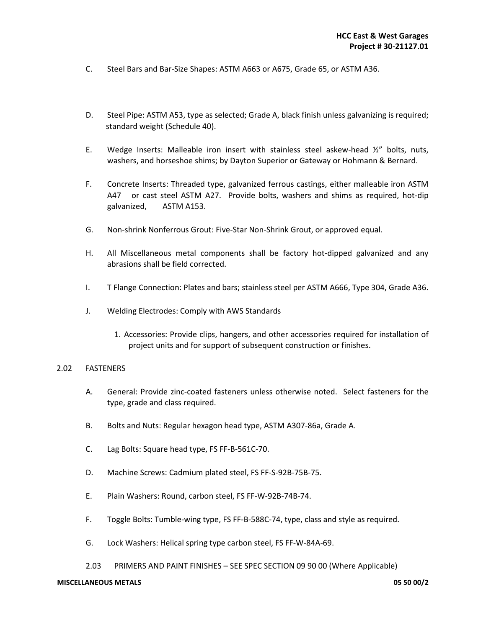- C. Steel Bars and Bar-Size Shapes: ASTM A663 or A675, Grade 65, or ASTM A36.
- D. Steel Pipe: ASTM A53, type as selected; Grade A, black finish unless galvanizing is required; standard weight (Schedule 40).
- E. Wedge Inserts: Malleable iron insert with stainless steel askew-head  $\frac{1}{2}$  bolts, nuts, washers, and horseshoe shims; by Dayton Superior or Gateway or Hohmann & Bernard.
- F. Concrete Inserts: Threaded type, galvanized ferrous castings, either malleable iron ASTM A47 or cast steel ASTM A27. Provide bolts, washers and shims as required, hot-dip galvanized, ASTM A153.
- G. Non-shrink Nonferrous Grout: Five-Star Non-Shrink Grout, or approved equal.
- H. All Miscellaneous metal components shall be factory hot-dipped galvanized and any abrasions shall be field corrected.
- I. T Flange Connection: Plates and bars; stainless steel per ASTM A666, Type 304, Grade A36.
- J. Welding Electrodes: Comply with AWS Standards
	- 1. Accessories: Provide clips, hangers, and other accessories required for installation of project units and for support of subsequent construction or finishes.

#### 2.02 FASTENERS

- A. General: Provide zinc-coated fasteners unless otherwise noted. Select fasteners for the type, grade and class required.
- B. Bolts and Nuts: Regular hexagon head type, ASTM A307-86a, Grade A.
- C. Lag Bolts: Square head type, FS FF-B-561C-70.
- D. Machine Screws: Cadmium plated steel, FS FF-S-92B-75B-75.
- E. Plain Washers: Round, carbon steel, FS FF-W-92B-74B-74.
- F. Toggle Bolts: Tumble-wing type, FS FF-B-588C-74, type, class and style as required.
- G. Lock Washers: Helical spring type carbon steel, FS FF-W-84A-69.
- 2.03 PRIMERS AND PAINT FINISHES SEE SPEC SECTION 09 90 00 (Where Applicable)

#### **MISCELLANEOUS METALS 05 50 00/2**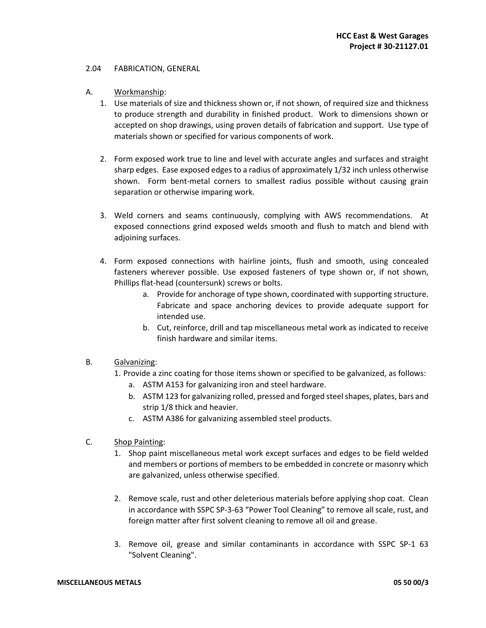#### 2.04 FABRICATION, GENERAL

- A. Workmanship:
	- 1. Use materials of size and thickness shown or, if not shown, of required size and thickness to produce strength and durability in finished product. Work to dimensions shown or accepted on shop drawings, using proven details of fabrication and support. Use type of materials shown or specified for various components of work.
	- 2. Form exposed work true to line and level with accurate angles and surfaces and straight sharp edges. Ease exposed edges to a radius of approximately 1/32 inch unless otherwise shown. Form bent-metal corners to smallest radius possible without causing grain separation or otherwise imparing work.
	- 3. Weld corners and seams continuously, complying with AWS recommendations. At exposed connections grind exposed welds smooth and flush to match and blend with adjoining surfaces.
	- 4. Form exposed connections with hairline joints, flush and smooth, using concealed fasteners wherever possible. Use exposed fasteners of type shown or, if not shown, Phillips flat-head (countersunk) screws or bolts.
		- a. Provide for anchorage of type shown, coordinated with supporting structure. Fabricate and space anchoring devices to provide adequate support for intended use.
		- b. Cut, reinforce, drill and tap miscellaneous metal work as indicated to receive finish hardware and similar items.
- B. Galvanizing:
	- 1. Provide a zinc coating for those items shown or specified to be galvanized, as follows:
		- a. ASTM A153 for galvanizing iron and steel hardware.
		- b. ASTM 123 for galvanizing rolled, pressed and forged steel shapes, plates, bars and strip 1/8 thick and heavier.
		- c. ASTM A386 for galvanizing assembled steel products.
- C. Shop Painting:
	- 1. Shop paint miscellaneous metal work except surfaces and edges to be field welded and members or portions of members to be embedded in concrete or masonry which are galvanized, unless otherwise specified.
	- 2. Remove scale, rust and other deleterious materials before applying shop coat. Clean in accordance with SSPC SP-3-63 "Power Tool Cleaning" to remove all scale, rust, and foreign matter after first solvent cleaning to remove all oil and grease.
	- 3. Remove oil, grease and similar contaminants in accordance with SSPC SP-1 63 "Solvent Cleaning".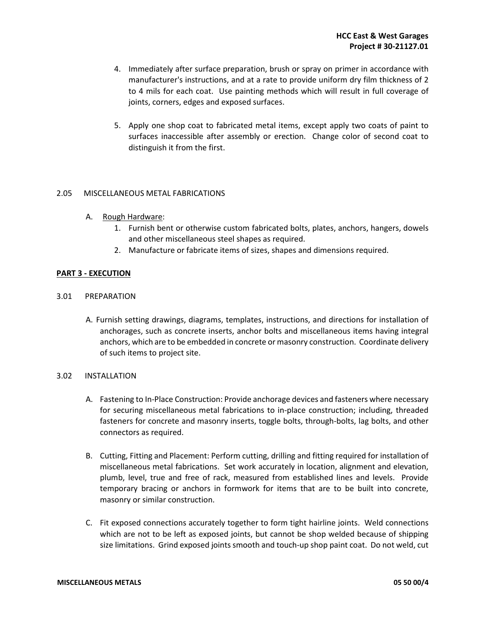- 4. Immediately after surface preparation, brush or spray on primer in accordance with manufacturer's instructions, and at a rate to provide uniform dry film thickness of 2 to 4 mils for each coat. Use painting methods which will result in full coverage of joints, corners, edges and exposed surfaces.
- 5. Apply one shop coat to fabricated metal items, except apply two coats of paint to surfaces inaccessible after assembly or erection. Change color of second coat to distinguish it from the first.

## 2.05 MISCELLANEOUS METAL FABRICATIONS

- A. Rough Hardware:
	- 1. Furnish bent or otherwise custom fabricated bolts, plates, anchors, hangers, dowels and other miscellaneous steel shapes as required.
	- 2. Manufacture or fabricate items of sizes, shapes and dimensions required.

## **PART 3 - EXECUTION**

- 3.01 PREPARATION
	- A. Furnish setting drawings, diagrams, templates, instructions, and directions for installation of anchorages, such as concrete inserts, anchor bolts and miscellaneous items having integral anchors, which are to be embedded in concrete or masonry construction. Coordinate delivery of such items to project site.

### 3.02 INSTALLATION

- A. Fastening to In-Place Construction: Provide anchorage devices and fasteners where necessary for securing miscellaneous metal fabrications to in-place construction; including, threaded fasteners for concrete and masonry inserts, toggle bolts, through-bolts, lag bolts, and other connectors as required.
- B. Cutting, Fitting and Placement: Perform cutting, drilling and fitting required for installation of miscellaneous metal fabrications. Set work accurately in location, alignment and elevation, plumb, level, true and free of rack, measured from established lines and levels. Provide temporary bracing or anchors in formwork for items that are to be built into concrete, masonry or similar construction.
- C. Fit exposed connections accurately together to form tight hairline joints. Weld connections which are not to be left as exposed joints, but cannot be shop welded because of shipping size limitations. Grind exposed joints smooth and touch-up shop paint coat. Do not weld, cut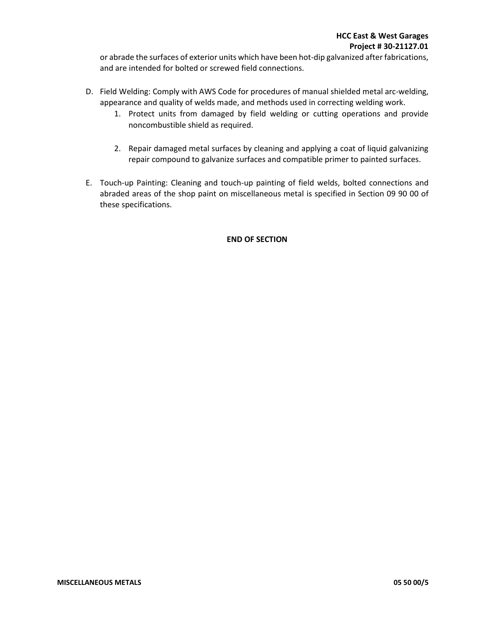or abrade the surfaces of exterior units which have been hot-dip galvanized after fabrications, and are intended for bolted or screwed field connections.

- D. Field Welding: Comply with AWS Code for procedures of manual shielded metal arc-welding, appearance and quality of welds made, and methods used in correcting welding work.
	- 1. Protect units from damaged by field welding or cutting operations and provide noncombustible shield as required.
	- 2. Repair damaged metal surfaces by cleaning and applying a coat of liquid galvanizing repair compound to galvanize surfaces and compatible primer to painted surfaces.
- E. Touch-up Painting: Cleaning and touch-up painting of field welds, bolted connections and abraded areas of the shop paint on miscellaneous metal is specified in Section 09 90 00 of these specifications.

## **END OF SECTION**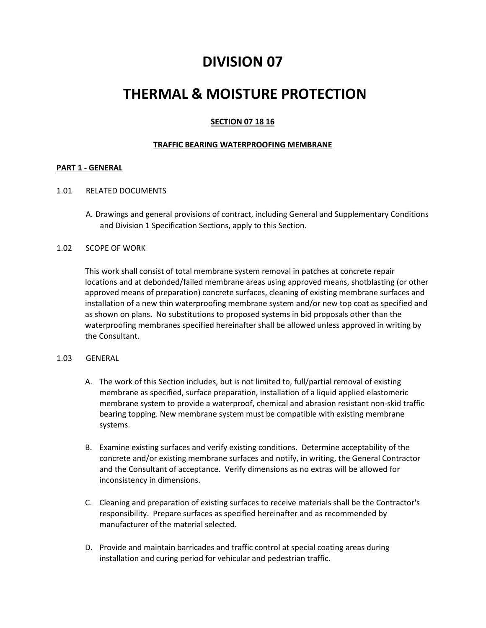# **DIVISION 07**

# **THERMAL & MOISTURE PROTECTION**

## **SECTION 07 18 16**

## **TRAFFIC BEARING WATERPROOFING MEMBRANE**

## **PART 1 - GENERAL**

#### 1.01 RELATED DOCUMENTS

A. Drawings and general provisions of contract, including General and Supplementary Conditions and Division 1 Specification Sections, apply to this Section.

## 1.02 SCOPE OF WORK

This work shall consist of total membrane system removal in patches at concrete repair locations and at debonded/failed membrane areas using approved means, shotblasting (or other approved means of preparation) concrete surfaces, cleaning of existing membrane surfaces and installation of a new thin waterproofing membrane system and/or new top coat as specified and as shown on plans. No substitutions to proposed systems in bid proposals other than the waterproofing membranes specified hereinafter shall be allowed unless approved in writing by the Consultant.

#### 1.03 GENERAL

- A. The work of this Section includes, but is not limited to, full/partial removal of existing membrane as specified, surface preparation, installation of a liquid applied elastomeric membrane system to provide a waterproof, chemical and abrasion resistant non-skid traffic bearing topping. New membrane system must be compatible with existing membrane systems.
- B. Examine existing surfaces and verify existing conditions. Determine acceptability of the concrete and/or existing membrane surfaces and notify, in writing, the General Contractor and the Consultant of acceptance. Verify dimensions as no extras will be allowed for inconsistency in dimensions.
- C. Cleaning and preparation of existing surfaces to receive materials shall be the Contractor's responsibility. Prepare surfaces as specified hereinafter and as recommended by manufacturer of the material selected.
- D. Provide and maintain barricades and traffic control at special coating areas during installation and curing period for vehicular and pedestrian traffic.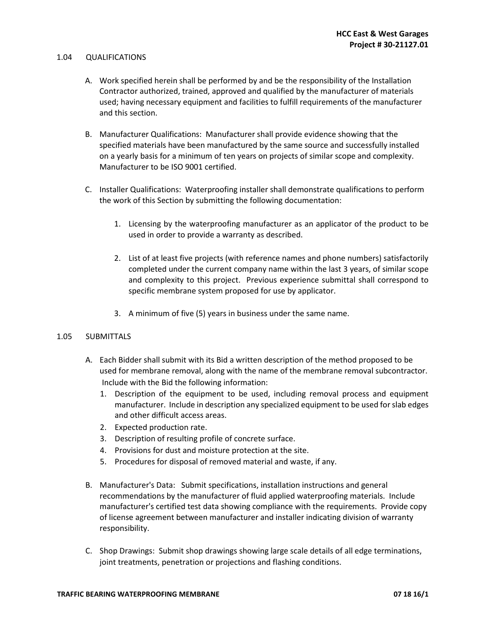#### 1.04 QUALIFICATIONS

- A. Work specified herein shall be performed by and be the responsibility of the Installation Contractor authorized, trained, approved and qualified by the manufacturer of materials used; having necessary equipment and facilities to fulfill requirements of the manufacturer and this section.
- B. Manufacturer Qualifications: Manufacturer shall provide evidence showing that the specified materials have been manufactured by the same source and successfully installed on a yearly basis for a minimum of ten years on projects of similar scope and complexity. Manufacturer to be ISO 9001 certified.
- C. Installer Qualifications: Waterproofing installer shall demonstrate qualifications to perform the work of this Section by submitting the following documentation:
	- 1. Licensing by the waterproofing manufacturer as an applicator of the product to be used in order to provide a warranty as described.
	- 2. List of at least five projects (with reference names and phone numbers) satisfactorily completed under the current company name within the last 3 years, of similar scope and complexity to this project. Previous experience submittal shall correspond to specific membrane system proposed for use by applicator.
	- 3. A minimum of five (5) years in business under the same name.

#### 1.05 SUBMITTALS

- A. Each Bidder shall submit with its Bid a written description of the method proposed to be used for membrane removal, along with the name of the membrane removal subcontractor. Include with the Bid the following information:
	- 1. Description of the equipment to be used, including removal process and equipment manufacturer. Include in description any specialized equipment to be used for slab edges and other difficult access areas.
	- 2. Expected production rate.
	- 3. Description of resulting profile of concrete surface.
	- 4. Provisions for dust and moisture protection at the site.
	- 5. Procedures for disposal of removed material and waste, if any.
- B. Manufacturer's Data: Submit specifications, installation instructions and general recommendations by the manufacturer of fluid applied waterproofing materials. Include manufacturer's certified test data showing compliance with the requirements. Provide copy of license agreement between manufacturer and installer indicating division of warranty responsibility.
- C. Shop Drawings: Submit shop drawings showing large scale details of all edge terminations, joint treatments, penetration or projections and flashing conditions.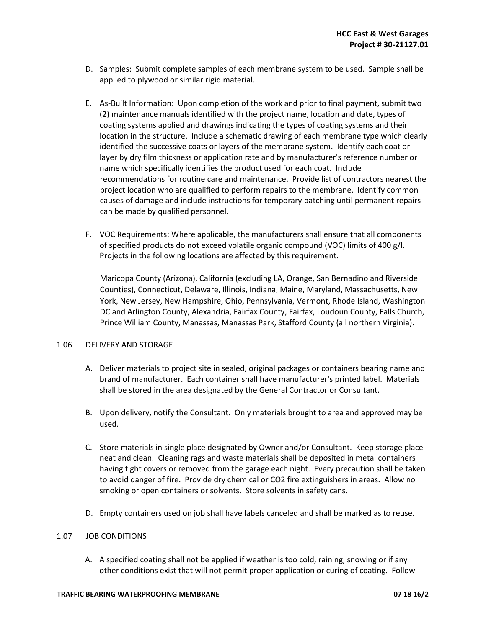- D. Samples: Submit complete samples of each membrane system to be used. Sample shall be applied to plywood or similar rigid material.
- E. As-Built Information: Upon completion of the work and prior to final payment, submit two (2) maintenance manuals identified with the project name, location and date, types of coating systems applied and drawings indicating the types of coating systems and their location in the structure. Include a schematic drawing of each membrane type which clearly identified the successive coats or layers of the membrane system. Identify each coat or layer by dry film thickness or application rate and by manufacturer's reference number or name which specifically identifies the product used for each coat. Include recommendations for routine care and maintenance. Provide list of contractors nearest the project location who are qualified to perform repairs to the membrane. Identify common causes of damage and include instructions for temporary patching until permanent repairs can be made by qualified personnel.
- F. VOC Requirements: Where applicable, the manufacturers shall ensure that all components of specified products do not exceed volatile organic compound (VOC) limits of 400 g/l. Projects in the following locations are affected by this requirement.

Maricopa County (Arizona), California (excluding LA, Orange, San Bernadino and Riverside Counties), Connecticut, Delaware, Illinois, Indiana, Maine, Maryland, Massachusetts, New York, New Jersey, New Hampshire, Ohio, Pennsylvania, Vermont, Rhode Island, Washington DC and Arlington County, Alexandria, Fairfax County, Fairfax, Loudoun County, Falls Church, Prince William County, Manassas, Manassas Park, Stafford County (all northern Virginia).

#### 1.06 DELIVERY AND STORAGE

- A. Deliver materials to project site in sealed, original packages or containers bearing name and brand of manufacturer. Each container shall have manufacturer's printed label. Materials shall be stored in the area designated by the General Contractor or Consultant.
- B. Upon delivery, notify the Consultant. Only materials brought to area and approved may be used.
- C. Store materials in single place designated by Owner and/or Consultant. Keep storage place neat and clean. Cleaning rags and waste materials shall be deposited in metal containers having tight covers or removed from the garage each night. Every precaution shall be taken to avoid danger of fire. Provide dry chemical or CO2 fire extinguishers in areas. Allow no smoking or open containers or solvents. Store solvents in safety cans.
- D. Empty containers used on job shall have labels canceled and shall be marked as to reuse.

#### 1.07 JOB CONDITIONS

A. A specified coating shall not be applied if weather is too cold, raining, snowing or if any other conditions exist that will not permit proper application or curing of coating. Follow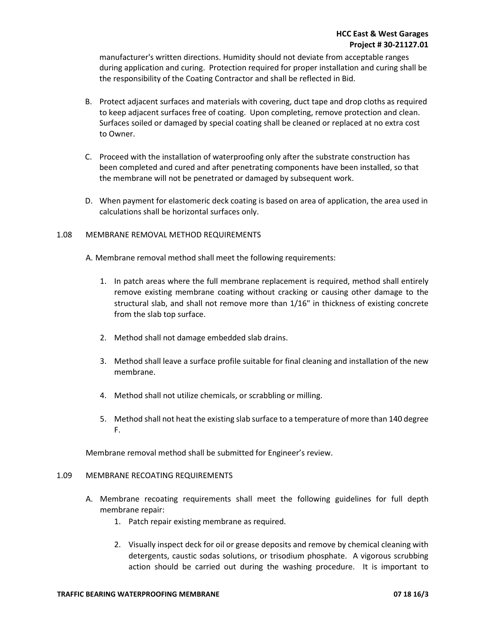manufacturer's written directions. Humidity should not deviate from acceptable ranges during application and curing. Protection required for proper installation and curing shall be the responsibility of the Coating Contractor and shall be reflected in Bid.

- B. Protect adjacent surfaces and materials with covering, duct tape and drop cloths as required to keep adjacent surfaces free of coating. Upon completing, remove protection and clean. Surfaces soiled or damaged by special coating shall be cleaned or replaced at no extra cost to Owner.
- C. Proceed with the installation of waterproofing only after the substrate construction has been completed and cured and after penetrating components have been installed, so that the membrane will not be penetrated or damaged by subsequent work.
- D. When payment for elastomeric deck coating is based on area of application, the area used in calculations shall be horizontal surfaces only.

## 1.08 MEMBRANE REMOVAL METHOD REQUIREMENTS

- A. Membrane removal method shall meet the following requirements:
	- 1. In patch areas where the full membrane replacement is required, method shall entirely remove existing membrane coating without cracking or causing other damage to the structural slab, and shall not remove more than 1/16" in thickness of existing concrete from the slab top surface.
	- 2. Method shall not damage embedded slab drains.
	- 3. Method shall leave a surface profile suitable for final cleaning and installation of the new membrane.
	- 4. Method shall not utilize chemicals, or scrabbling or milling.
	- 5. Method shall not heat the existing slab surface to a temperature of more than 140 degree F.

Membrane removal method shall be submitted for Engineer's review.

#### 1.09 MEMBRANE RECOATING REQUIREMENTS

- A. Membrane recoating requirements shall meet the following guidelines for full depth membrane repair:
	- 1. Patch repair existing membrane as required.
	- 2. Visually inspect deck for oil or grease deposits and remove by chemical cleaning with detergents, caustic sodas solutions, or trisodium phosphate. A vigorous scrubbing action should be carried out during the washing procedure. It is important to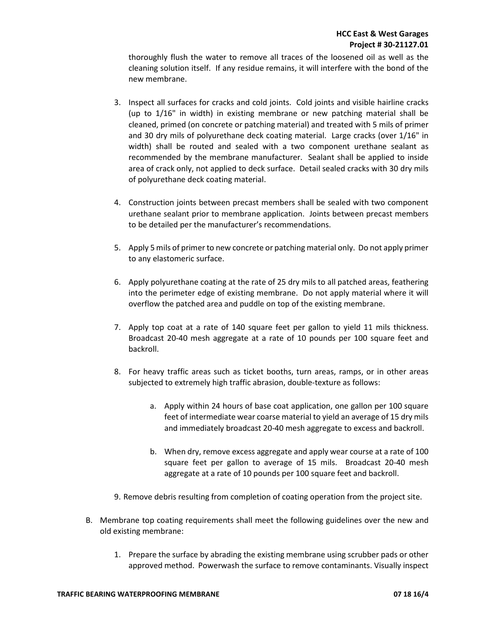thoroughly flush the water to remove all traces of the loosened oil as well as the cleaning solution itself. If any residue remains, it will interfere with the bond of the new membrane.

- 3. Inspect all surfaces for cracks and cold joints. Cold joints and visible hairline cracks (up to 1/16" in width) in existing membrane or new patching material shall be cleaned, primed (on concrete or patching material) and treated with 5 mils of primer and 30 dry mils of polyurethane deck coating material. Large cracks (over 1/16" in width) shall be routed and sealed with a two component urethane sealant as recommended by the membrane manufacturer. Sealant shall be applied to inside area of crack only, not applied to deck surface. Detail sealed cracks with 30 dry mils of polyurethane deck coating material.
- 4. Construction joints between precast members shall be sealed with two component urethane sealant prior to membrane application. Joints between precast members to be detailed per the manufacturer's recommendations.
- 5. Apply 5 mils of primer to new concrete or patching material only. Do not apply primer to any elastomeric surface.
- 6. Apply polyurethane coating at the rate of 25 dry mils to all patched areas, feathering into the perimeter edge of existing membrane. Do not apply material where it will overflow the patched area and puddle on top of the existing membrane.
- 7. Apply top coat at a rate of 140 square feet per gallon to yield 11 mils thickness. Broadcast 20-40 mesh aggregate at a rate of 10 pounds per 100 square feet and backroll.
- 8. For heavy traffic areas such as ticket booths, turn areas, ramps, or in other areas subjected to extremely high traffic abrasion, double-texture as follows:
	- a. Apply within 24 hours of base coat application, one gallon per 100 square feet of intermediate wear coarse material to yield an average of 15 dry mils and immediately broadcast 20-40 mesh aggregate to excess and backroll.
	- b. When dry, remove excess aggregate and apply wear course at a rate of 100 square feet per gallon to average of 15 mils. Broadcast 20-40 mesh aggregate at a rate of 10 pounds per 100 square feet and backroll.
- 9. Remove debris resulting from completion of coating operation from the project site.
- B. Membrane top coating requirements shall meet the following guidelines over the new and old existing membrane:
	- 1. Prepare the surface by abrading the existing membrane using scrubber pads or other approved method. Powerwash the surface to remove contaminants. Visually inspect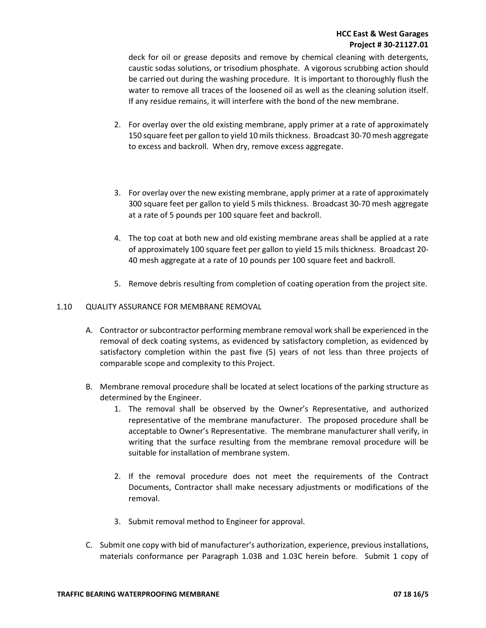deck for oil or grease deposits and remove by chemical cleaning with detergents, caustic sodas solutions, or trisodium phosphate. A vigorous scrubbing action should be carried out during the washing procedure. It is important to thoroughly flush the water to remove all traces of the loosened oil as well as the cleaning solution itself. If any residue remains, it will interfere with the bond of the new membrane.

- 2. For overlay over the old existing membrane, apply primer at a rate of approximately 150 square feet per gallon to yield 10 mils thickness. Broadcast 30-70 mesh aggregate to excess and backroll. When dry, remove excess aggregate.
- 3. For overlay over the new existing membrane, apply primer at a rate of approximately 300 square feet per gallon to yield 5 mils thickness. Broadcast 30-70 mesh aggregate at a rate of 5 pounds per 100 square feet and backroll.
- 4. The top coat at both new and old existing membrane areas shall be applied at a rate of approximately 100 square feet per gallon to yield 15 mils thickness. Broadcast 20- 40 mesh aggregate at a rate of 10 pounds per 100 square feet and backroll.
- 5. Remove debris resulting from completion of coating operation from the project site.

## 1.10 QUALITY ASSURANCE FOR MEMBRANE REMOVAL

- A. Contractor or subcontractor performing membrane removal work shall be experienced in the removal of deck coating systems, as evidenced by satisfactory completion, as evidenced by satisfactory completion within the past five (5) years of not less than three projects of comparable scope and complexity to this Project.
- B. Membrane removal procedure shall be located at select locations of the parking structure as determined by the Engineer.
	- 1. The removal shall be observed by the Owner's Representative, and authorized representative of the membrane manufacturer. The proposed procedure shall be acceptable to Owner's Representative. The membrane manufacturer shall verify, in writing that the surface resulting from the membrane removal procedure will be suitable for installation of membrane system.
	- 2. If the removal procedure does not meet the requirements of the Contract Documents, Contractor shall make necessary adjustments or modifications of the removal.
	- 3. Submit removal method to Engineer for approval.
- C. Submit one copy with bid of manufacturer's authorization, experience, previous installations, materials conformance per Paragraph 1.03B and 1.03C herein before. Submit 1 copy of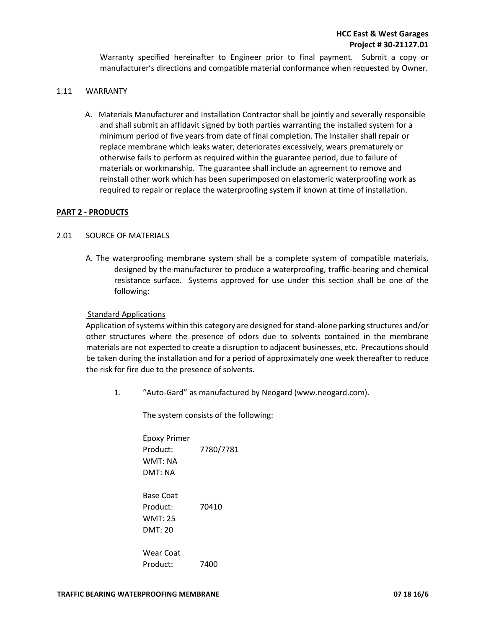Warranty specified hereinafter to Engineer prior to final payment. Submit a copy or manufacturer's directions and compatible material conformance when requested by Owner.

## 1.11 WARRANTY

A. Materials Manufacturer and Installation Contractor shall be jointly and severally responsible and shall submit an affidavit signed by both parties warranting the installed system for a minimum period of five years from date of final completion. The Installer shall repair or replace membrane which leaks water, deteriorates excessively, wears prematurely or otherwise fails to perform as required within the guarantee period, due to failure of materials or workmanship. The guarantee shall include an agreement to remove and reinstall other work which has been superimposed on elastomeric waterproofing work as required to repair or replace the waterproofing system if known at time of installation.

## **PART 2 - PRODUCTS**

## 2.01 SOURCE OF MATERIALS

A. The waterproofing membrane system shall be a complete system of compatible materials, designed by the manufacturer to produce a waterproofing, traffic-bearing and chemical resistance surface. Systems approved for use under this section shall be one of the following:

#### Standard Applications

Application of systems within this category are designed for stand-alone parking structures and/or other structures where the presence of odors due to solvents contained in the membrane materials are not expected to create a disruption to adjacent businesses, etc. Precautions should be taken during the installation and for a period of approximately one week thereafter to reduce the risk for fire due to the presence of solvents.

1. "Auto-Gard" as manufactured by Neogard (www.neogard.com).

The system consists of the following:

| <b>Epoxy Primer</b><br>Product:<br>WMT: NA<br>DMT: NA    | 7780/7781 |
|----------------------------------------------------------|-----------|
| <b>Base Coat</b><br>Product:<br><b>WMT: 25</b><br>DMT:20 | 70410     |
| Wear Coat<br>Product:                                    | 7400      |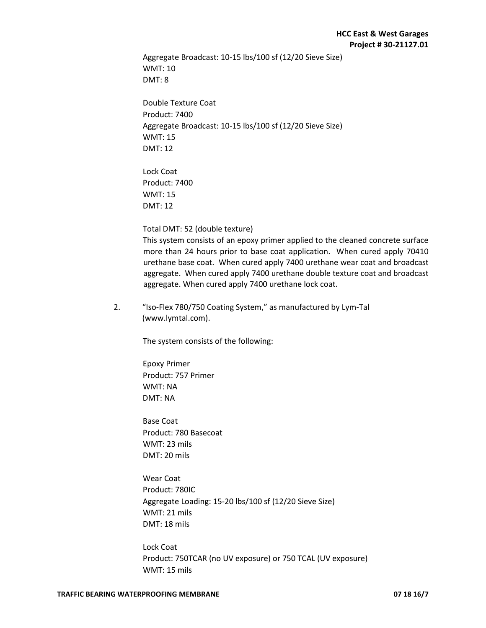Aggregate Broadcast: 10-15 lbs/100 sf (12/20 Sieve Size) WMT: 10 DMT: 8

Double Texture Coat Product: 7400 Aggregate Broadcast: 10-15 lbs/100 sf (12/20 Sieve Size) WMT: 15 DMT: 12

Lock Coat Product: 7400 WMT: 15 DMT: 12

### Total DMT: 52 (double texture)

This system consists of an epoxy primer applied to the cleaned concrete surface more than 24 hours prior to base coat application. When cured apply 70410 urethane base coat. When cured apply 7400 urethane wear coat and broadcast aggregate. When cured apply 7400 urethane double texture coat and broadcast aggregate. When cured apply 7400 urethane lock coat.

2. "Iso-Flex 780/750 Coating System," as manufactured by Lym-Tal (www.lymtal.com).

The system consists of the following:

Epoxy Primer Product: 757 Primer WMT: NA DMT: NA

Base Coat Product: 780 Basecoat WMT: 23 mils DMT: 20 mils

Wear Coat Product: 780IC Aggregate Loading: 15-20 lbs/100 sf (12/20 Sieve Size) WMT: 21 mils DMT: 18 mils

Lock Coat Product: 750TCAR (no UV exposure) or 750 TCAL (UV exposure) WMT: 15 mils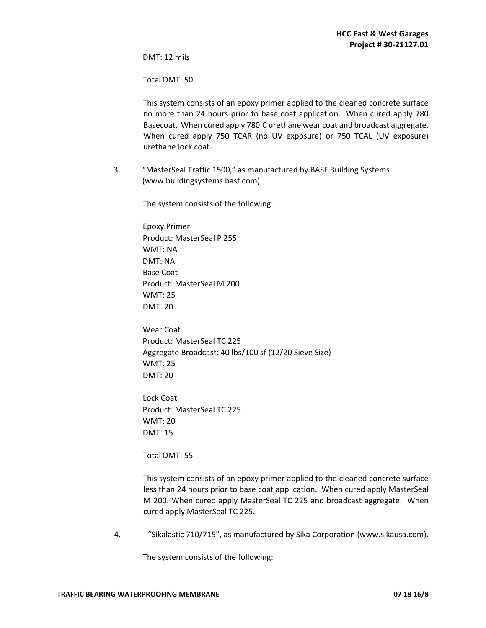DMT: 12 mils

Total DMT: 50

This system consists of an epoxy primer applied to the cleaned concrete surface no more than 24 hours prior to base coat application. When cured apply 780 Basecoat. When cured apply 780IC urethane wear coat and broadcast aggregate. When cured apply 750 TCAR (no UV exposure) or 750 TCAL (UV exposure) urethane lock coat.

3. "MasterSeal Traffic 1500," as manufactured by BASF Building Systems (www.buildingsystems.basf.com).

The system consists of the following:

Epoxy Primer Product: MasterSeal P 255 WMT: NA DMT: NA Base Coat Product: MasterSeal M 200 WMT: 25 DMT: 20

Wear Coat Product: MasterSeal TC 225 Aggregate Broadcast: 40 lbs/100 sf (12/20 Sieve Size) WMT: 25 DMT: 20

Lock Coat Product: MasterSeal TC 225 WMT: 20 DMT: 15

Total DMT: 55

This system consists of an epoxy primer applied to the cleaned concrete surface less than 24 hours prior to base coat application. When cured apply MasterSeal M 200. When cured apply MasterSeal TC 225 and broadcast aggregate. When cured apply MasterSeal TC 225.

4. "Sikalastic 710/715", as manufactured by Sika Corporation (www.sikausa.com).

The system consists of the following: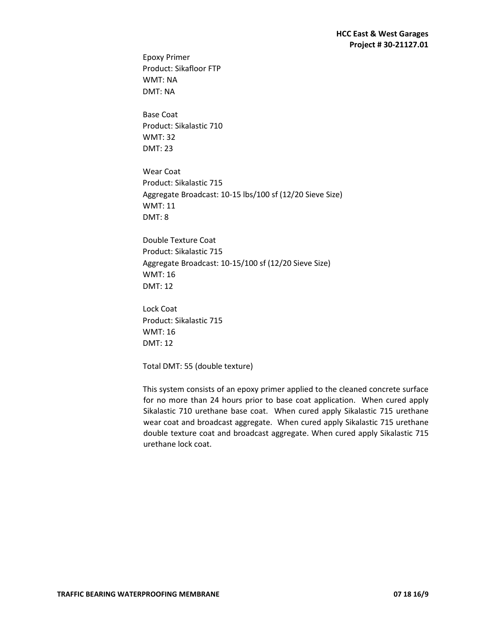Epoxy Primer Product: Sikafloor FTP WMT: NA DMT: NA

Base Coat Product: Sikalastic 710 WMT: 32 DMT: 23

Wear Coat Product: Sikalastic 715 Aggregate Broadcast: 10-15 lbs/100 sf (12/20 Sieve Size) WMT: 11 DMT: 8

Double Texture Coat Product: Sikalastic 715 Aggregate Broadcast: 10-15/100 sf (12/20 Sieve Size) WMT: 16 DMT: 12

Lock Coat Product: Sikalastic 715 WMT: 16 DMT: 12

Total DMT: 55 (double texture)

This system consists of an epoxy primer applied to the cleaned concrete surface for no more than 24 hours prior to base coat application. When cured apply Sikalastic 710 urethane base coat. When cured apply Sikalastic 715 urethane wear coat and broadcast aggregate. When cured apply Sikalastic 715 urethane double texture coat and broadcast aggregate. When cured apply Sikalastic 715 urethane lock coat.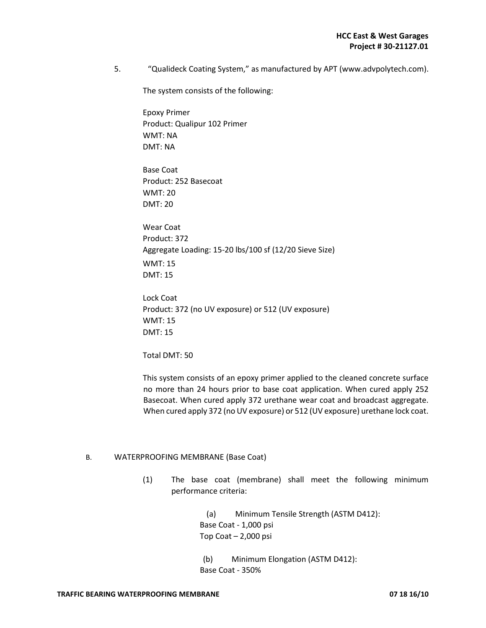5. "Qualideck Coating System," as manufactured by APT (www.advpolytech.com).

The system consists of the following:

Epoxy Primer Product: Qualipur 102 Primer WMT: NA DMT: NA

Base Coat Product: 252 Basecoat WMT: 20 DMT: 20

Wear Coat Product: 372 Aggregate Loading: 15-20 lbs/100 sf (12/20 Sieve Size) WMT: 15 DMT: 15

Lock Coat Product: 372 (no UV exposure) or 512 (UV exposure) WMT: 15 DMT: 15

Total DMT: 50

This system consists of an epoxy primer applied to the cleaned concrete surface no more than 24 hours prior to base coat application. When cured apply 252 Basecoat. When cured apply 372 urethane wear coat and broadcast aggregate. When cured apply 372 (no UV exposure) or 512 (UV exposure) urethane lock coat.

#### B. WATERPROOFING MEMBRANE (Base Coat)

(1) The base coat (membrane) shall meet the following minimum performance criteria:

> (a) Minimum Tensile Strength (ASTM D412): Base Coat - 1,000 psi Top Coat – 2,000 psi

(b) Minimum Elongation (ASTM D412): Base Coat - 350%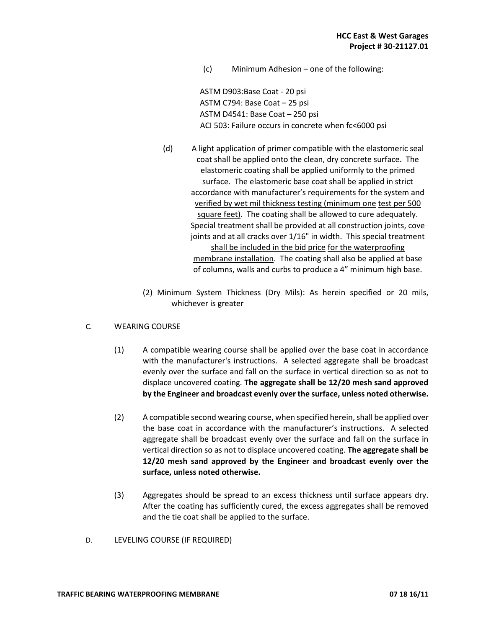(c) Minimum Adhesion – one of the following:

ASTM D903:Base Coat - 20 psi ASTM C794: Base Coat – 25 psi ASTM D4541: Base Coat – 250 psi ACI 503: Failure occurs in concrete when fc<6000 psi

- (d) A light application of primer compatible with the elastomeric seal coat shall be applied onto the clean, dry concrete surface. The elastomeric coating shall be applied uniformly to the primed surface. The elastomeric base coat shall be applied in strict accordance with manufacturer's requirements for the system and verified by wet mil thickness testing (minimum one test per 500 square feet). The coating shall be allowed to cure adequately. Special treatment shall be provided at all construction joints, cove joints and at all cracks over 1/16" in width. This special treatment shall be included in the bid price for the waterproofing membrane installation. The coating shall also be applied at base of columns, walls and curbs to produce a 4" minimum high base.
- (2) Minimum System Thickness (Dry Mils): As herein specified or 20 mils, whichever is greater
- C. WEARING COURSE
	- (1) A compatible wearing course shall be applied over the base coat in accordance with the manufacturer's instructions. A selected aggregate shall be broadcast evenly over the surface and fall on the surface in vertical direction so as not to displace uncovered coating. **The aggregate shall be 12/20 mesh sand approved by the Engineer and broadcast evenly over the surface, unless noted otherwise.**
	- (2) A compatible second wearing course, when specified herein, shall be applied over the base coat in accordance with the manufacturer's instructions. A selected aggregate shall be broadcast evenly over the surface and fall on the surface in vertical direction so as not to displace uncovered coating. **The aggregate shall be 12/20 mesh sand approved by the Engineer and broadcast evenly over the surface, unless noted otherwise.**
	- (3) Aggregates should be spread to an excess thickness until surface appears dry. After the coating has sufficiently cured, the excess aggregates shall be removed and the tie coat shall be applied to the surface.
- D. LEVELING COURSE (IF REQUIRED)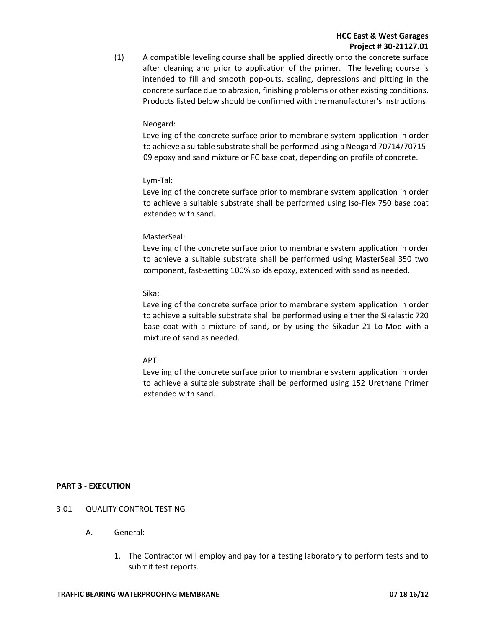## **HCC East & West Garages Project # 30-21127.01**

(1) A compatible leveling course shall be applied directly onto the concrete surface after cleaning and prior to application of the primer. The leveling course is intended to fill and smooth pop-outs, scaling, depressions and pitting in the concrete surface due to abrasion, finishing problems or other existing conditions. Products listed below should be confirmed with the manufacturer's instructions.

#### Neogard:

Leveling of the concrete surface prior to membrane system application in order to achieve a suitable substrate shall be performed using a Neogard 70714/70715- 09 epoxy and sand mixture or FC base coat, depending on profile of concrete.

## Lym-Tal:

Leveling of the concrete surface prior to membrane system application in order to achieve a suitable substrate shall be performed using Iso-Flex 750 base coat extended with sand.

## MasterSeal:

Leveling of the concrete surface prior to membrane system application in order to achieve a suitable substrate shall be performed using MasterSeal 350 two component, fast-setting 100% solids epoxy, extended with sand as needed.

## Sika:

Leveling of the concrete surface prior to membrane system application in order to achieve a suitable substrate shall be performed using either the Sikalastic 720 base coat with a mixture of sand, or by using the Sikadur 21 Lo-Mod with a mixture of sand as needed.

#### APT:

Leveling of the concrete surface prior to membrane system application in order to achieve a suitable substrate shall be performed using 152 Urethane Primer extended with sand.

## **PART 3 - EXECUTION**

- 3.01 QUALITY CONTROL TESTING
	- A. General:
		- 1. The Contractor will employ and pay for a testing laboratory to perform tests and to submit test reports.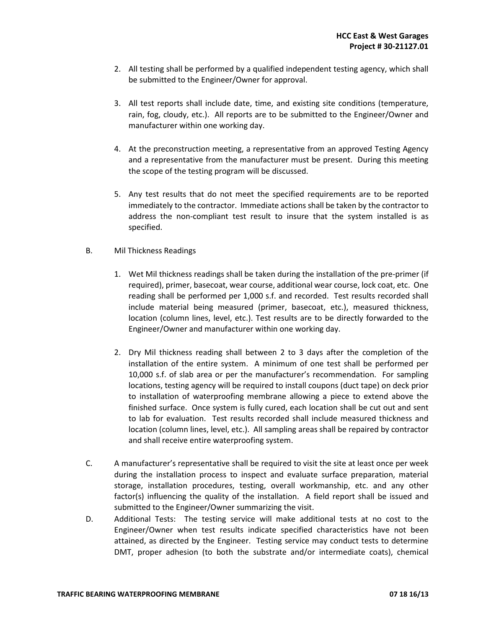- 2. All testing shall be performed by a qualified independent testing agency, which shall be submitted to the Engineer/Owner for approval.
- 3. All test reports shall include date, time, and existing site conditions (temperature, rain, fog, cloudy, etc.). All reports are to be submitted to the Engineer/Owner and manufacturer within one working day.
- 4. At the preconstruction meeting, a representative from an approved Testing Agency and a representative from the manufacturer must be present. During this meeting the scope of the testing program will be discussed.
- 5. Any test results that do not meet the specified requirements are to be reported immediately to the contractor. Immediate actions shall be taken by the contractor to address the non-compliant test result to insure that the system installed is as specified.
- B. Mil Thickness Readings
	- 1. Wet Mil thickness readings shall be taken during the installation of the pre-primer (if required), primer, basecoat, wear course, additional wear course, lock coat, etc. One reading shall be performed per 1,000 s.f. and recorded. Test results recorded shall include material being measured (primer, basecoat, etc.), measured thickness, location (column lines, level, etc.). Test results are to be directly forwarded to the Engineer/Owner and manufacturer within one working day.
	- 2. Dry Mil thickness reading shall between 2 to 3 days after the completion of the installation of the entire system. A minimum of one test shall be performed per 10,000 s.f. of slab area or per the manufacturer's recommendation. For sampling locations, testing agency will be required to install coupons (duct tape) on deck prior to installation of waterproofing membrane allowing a piece to extend above the finished surface. Once system is fully cured, each location shall be cut out and sent to lab for evaluation. Test results recorded shall include measured thickness and location (column lines, level, etc.). All sampling areas shall be repaired by contractor and shall receive entire waterproofing system.
- C. A manufacturer's representative shall be required to visit the site at least once per week during the installation process to inspect and evaluate surface preparation, material storage, installation procedures, testing, overall workmanship, etc. and any other factor(s) influencing the quality of the installation. A field report shall be issued and submitted to the Engineer/Owner summarizing the visit.
- D. Additional Tests: The testing service will make additional tests at no cost to the Engineer/Owner when test results indicate specified characteristics have not been attained, as directed by the Engineer. Testing service may conduct tests to determine DMT, proper adhesion (to both the substrate and/or intermediate coats), chemical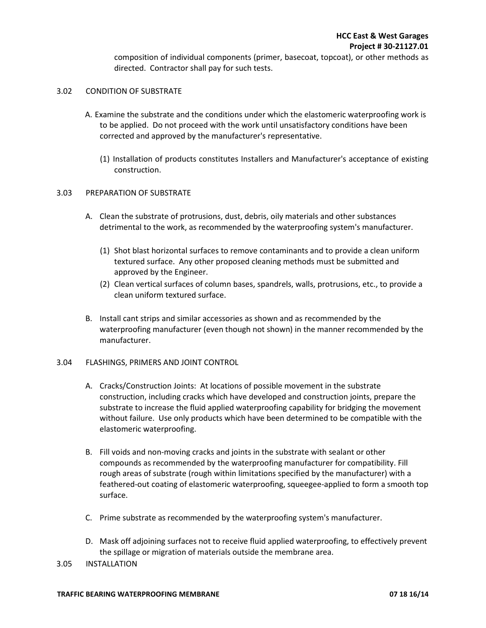composition of individual components (primer, basecoat, topcoat), or other methods as directed. Contractor shall pay for such tests.

## 3.02 CONDITION OF SUBSTRATE

- A. Examine the substrate and the conditions under which the elastomeric waterproofing work is to be applied. Do not proceed with the work until unsatisfactory conditions have been corrected and approved by the manufacturer's representative.
	- (1) Installation of products constitutes Installers and Manufacturer's acceptance of existing construction.

#### 3.03 PREPARATION OF SUBSTRATE

- A. Clean the substrate of protrusions, dust, debris, oily materials and other substances detrimental to the work, as recommended by the waterproofing system's manufacturer.
	- (1) Shot blast horizontal surfaces to remove contaminants and to provide a clean uniform textured surface. Any other proposed cleaning methods must be submitted and approved by the Engineer.
	- (2) Clean vertical surfaces of column bases, spandrels, walls, protrusions, etc., to provide a clean uniform textured surface.
- B. Install cant strips and similar accessories as shown and as recommended by the waterproofing manufacturer (even though not shown) in the manner recommended by the manufacturer.

#### 3.04 FLASHINGS, PRIMERS AND JOINT CONTROL

- A. Cracks/Construction Joints: At locations of possible movement in the substrate construction, including cracks which have developed and construction joints, prepare the substrate to increase the fluid applied waterproofing capability for bridging the movement without failure. Use only products which have been determined to be compatible with the elastomeric waterproofing.
- B. Fill voids and non-moving cracks and joints in the substrate with sealant or other compounds as recommended by the waterproofing manufacturer for compatibility. Fill rough areas of substrate (rough within limitations specified by the manufacturer) with a feathered-out coating of elastomeric waterproofing, squeegee-applied to form a smooth top surface.
- C. Prime substrate as recommended by the waterproofing system's manufacturer.
- D. Mask off adjoining surfaces not to receive fluid applied waterproofing, to effectively prevent the spillage or migration of materials outside the membrane area.
- 3.05 INSTALLATION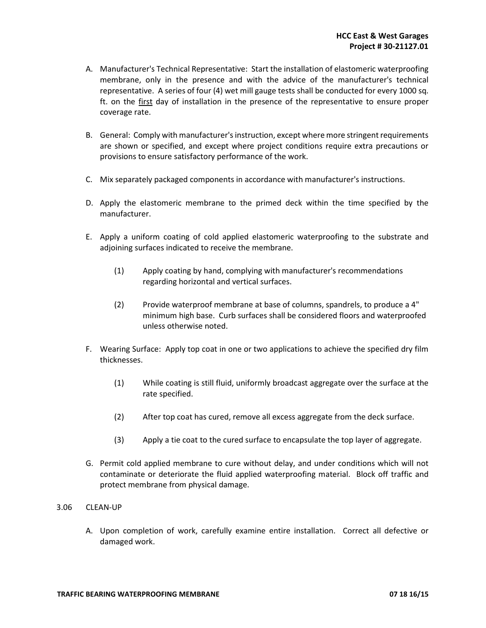- A. Manufacturer's Technical Representative: Start the installation of elastomeric waterproofing membrane, only in the presence and with the advice of the manufacturer's technical representative. A series of four (4) wet mill gauge tests shall be conducted for every 1000 sq. ft. on the first day of installation in the presence of the representative to ensure proper coverage rate.
- B. General: Comply with manufacturer's instruction, except where more stringent requirements are shown or specified, and except where project conditions require extra precautions or provisions to ensure satisfactory performance of the work.
- C. Mix separately packaged components in accordance with manufacturer's instructions.
- D. Apply the elastomeric membrane to the primed deck within the time specified by the manufacturer.
- E. Apply a uniform coating of cold applied elastomeric waterproofing to the substrate and adjoining surfaces indicated to receive the membrane.
	- (1) Apply coating by hand, complying with manufacturer's recommendations regarding horizontal and vertical surfaces.
	- (2) Provide waterproof membrane at base of columns, spandrels, to produce a 4" minimum high base. Curb surfaces shall be considered floors and waterproofed unless otherwise noted.
- F. Wearing Surface: Apply top coat in one or two applications to achieve the specified dry film thicknesses.
	- (1) While coating is still fluid, uniformly broadcast aggregate over the surface at the rate specified.
	- (2) After top coat has cured, remove all excess aggregate from the deck surface.
	- (3) Apply a tie coat to the cured surface to encapsulate the top layer of aggregate.
- G. Permit cold applied membrane to cure without delay, and under conditions which will not contaminate or deteriorate the fluid applied waterproofing material. Block off traffic and protect membrane from physical damage.
- 3.06 CLEAN-UP
	- A. Upon completion of work, carefully examine entire installation. Correct all defective or damaged work.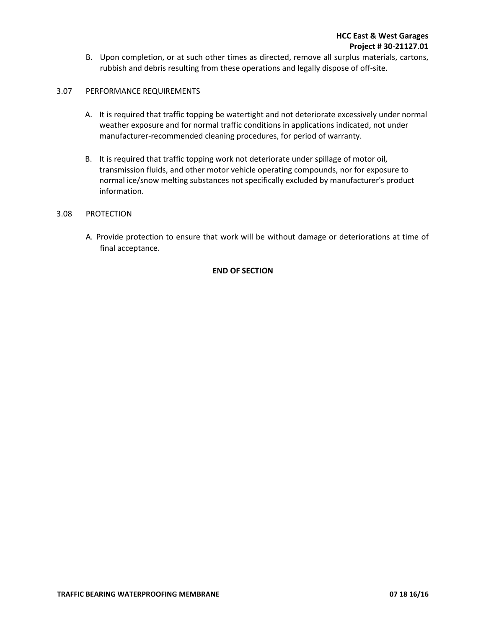B. Upon completion, or at such other times as directed, remove all surplus materials, cartons, rubbish and debris resulting from these operations and legally dispose of off-site.

## 3.07 PERFORMANCE REQUIREMENTS

- A. It is required that traffic topping be watertight and not deteriorate excessively under normal weather exposure and for normal traffic conditions in applications indicated, not under manufacturer-recommended cleaning procedures, for period of warranty.
- B. It is required that traffic topping work not deteriorate under spillage of motor oil, transmission fluids, and other motor vehicle operating compounds, nor for exposure to normal ice/snow melting substances not specifically excluded by manufacturer's product information.

## 3.08 PROTECTION

A. Provide protection to ensure that work will be without damage or deteriorations at time of final acceptance.

#### **END OF SECTION**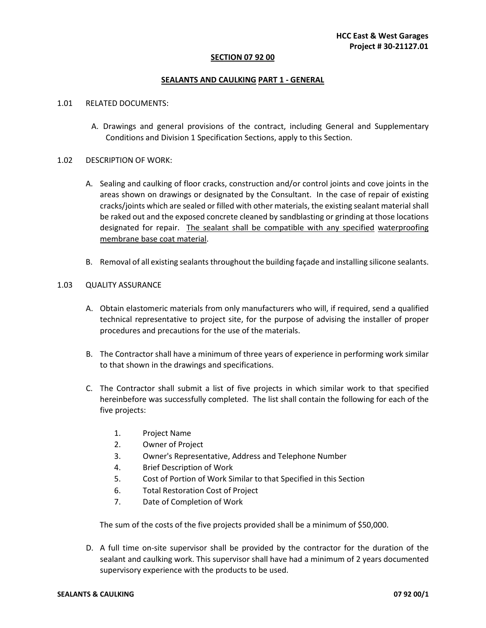#### **SECTION 07 92 00**

#### **SEALANTS AND CAULKING PART 1 - GENERAL**

#### 1.01 RELATED DOCUMENTS:

A. Drawings and general provisions of the contract, including General and Supplementary Conditions and Division 1 Specification Sections, apply to this Section.

#### 1.02 DESCRIPTION OF WORK:

- A. Sealing and caulking of floor cracks, construction and/or control joints and cove joints in the areas shown on drawings or designated by the Consultant. In the case of repair of existing cracks/joints which are sealed or filled with other materials, the existing sealant material shall be raked out and the exposed concrete cleaned by sandblasting or grinding at those locations designated for repair. The sealant shall be compatible with any specified waterproofing membrane base coat material.
- B. Removal of all existing sealants throughout the building façade and installing silicone sealants.

#### 1.03 QUALITY ASSURANCE

- A. Obtain elastomeric materials from only manufacturers who will, if required, send a qualified technical representative to project site, for the purpose of advising the installer of proper procedures and precautions for the use of the materials.
- B. The Contractor shall have a minimum of three years of experience in performing work similar to that shown in the drawings and specifications.
- C. The Contractor shall submit a list of five projects in which similar work to that specified hereinbefore was successfully completed. The list shall contain the following for each of the five projects:
	- 1. Project Name
	- 2. Owner of Project
	- 3. Owner's Representative, Address and Telephone Number
	- 4. Brief Description of Work
	- 5. Cost of Portion of Work Similar to that Specified in this Section
	- 6. Total Restoration Cost of Project
	- 7. Date of Completion of Work

The sum of the costs of the five projects provided shall be a minimum of \$50,000.

D. A full time on-site supervisor shall be provided by the contractor for the duration of the sealant and caulking work. This supervisor shall have had a minimum of 2 years documented supervisory experience with the products to be used.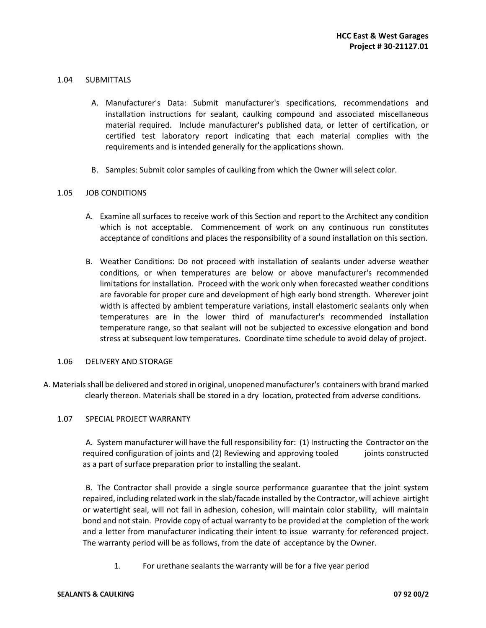## 1.04 SUBMITTALS

- A. Manufacturer's Data: Submit manufacturer's specifications, recommendations and installation instructions for sealant, caulking compound and associated miscellaneous material required. Include manufacturer's published data, or letter of certification, or certified test laboratory report indicating that each material complies with the requirements and is intended generally for the applications shown.
- B. Samples: Submit color samples of caulking from which the Owner will select color.

## 1.05 JOB CONDITIONS

- A. Examine all surfaces to receive work of this Section and report to the Architect any condition which is not acceptable. Commencement of work on any continuous run constitutes acceptance of conditions and places the responsibility of a sound installation on this section.
- B. Weather Conditions: Do not proceed with installation of sealants under adverse weather conditions, or when temperatures are below or above manufacturer's recommended limitations for installation. Proceed with the work only when forecasted weather conditions are favorable for proper cure and development of high early bond strength. Wherever joint width is affected by ambient temperature variations, install elastomeric sealants only when temperatures are in the lower third of manufacturer's recommended installation temperature range, so that sealant will not be subjected to excessive elongation and bond stress at subsequent low temperatures. Coordinate time schedule to avoid delay of project.

#### 1.06 DELIVERY AND STORAGE

 A. Materials shall be delivered and stored in original, unopened manufacturer's containers with brand marked clearly thereon. Materials shall be stored in a dry location, protected from adverse conditions.

#### 1.07 SPECIAL PROJECT WARRANTY

A. System manufacturer will have the full responsibility for: (1) Instructing the Contractor on the required configuration of joints and (2) Reviewing and approving tooled joints constructed as a part of surface preparation prior to installing the sealant.

B. The Contractor shall provide a single source performance guarantee that the joint system repaired, including related work in the slab/facade installed by the Contractor, will achieve airtight or watertight seal, will not fail in adhesion, cohesion, will maintain color stability, will maintain bond and not stain. Provide copy of actual warranty to be provided at the completion of the work and a letter from manufacturer indicating their intent to issue warranty for referenced project. The warranty period will be as follows, from the date of acceptance by the Owner.

1. For urethane sealants the warranty will be for a five year period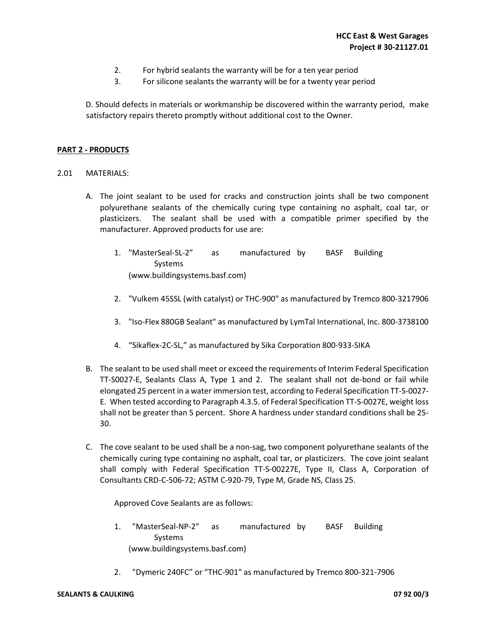- 2. For hybrid sealants the warranty will be for a ten year period
- 3. For silicone sealants the warranty will be for a twenty year period

D. Should defects in materials or workmanship be discovered within the warranty period, make satisfactory repairs thereto promptly without additional cost to the Owner.

## **PART 2 - PRODUCTS**

## 2.01MATERIALS:

- A. The joint sealant to be used for cracks and construction joints shall be two component polyurethane sealants of the chemically curing type containing no asphalt, coal tar, or plasticizers. The sealant shall be used with a compatible primer specified by the manufacturer. Approved products for use are:
	- 1. "MasterSeal-SL-2" as manufactured by BASF Building Systems (www.buildingsystems.basf.com)
	- 2. "Vulkem 45SSL (with catalyst) or THC-900" as manufactured by Tremco 800-3217906
	- 3. "Iso-Flex 880GB Sealant" as manufactured by LymTal International, Inc. 800-3738100
	- 4. "Sikaflex-2C-SL," as manufactured by Sika Corporation 800-933-SIKA
- B. The sealant to be used shall meet or exceed the requirements of Interim Federal Specification TT-S0027-E, Sealants Class A, Type 1 and 2. The sealant shall not de-bond or fail while elongated 25 percent in a water immersion test, according to Federal Specification TT-S-0027- E. When tested according to Paragraph 4.3.5. of Federal Specification TT-S-0027E, weight loss shall not be greater than 5 percent. Shore A hardness under standard conditions shall be 25- 30.
- C. The cove sealant to be used shall be a non-sag, two component polyurethane sealants of the chemically curing type containing no asphalt, coal tar, or plasticizers. The cove joint sealant shall comply with Federal Specification TT-S-00227E, Type II, Class A, Corporation of Consultants CRD-C-506-72; ASTM C-920-79, Type M, Grade NS, Class 25.

Approved Cove Sealants are as follows:

- 1. "MasterSeal-NP-2" as manufactured by BASF Building Systems (www.buildingsystems.basf.com)
- 2. "Dymeric 240FC" or "THC-901" as manufactured by Tremco 800-321-7906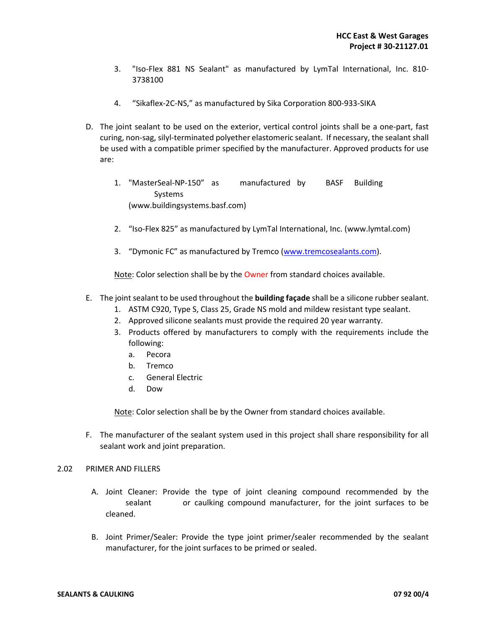- 3. "Iso-Flex 881 NS Sealant" as manufactured by LymTal International, Inc. 810- 3738100
- 4. "Sikaflex-2C-NS," as manufactured by Sika Corporation 800-933-SIKA
- D. The joint sealant to be used on the exterior, vertical control joints shall be a one-part, fast curing, non-sag, silyl-terminated polyether elastomeric sealant. If necessary, the sealant shall be used with a compatible primer specified by the manufacturer. Approved products for use are:
	- 1. "MasterSeal-NP-150" as manufactured by BASF Building Systems (www.buildingsystems.basf.com)
	- 2. "Iso-Flex 825" as manufactured by LymTal International, Inc. (www.lymtal.com)
	- 3. "Dymonic FC" as manufactured by Tremco (www.tremcosealants.com).

Note: Color selection shall be by the Owner from standard choices available.

- E. The joint sealant to be used throughout the **building façade** shall be a silicone rubber sealant.
	- 1. ASTM C920, Type S, Class 25, Grade NS mold and mildew resistant type sealant.
	- 2. Approved silicone sealants must provide the required 20 year warranty.
	- 3. Products offered by manufacturers to comply with the requirements include the following:
		- a. Pecora
		- b. Tremco
		- c. General Electric
		- d. Dow

Note: Color selection shall be by the Owner from standard choices available.

F. The manufacturer of the sealant system used in this project shall share responsibility for all sealant work and joint preparation.

#### 2.02 PRIMER AND FILLERS

- A. Joint Cleaner: Provide the type of joint cleaning compound recommended by the sealant or caulking compound manufacturer, for the joint surfaces to be cleaned.
- B. Joint Primer/Sealer: Provide the type joint primer/sealer recommended by the sealant manufacturer, for the joint surfaces to be primed or sealed.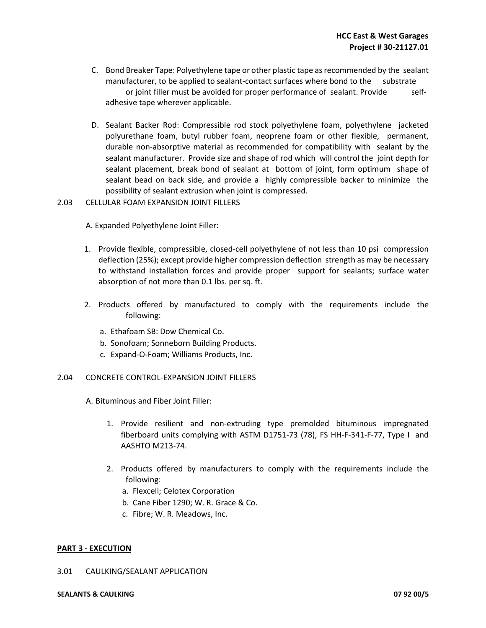- C. Bond Breaker Tape: Polyethylene tape or other plastic tape as recommended by the sealant manufacturer, to be applied to sealant-contact surfaces where bond to the substrate or joint filler must be avoided for proper performance of sealant. Provide selfadhesive tape wherever applicable.
- D. Sealant Backer Rod: Compressible rod stock polyethylene foam, polyethylene jacketed polyurethane foam, butyl rubber foam, neoprene foam or other flexible, permanent, durable non-absorptive material as recommended for compatibility with sealant by the sealant manufacturer. Provide size and shape of rod which will control the joint depth for sealant placement, break bond of sealant at bottom of joint, form optimum shape of sealant bead on back side, and provide a highly compressible backer to minimize the possibility of sealant extrusion when joint is compressed.
- 2.03 CELLULAR FOAM EXPANSION JOINT FILLERS

A. Expanded Polyethylene Joint Filler:

- 1. Provide flexible, compressible, closed-cell polyethylene of not less than 10 psi compression deflection (25%); except provide higher compression deflection strength as may be necessary to withstand installation forces and provide proper support for sealants; surface water absorption of not more than 0.1 lbs. per sq. ft.
- 2. Products offered by manufactured to comply with the requirements include the following:
	- a. Ethafoam SB: Dow Chemical Co.
	- b. Sonofoam; Sonneborn Building Products.
	- c. Expand-O-Foam; Williams Products, Inc.
- 2.04 CONCRETE CONTROL-EXPANSION JOINT FILLERS

A. Bituminous and Fiber Joint Filler:

- 1. Provide resilient and non-extruding type premolded bituminous impregnated fiberboard units complying with ASTM D1751-73 (78), FS HH-F-341-F-77, Type I and AASHTO M213-74.
- 2. Products offered by manufacturers to comply with the requirements include the following:
	- a. Flexcell; Celotex Corporation
	- b. Cane Fiber 1290; W. R. Grace & Co.
	- c. Fibre; W. R. Meadows, Inc.

## **PART 3 - EXECUTION**

## 3.01 CAULKING/SEALANT APPLICATION

#### **SEALANTS & CAULKING 07 92 00/5**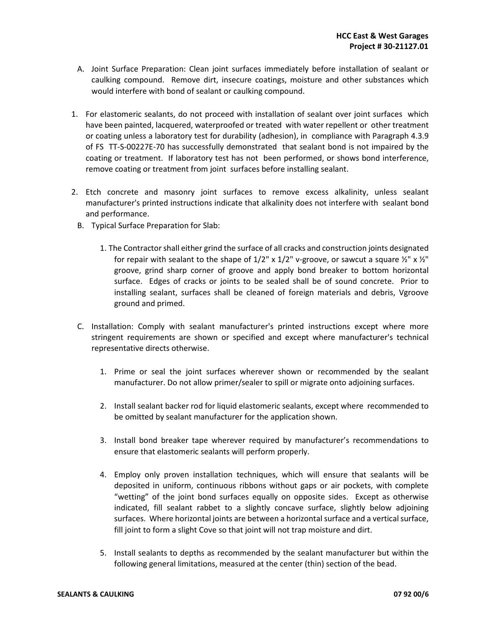- A. Joint Surface Preparation: Clean joint surfaces immediately before installation of sealant or caulking compound. Remove dirt, insecure coatings, moisture and other substances which would interfere with bond of sealant or caulking compound.
- 1. For elastomeric sealants, do not proceed with installation of sealant over joint surfaces which have been painted, lacquered, waterproofed or treated with water repellent or other treatment or coating unless a laboratory test for durability (adhesion), in compliance with Paragraph 4.3.9 of FS TT-S-00227E-70 has successfully demonstrated that sealant bond is not impaired by the coating or treatment. If laboratory test has not been performed, or shows bond interference, remove coating or treatment from joint surfaces before installing sealant.
- 2. Etch concrete and masonry joint surfaces to remove excess alkalinity, unless sealant manufacturer's printed instructions indicate that alkalinity does not interfere with sealant bond and performance.
- B. Typical Surface Preparation for Slab:
	- 1. The Contractor shall either grind the surface of all cracks and construction joints designated for repair with sealant to the shape of  $1/2$ " x  $1/2$ " v-groove, or sawcut a square  $\frac{1}{2}$ " x  $\frac{1}{2}$ " groove, grind sharp corner of groove and apply bond breaker to bottom horizontal surface. Edges of cracks or joints to be sealed shall be of sound concrete. Prior to installing sealant, surfaces shall be cleaned of foreign materials and debris, Vgroove ground and primed.
- C. Installation: Comply with sealant manufacturer's printed instructions except where more stringent requirements are shown or specified and except where manufacturer's technical representative directs otherwise.
	- 1. Prime or seal the joint surfaces wherever shown or recommended by the sealant manufacturer. Do not allow primer/sealer to spill or migrate onto adjoining surfaces.
	- 2. Install sealant backer rod for liquid elastomeric sealants, except where recommended to be omitted by sealant manufacturer for the application shown.
	- 3. Install bond breaker tape wherever required by manufacturer's recommendations to ensure that elastomeric sealants will perform properly.
	- 4. Employ only proven installation techniques, which will ensure that sealants will be deposited in uniform, continuous ribbons without gaps or air pockets, with complete "wetting" of the joint bond surfaces equally on opposite sides. Except as otherwise indicated, fill sealant rabbet to a slightly concave surface, slightly below adjoining surfaces. Where horizontal joints are between a horizontal surface and a vertical surface, fill joint to form a slight Cove so that joint will not trap moisture and dirt.
	- 5. Install sealants to depths as recommended by the sealant manufacturer but within the following general limitations, measured at the center (thin) section of the bead.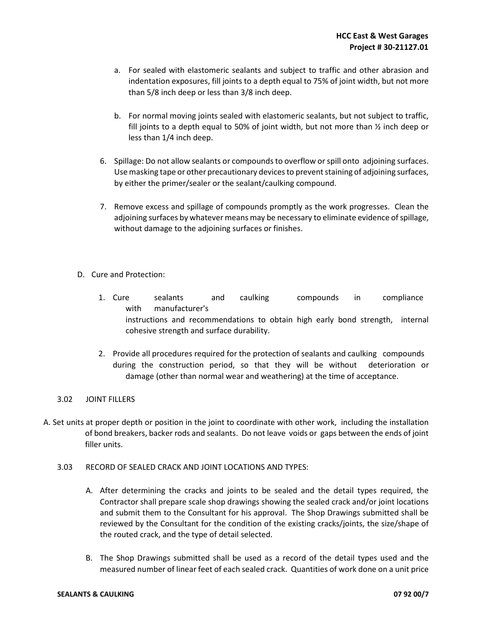- a. For sealed with elastomeric sealants and subject to traffic and other abrasion and indentation exposures, fill joints to a depth equal to 75% of joint width, but not more than 5/8 inch deep or less than 3/8 inch deep.
- b. For normal moving joints sealed with elastomeric sealants, but not subject to traffic, fill joints to a depth equal to 50% of joint width, but not more than  $\frac{1}{2}$  inch deep or less than 1/4 inch deep.
- 6. Spillage: Do not allow sealants or compounds to overflow or spill onto adjoining surfaces. Use masking tape or other precautionary devices to prevent staining of adjoining surfaces, by either the primer/sealer or the sealant/caulking compound.
- 7. Remove excess and spillage of compounds promptly as the work progresses. Clean the adjoining surfaces by whatever means may be necessary to eliminate evidence of spillage, without damage to the adjoining surfaces or finishes.
- D. Cure and Protection:
	- 1. Cure sealants and caulking compounds in compliance with manufacturer's instructions and recommendations to obtain high early bond strength, internal cohesive strength and surface durability.
	- 2. Provide all procedures required for the protection of sealants and caulking compounds during the construction period, so that they will be without deterioration or damage (other than normal wear and weathering) at the time of acceptance.

## 3.02 JOINT FILLERS

- A. Set units at proper depth or position in the joint to coordinate with other work, including the installation of bond breakers, backer rods and sealants. Do not leave voids or gaps between the ends of joint filler units.
	- 3.03 RECORD OF SEALED CRACK AND JOINT LOCATIONS AND TYPES:
		- A. After determining the cracks and joints to be sealed and the detail types required, the Contractor shall prepare scale shop drawings showing the sealed crack and/or joint locations and submit them to the Consultant for his approval. The Shop Drawings submitted shall be reviewed by the Consultant for the condition of the existing cracks/joints, the size/shape of the routed crack, and the type of detail selected.
		- B. The Shop Drawings submitted shall be used as a record of the detail types used and the measured number of linear feet of each sealed crack. Quantities of work done on a unit price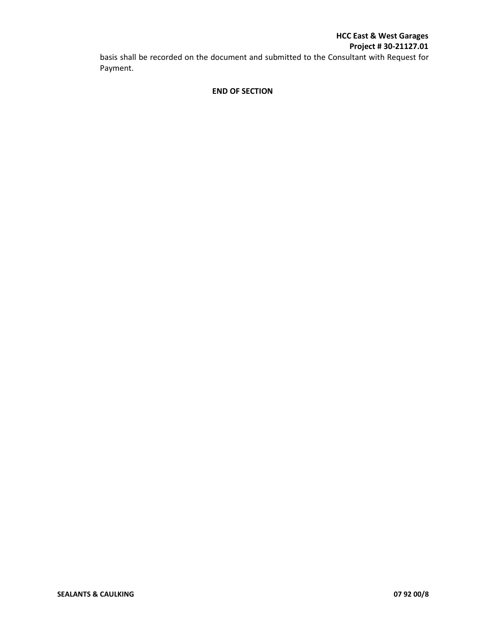# **HCC East & West Garages Project # 30-21127.01**

basis shall be recorded on the document and submitted to the Consultant with Request for Payment.

## **END OF SECTION**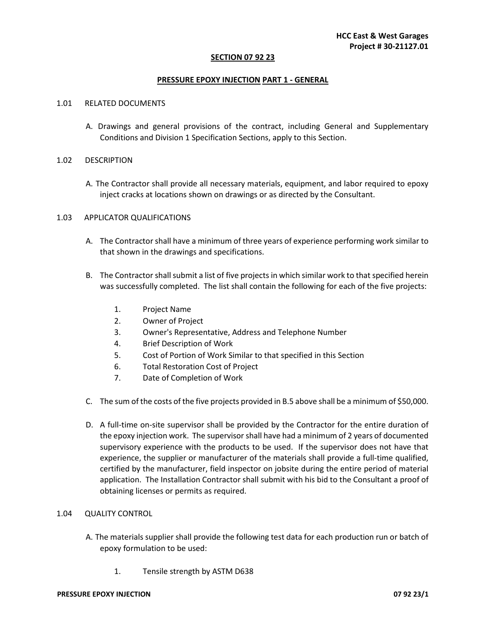#### **SECTION 07 92 23**

#### **PRESSURE EPOXY INJECTION PART 1 - GENERAL**

#### 1.01 RELATED DOCUMENTS

A. Drawings and general provisions of the contract, including General and Supplementary Conditions and Division 1 Specification Sections, apply to this Section.

#### 1.02 DESCRIPTION

A. The Contractor shall provide all necessary materials, equipment, and labor required to epoxy inject cracks at locations shown on drawings or as directed by the Consultant.

#### 1.03 APPLICATOR QUALIFICATIONS

- A. The Contractor shall have a minimum of three years of experience performing work similar to that shown in the drawings and specifications.
- B. The Contractor shall submit a list of five projects in which similar work to that specified herein was successfully completed. The list shall contain the following for each of the five projects:
	- 1. Project Name
	- 2. Owner of Project
	- 3. Owner's Representative, Address and Telephone Number
	- 4. Brief Description of Work
	- 5. Cost of Portion of Work Similar to that specified in this Section
	- 6. Total Restoration Cost of Project
	- 7. Date of Completion of Work
- C. The sum of the costs of the five projects provided in B.5 above shall be a minimum of \$50,000.
- D. A full-time on-site supervisor shall be provided by the Contractor for the entire duration of the epoxy injection work. The supervisor shall have had a minimum of 2 years of documented supervisory experience with the products to be used. If the supervisor does not have that experience, the supplier or manufacturer of the materials shall provide a full-time qualified, certified by the manufacturer, field inspector on jobsite during the entire period of material application. The Installation Contractor shall submit with his bid to the Consultant a proof of obtaining licenses or permits as required.

#### 1.04 QUALITY CONTROL

- A. The materials supplier shall provide the following test data for each production run or batch of epoxy formulation to be used:
	- 1. Tensile strength by ASTM D638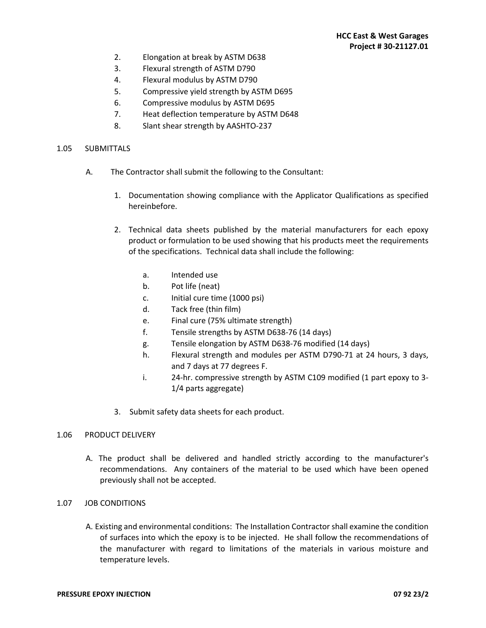- 2. Elongation at break by ASTM D638
- 3. Flexural strength of ASTM D790
- 4. Flexural modulus by ASTM D790
- 5. Compressive yield strength by ASTM D695
- 6. Compressive modulus by ASTM D695
- 7. Heat deflection temperature by ASTM D648
- 8. Slant shear strength by AASHTO-237

#### 1.05 SUBMITTALS

- A. The Contractor shall submit the following to the Consultant:
	- 1. Documentation showing compliance with the Applicator Qualifications as specified hereinbefore.
	- 2. Technical data sheets published by the material manufacturers for each epoxy product or formulation to be used showing that his products meet the requirements of the specifications. Technical data shall include the following:
		- a. Intended use
		- b. Pot life (neat)
		- c. Initial cure time (1000 psi)
		- d. Tack free (thin film)
		- e. Final cure (75% ultimate strength)
		- f. Tensile strengths by ASTM D638-76 (14 days)
		- g. Tensile elongation by ASTM D638-76 modified (14 days)
		- h. Flexural strength and modules per ASTM D790-71 at 24 hours, 3 days, and 7 days at 77 degrees F.
		- i. 24-hr. compressive strength by ASTM C109 modified (1 part epoxy to 3- 1/4 parts aggregate)
	- 3. Submit safety data sheets for each product.

#### 1.06 PRODUCT DELIVERY

A. The product shall be delivered and handled strictly according to the manufacturer's recommendations. Any containers of the material to be used which have been opened previously shall not be accepted.

## 1.07 JOB CONDITIONS

A. Existing and environmental conditions: The Installation Contractor shall examine the condition of surfaces into which the epoxy is to be injected. He shall follow the recommendations of the manufacturer with regard to limitations of the materials in various moisture and temperature levels.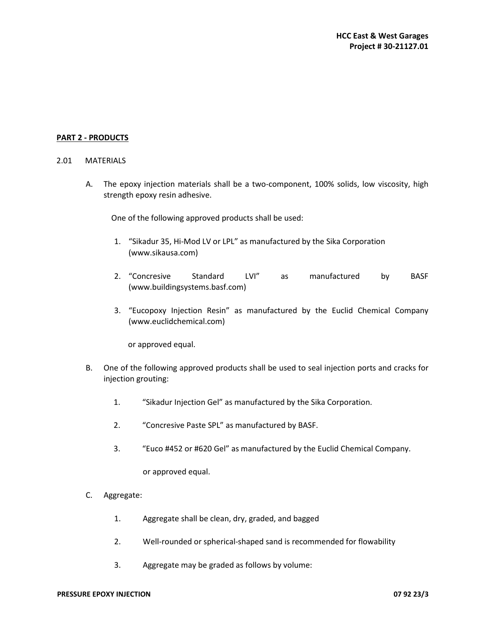## **PART 2 - PRODUCTS**

#### 2.01 MATERIALS

A. The epoxy injection materials shall be a two-component, 100% solids, low viscosity, high strength epoxy resin adhesive.

One of the following approved products shall be used:

- 1. "Sikadur 35, Hi-Mod LV or LPL" as manufactured by the Sika Corporation (www.sikausa.com)
- 2. "Concresive Standard LVI" as manufactured by BASF (www.buildingsystems.basf.com)
- 3. "Eucopoxy Injection Resin" as manufactured by the Euclid Chemical Company (www.euclidchemical.com)

or approved equal.

- B. One of the following approved products shall be used to seal injection ports and cracks for injection grouting:
	- 1. "Sikadur Injection Gel" as manufactured by the Sika Corporation.
	- 2. "Concresive Paste SPL" as manufactured by BASF.
	- 3. "Euco #452 or #620 Gel" as manufactured by the Euclid Chemical Company.

or approved equal.

- C. Aggregate:
	- 1. Aggregate shall be clean, dry, graded, and bagged
	- 2. Well-rounded or spherical-shaped sand is recommended for flowability
	- 3. Aggregate may be graded as follows by volume: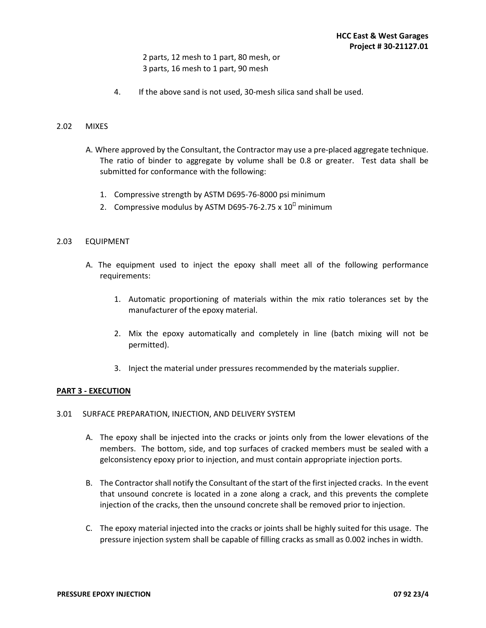# 2 parts, 12 mesh to 1 part, 80 mesh, or 3 parts, 16 mesh to 1 part, 90 mesh

4. If the above sand is not used, 30-mesh silica sand shall be used.

#### 2.02 MIXES

- A. Where approved by the Consultant, the Contractor may use a pre-placed aggregate technique. The ratio of binder to aggregate by volume shall be 0.8 or greater. Test data shall be submitted for conformance with the following:
	- 1. Compressive strength by ASTM D695-76-8000 psi minimum
	- 2. Compressive modulus by ASTM D695-76-2.75 x 10 minimum

#### 2.03 EQUIPMENT

- A. The equipment used to inject the epoxy shall meet all of the following performance requirements:
	- 1. Automatic proportioning of materials within the mix ratio tolerances set by the manufacturer of the epoxy material.
	- 2. Mix the epoxy automatically and completely in line (batch mixing will not be permitted).
	- 3. Inject the material under pressures recommended by the materials supplier.

#### **PART 3 - EXECUTION**

## 3.01 SURFACE PREPARATION, INJECTION, AND DELIVERY SYSTEM

- A. The epoxy shall be injected into the cracks or joints only from the lower elevations of the members. The bottom, side, and top surfaces of cracked members must be sealed with a gelconsistency epoxy prior to injection, and must contain appropriate injection ports.
- B. The Contractor shall notify the Consultant of the start of the first injected cracks. In the event that unsound concrete is located in a zone along a crack, and this prevents the complete injection of the cracks, then the unsound concrete shall be removed prior to injection.
- C. The epoxy material injected into the cracks or joints shall be highly suited for this usage. The pressure injection system shall be capable of filling cracks as small as 0.002 inches in width.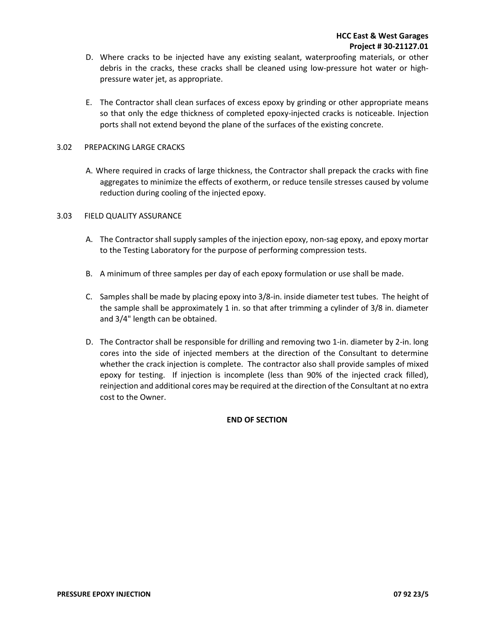- D. Where cracks to be injected have any existing sealant, waterproofing materials, or other debris in the cracks, these cracks shall be cleaned using low-pressure hot water or highpressure water jet, as appropriate.
- E. The Contractor shall clean surfaces of excess epoxy by grinding or other appropriate means so that only the edge thickness of completed epoxy-injected cracks is noticeable. Injection ports shall not extend beyond the plane of the surfaces of the existing concrete.

#### 3.02 PREPACKING LARGE CRACKS

A. Where required in cracks of large thickness, the Contractor shall prepack the cracks with fine aggregates to minimize the effects of exotherm, or reduce tensile stresses caused by volume reduction during cooling of the injected epoxy.

#### 3.03 FIELD QUALITY ASSURANCE

- A. The Contractor shall supply samples of the injection epoxy, non-sag epoxy, and epoxy mortar to the Testing Laboratory for the purpose of performing compression tests.
- B. A minimum of three samples per day of each epoxy formulation or use shall be made.
- C. Samples shall be made by placing epoxy into 3/8-in. inside diameter test tubes. The height of the sample shall be approximately 1 in. so that after trimming a cylinder of 3/8 in. diameter and 3/4" length can be obtained.
- D. The Contractor shall be responsible for drilling and removing two 1-in. diameter by 2-in. long cores into the side of injected members at the direction of the Consultant to determine whether the crack injection is complete. The contractor also shall provide samples of mixed epoxy for testing. If injection is incomplete (less than 90% of the injected crack filled), reinjection and additional cores may be required at the direction of the Consultant at no extra cost to the Owner.

#### **END OF SECTION**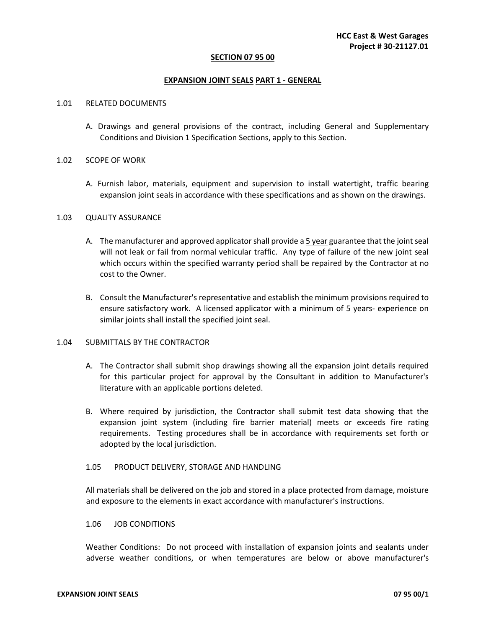#### **SECTION 07 95 00**

#### **EXPANSION JOINT SEALS PART 1 - GENERAL**

#### 1.01RELATED DOCUMENTS

A. Drawings and general provisions of the contract, including General and Supplementary Conditions and Division 1 Specification Sections, apply to this Section.

#### 1.02SCOPE OF WORK

A. Furnish labor, materials, equipment and supervision to install watertight, traffic bearing expansion joint seals in accordance with these specifications and as shown on the drawings.

#### 1.03 QUALITY ASSURANCE

- A. The manufacturer and approved applicator shall provide a 5 year guarantee that the joint seal will not leak or fail from normal vehicular traffic. Any type of failure of the new joint seal which occurs within the specified warranty period shall be repaired by the Contractor at no cost to the Owner.
- B. Consult the Manufacturer's representative and establish the minimum provisions required to ensure satisfactory work. A licensed applicator with a minimum of 5 years- experience on similar joints shall install the specified joint seal.

#### 1.04SUBMITTALS BY THE CONTRACTOR

- A. The Contractor shall submit shop drawings showing all the expansion joint details required for this particular project for approval by the Consultant in addition to Manufacturer's literature with an applicable portions deleted.
- B. Where required by jurisdiction, the Contractor shall submit test data showing that the expansion joint system (including fire barrier material) meets or exceeds fire rating requirements. Testing procedures shall be in accordance with requirements set forth or adopted by the local jurisdiction.

#### 1.05 PRODUCT DELIVERY, STORAGE AND HANDLING

All materials shall be delivered on the job and stored in a place protected from damage, moisture and exposure to the elements in exact accordance with manufacturer's instructions.

#### 1.06 JOB CONDITIONS

Weather Conditions: Do not proceed with installation of expansion joints and sealants under adverse weather conditions, or when temperatures are below or above manufacturer's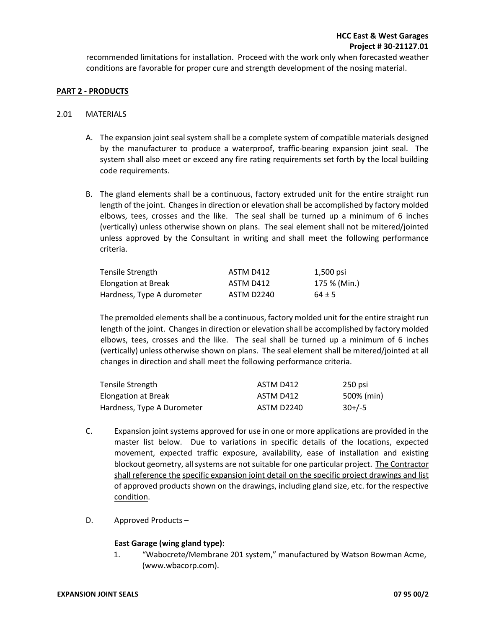recommended limitations for installation. Proceed with the work only when forecasted weather conditions are favorable for proper cure and strength development of the nosing material.

#### **PART 2 - PRODUCTS**

#### 2.01MATERIALS

- A. The expansion joint seal system shall be a complete system of compatible materials designed by the manufacturer to produce a waterproof, traffic-bearing expansion joint seal. The system shall also meet or exceed any fire rating requirements set forth by the local building code requirements.
- B. The gland elements shall be a continuous, factory extruded unit for the entire straight run length of the joint. Changes in direction or elevation shall be accomplished by factory molded elbows, tees, crosses and the like. The seal shall be turned up a minimum of 6 inches (vertically) unless otherwise shown on plans. The seal element shall not be mitered/jointed unless approved by the Consultant in writing and shall meet the following performance criteria.

| Tensile Strength           | ASTM D412  | 1,500 psi    |
|----------------------------|------------|--------------|
| Elongation at Break        | ASTM D412  | 175 % (Min.) |
| Hardness, Type A durometer | ASTM D2240 | $64 \pm 5$   |

The premolded elements shall be a continuous, factory molded unit for the entire straight run length of the joint. Changes in direction or elevation shall be accomplished by factory molded elbows, tees, crosses and the like. The seal shall be turned up a minimum of 6 inches (vertically) unless otherwise shown on plans. The seal element shall be mitered/jointed at all changes in direction and shall meet the following performance criteria.

| Tensile Strength           | ASTM D412  | 250 psi    |
|----------------------------|------------|------------|
| Elongation at Break        | ASTM D412  | 500% (min) |
| Hardness, Type A Durometer | ASTM D2240 | $30+/-5$   |

- C. Expansion joint systems approved for use in one or more applications are provided in the master list below. Due to variations in specific details of the locations, expected movement, expected traffic exposure, availability, ease of installation and existing blockout geometry, all systems are not suitable for one particular project. The Contractor shall reference the specific expansion joint detail on the specific project drawings and list of approved products shown on the drawings, including gland size, etc. for the respective condition.
- D. Approved Products –

#### **East Garage (wing gland type):**

1. "Wabocrete/Membrane 201 system," manufactured by Watson Bowman Acme, (www.wbacorp.com).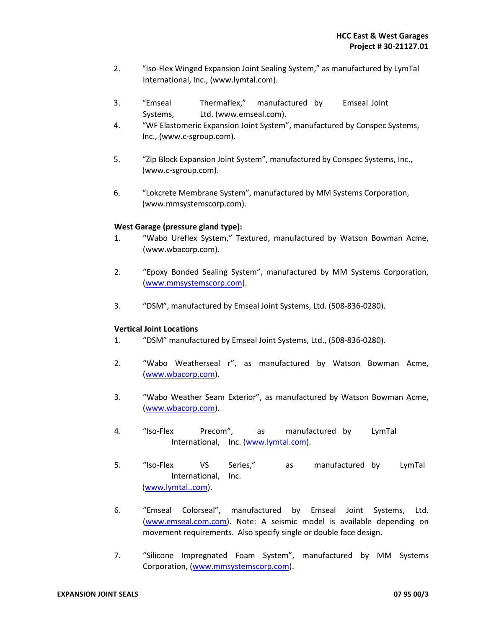- 2. "Iso-Flex Winged Expansion Joint Sealing System," as manufactured by LymTal International, Inc., (www.lymtal.com).
- 3. "Emseal Thermaflex," manufactured by Emseal Joint Systems, Ltd. (www.emseal.com).
- 4. "WF Elastomeric Expansion Joint System", manufactured by Conspec Systems, Inc., (www.c-sgroup.com).
- 5. "Zip Block Expansion Joint System", manufactured by Conspec Systems, Inc., (www.c-sgroup.com).
- 6. "Lokcrete Membrane System", manufactured by MM Systems Corporation, (www.mmsystemscorp.com).

## **West Garage (pressure gland type):**

- 1. "Wabo Ureflex System," Textured, manufactured by Watson Bowman Acme, (www.wbacorp.com).
- 2. "Epoxy Bonded Sealing System", manufactured by MM Systems Corporation, (www.mmsystemscorp.com).
- 3. "DSM", manufactured by Emseal Joint Systems, Ltd. (508-836-0280).

#### **Vertical Joint Locations**

- 1. "DSM" manufactured by Emseal Joint Systems, Ltd., (508-836-0280).
- 2. "Wabo Weatherseal r", as manufactured by Watson Bowman Acme, (www.wbacorp.com).
- 3. "Wabo Weather Seam Exterior", as manufactured by Watson Bowman Acme, (www.wbacorp.com).
- 4. "Iso-Flex Precom", as manufactured by LymTal International, Inc. (www.lymtal.com).
- 5. "Iso-Flex VS Series," as manufactured by LymTal International, Inc. (www.lymtal..com).
- 6. "Emseal Colorseal", manufactured by Emseal Joint Systems, Ltd. (www.emseal.com.com). Note: A seismic model is available depending on movement requirements. Also specify single or double face design.
- 7. "Silicone Impregnated Foam System", manufactured by MM Systems Corporation, (www.mmsystemscorp.com).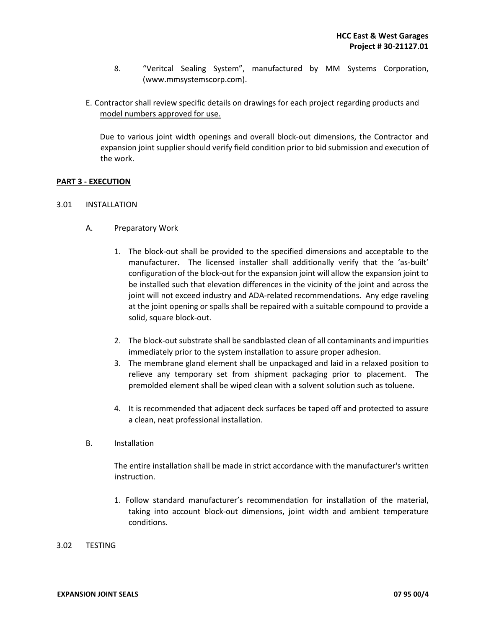- 8. "Veritcal Sealing System", manufactured by MM Systems Corporation, (www.mmsystemscorp.com).
- E. Contractor shall review specific details on drawings for each project regarding products and model numbers approved for use.

Due to various joint width openings and overall block-out dimensions, the Contractor and expansion joint supplier should verify field condition prior to bid submission and execution of the work.

## **PART 3 - EXECUTION**

- 3.01INSTALLATION
	- A. Preparatory Work
		- 1. The block-out shall be provided to the specified dimensions and acceptable to the manufacturer. The licensed installer shall additionally verify that the 'as-built' configuration of the block-out for the expansion joint will allow the expansion joint to be installed such that elevation differences in the vicinity of the joint and across the joint will not exceed industry and ADA-related recommendations. Any edge raveling at the joint opening or spalls shall be repaired with a suitable compound to provide a solid, square block-out.
		- 2. The block-out substrate shall be sandblasted clean of all contaminants and impurities immediately prior to the system installation to assure proper adhesion.
		- 3. The membrane gland element shall be unpackaged and laid in a relaxed position to relieve any temporary set from shipment packaging prior to placement. The premolded element shall be wiped clean with a solvent solution such as toluene.
		- 4. It is recommended that adjacent deck surfaces be taped off and protected to assure a clean, neat professional installation.
	- B. Installation

The entire installation shall be made in strict accordance with the manufacturer's written instruction.

- 1. Follow standard manufacturer's recommendation for installation of the material, taking into account block-out dimensions, joint width and ambient temperature conditions.
- 3.02 TESTING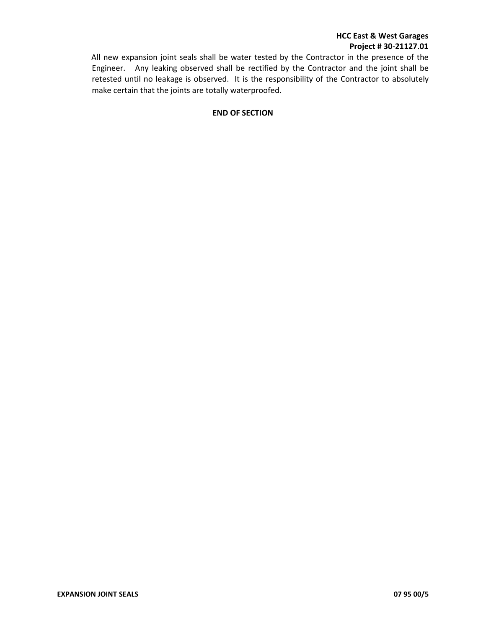# **HCC East & West Garages Project # 30-21127.01**

All new expansion joint seals shall be water tested by the Contractor in the presence of the Engineer. Any leaking observed shall be rectified by the Contractor and the joint shall be retested until no leakage is observed. It is the responsibility of the Contractor to absolutely make certain that the joints are totally waterproofed.

## **END OF SECTION**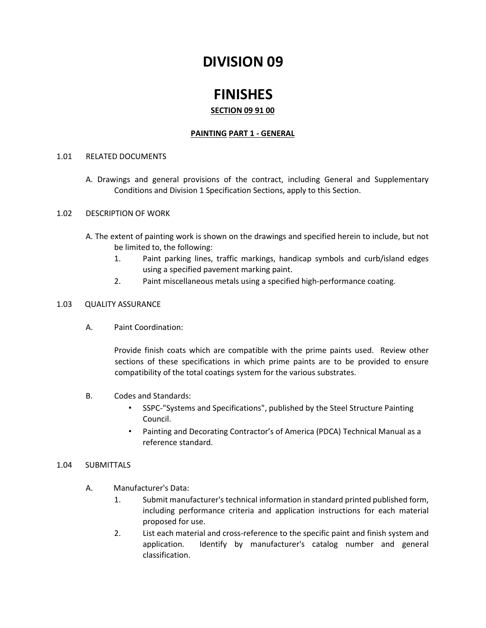# **DIVISION 09**

# **FINISHES**

# **SECTION 09 91 00**

# **PAINTING PART 1 - GENERAL**

## 1.01 RELATED DOCUMENTS

A. Drawings and general provisions of the contract, including General and Supplementary Conditions and Division 1 Specification Sections, apply to this Section.

## 1.02 DESCRIPTION OF WORK

- A. The extent of painting work is shown on the drawings and specified herein to include, but not be limited to, the following:
	- 1. Paint parking lines, traffic markings, handicap symbols and curb/island edges using a specified pavement marking paint.
	- 2. Paint miscellaneous metals using a specified high-performance coating.

## 1.03 QUALITY ASSURANCE

A. Paint Coordination:

Provide finish coats which are compatible with the prime paints used. Review other sections of these specifications in which prime paints are to be provided to ensure compatibility of the total coatings system for the various substrates.

- B. Codes and Standards:
	- SSPC-"Systems and Specifications", published by the Steel Structure Painting Council.
	- Painting and Decorating Contractor's of America (PDCA) Technical Manual as a reference standard.

#### 1.04 SUBMITTALS

- A. Manufacturer's Data:
	- 1. Submit manufacturer's technical information in standard printed published form, including performance criteria and application instructions for each material proposed for use.
	- 2. List each material and cross-reference to the specific paint and finish system and application. Identify by manufacturer's catalog number and general classification.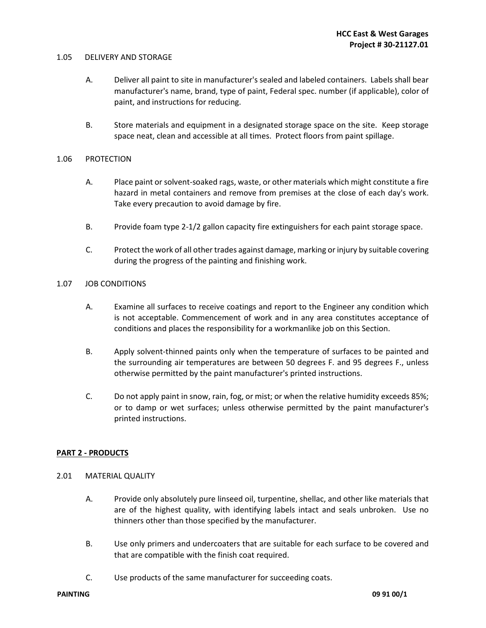#### 1.05 DELIVERY AND STORAGE

- A. Deliver all paint to site in manufacturer's sealed and labeled containers. Labels shall bear manufacturer's name, brand, type of paint, Federal spec. number (if applicable), color of paint, and instructions for reducing.
- B. Store materials and equipment in a designated storage space on the site. Keep storage space neat, clean and accessible at all times. Protect floors from paint spillage.

#### 1.06 PROTECTION

- A. Place paint or solvent-soaked rags, waste, or other materials which might constitute a fire hazard in metal containers and remove from premises at the close of each day's work. Take every precaution to avoid damage by fire.
- B. Provide foam type 2-1/2 gallon capacity fire extinguishers for each paint storage space.
- C. Protect the work of all other trades against damage, marking or injury by suitable covering during the progress of the painting and finishing work.

## 1.07 JOB CONDITIONS

- A. Examine all surfaces to receive coatings and report to the Engineer any condition which is not acceptable. Commencement of work and in any area constitutes acceptance of conditions and places the responsibility for a workmanlike job on this Section.
- B. Apply solvent-thinned paints only when the temperature of surfaces to be painted and the surrounding air temperatures are between 50 degrees F. and 95 degrees F., unless otherwise permitted by the paint manufacturer's printed instructions.
- C. Do not apply paint in snow, rain, fog, or mist; or when the relative humidity exceeds 85%; or to damp or wet surfaces; unless otherwise permitted by the paint manufacturer's printed instructions.

#### **PART 2 - PRODUCTS**

#### 2.01 MATERIAL QUALITY

- A. Provide only absolutely pure linseed oil, turpentine, shellac, and other like materials that are of the highest quality, with identifying labels intact and seals unbroken. Use no thinners other than those specified by the manufacturer.
- B. Use only primers and undercoaters that are suitable for each surface to be covered and that are compatible with the finish coat required.
- C. Use products of the same manufacturer for succeeding coats.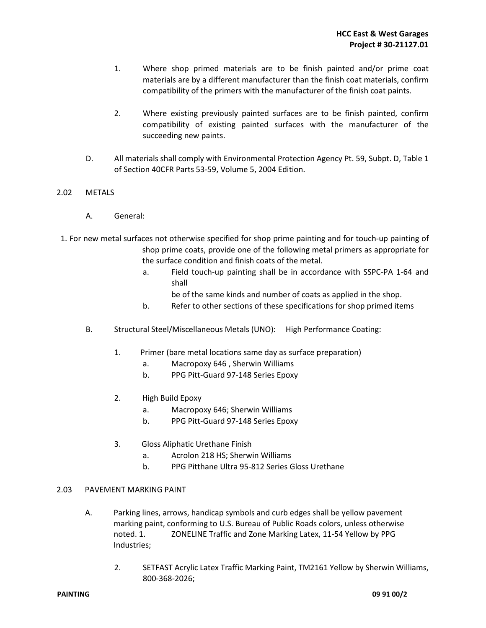- 1. Where shop primed materials are to be finish painted and/or prime coat materials are by a different manufacturer than the finish coat materials, confirm compatibility of the primers with the manufacturer of the finish coat paints.
- 2. Where existing previously painted surfaces are to be finish painted, confirm compatibility of existing painted surfaces with the manufacturer of the succeeding new paints.
- D. All materials shall comply with Environmental Protection Agency Pt. 59, Subpt. D, Table 1 of Section 40CFR Parts 53-59, Volume 5, 2004 Edition.

## 2.02 METALS

- A. General:
- 1. For new metal surfaces not otherwise specified for shop prime painting and for touch-up painting of shop prime coats, provide one of the following metal primers as appropriate for the surface condition and finish coats of the metal.
	- a. Field touch-up painting shall be in accordance with SSPC-PA 1-64 and shall
		- be of the same kinds and number of coats as applied in the shop.
	- b. Refer to other sections of these specifications for shop primed items
	- B. Structural Steel/Miscellaneous Metals (UNO): High Performance Coating:
		- 1. Primer (bare metal locations same day as surface preparation)
			- a. Macropoxy 646 , Sherwin Williams
			- b. PPG Pitt-Guard 97-148 Series Epoxy
		- 2. High Build Epoxy
			- a. Macropoxy 646; Sherwin Williams
			- b. PPG Pitt-Guard 97-148 Series Epoxy
		- 3. Gloss Aliphatic Urethane Finish
			- a. Acrolon 218 HS; Sherwin Williams
			- b. PPG Pitthane Ultra 95-812 Series Gloss Urethane

#### 2.03 PAVEMENT MARKING PAINT

- A. Parking lines, arrows, handicap symbols and curb edges shall be yellow pavement marking paint, conforming to U.S. Bureau of Public Roads colors, unless otherwise noted. 1. ZONELINE Traffic and Zone Marking Latex, 11-54 Yellow by PPG Industries;
	- 2. SETFAST Acrylic Latex Traffic Marking Paint, TM2161 Yellow by Sherwin Williams, 800-368-2026;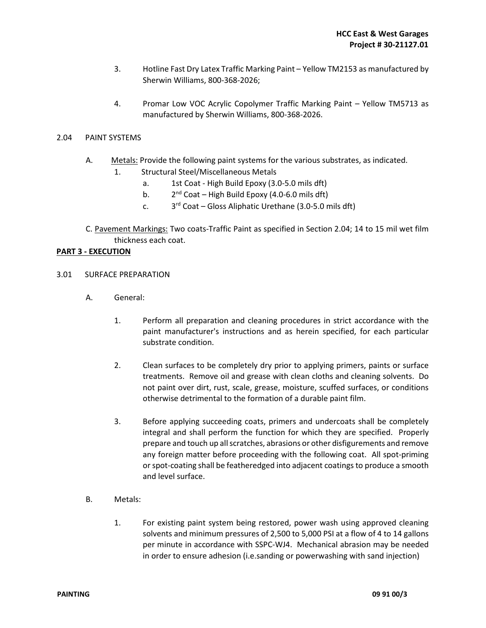- 3. Hotline Fast Dry Latex Traffic Marking Paint Yellow TM2153 as manufactured by Sherwin Williams, 800-368-2026;
- 4. Promar Low VOC Acrylic Copolymer Traffic Marking Paint Yellow TM5713 as manufactured by Sherwin Williams, 800-368-2026.

#### 2.04 PAINT SYSTEMS

- A. Metals: Provide the following paint systems for the various substrates, as indicated.
	- 1. Structural Steel/Miscellaneous Metals
		- a. 1st Coat High Build Epoxy (3.0-5.0 mils dft)
		- $b<sub>1</sub>$  $2<sup>nd</sup>$  Coat – High Build Epoxy (4.0-6.0 mils dft)
		- $\mathsf{c}$ .  $3<sup>rd</sup>$  Coat – Gloss Aliphatic Urethane (3.0-5.0 mils dft)
- C. Pavement Markings: Two coats-Traffic Paint as specified in Section 2.04; 14 to 15 mil wet film thickness each coat.

## **PART 3 - EXECUTION**

- 3.01 SURFACE PREPARATION
	- A. General:
		- 1. Perform all preparation and cleaning procedures in strict accordance with the paint manufacturer's instructions and as herein specified, for each particular substrate condition.
		- 2. Clean surfaces to be completely dry prior to applying primers, paints or surface treatments. Remove oil and grease with clean cloths and cleaning solvents. Do not paint over dirt, rust, scale, grease, moisture, scuffed surfaces, or conditions otherwise detrimental to the formation of a durable paint film.
		- 3. Before applying succeeding coats, primers and undercoats shall be completely integral and shall perform the function for which they are specified. Properly prepare and touch up all scratches, abrasions or other disfigurements and remove any foreign matter before proceeding with the following coat. All spot-priming or spot-coating shall be featheredged into adjacent coatings to produce a smooth and level surface.
	- B. Metals:
		- 1. For existing paint system being restored, power wash using approved cleaning solvents and minimum pressures of 2,500 to 5,000 PSI at a flow of 4 to 14 gallons per minute in accordance with SSPC-WJ4. Mechanical abrasion may be needed in order to ensure adhesion (i.e.sanding or powerwashing with sand injection)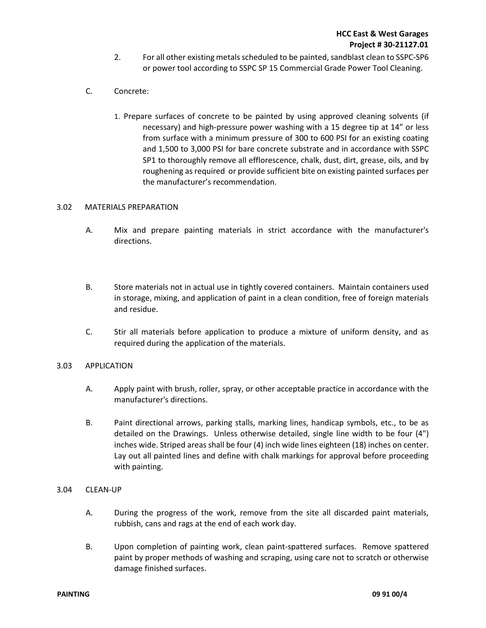- 2. For all other existing metals scheduled to be painted, sandblast clean to SSPC-SP6 or power tool according to SSPC SP 15 Commercial Grade Power Tool Cleaning.
- C. Concrete:
	- 1. Prepare surfaces of concrete to be painted by using approved cleaning solvents (if necessary) and high-pressure power washing with a 15 degree tip at 14" or less from surface with a minimum pressure of 300 to 600 PSI for an existing coating and 1,500 to 3,000 PSI for bare concrete substrate and in accordance with SSPC SP1 to thoroughly remove all efflorescence, chalk, dust, dirt, grease, oils, and by roughening as required or provide sufficient bite on existing painted surfaces per the manufacturer's recommendation.

#### 3.02 MATERIALS PREPARATION

- A. Mix and prepare painting materials in strict accordance with the manufacturer's directions.
- B. Store materials not in actual use in tightly covered containers. Maintain containers used in storage, mixing, and application of paint in a clean condition, free of foreign materials and residue.
- C. Stir all materials before application to produce a mixture of uniform density, and as required during the application of the materials.

#### 3.03 APPLICATION

- A. Apply paint with brush, roller, spray, or other acceptable practice in accordance with the manufacturer's directions.
- B. Paint directional arrows, parking stalls, marking lines, handicap symbols, etc., to be as detailed on the Drawings. Unless otherwise detailed, single line width to be four (4") inches wide. Striped areas shall be four (4) inch wide lines eighteen (18) inches on center. Lay out all painted lines and define with chalk markings for approval before proceeding with painting.
- 3.04 CLEAN-UP
	- A. During the progress of the work, remove from the site all discarded paint materials, rubbish, cans and rags at the end of each work day.
	- B. Upon completion of painting work, clean paint-spattered surfaces. Remove spattered paint by proper methods of washing and scraping, using care not to scratch or otherwise damage finished surfaces.